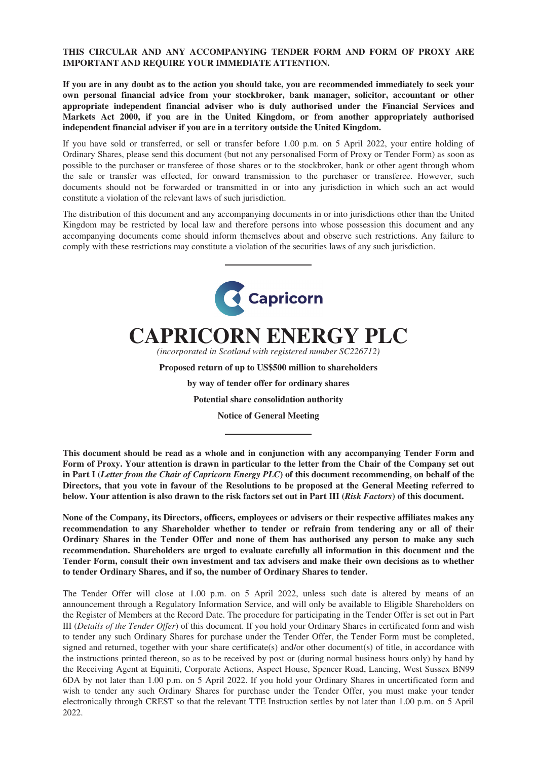# **THIS CIRCULAR AND ANY ACCOMPANYING TENDER FORM AND FORM OF PROXY ARE IMPORTANT AND REQUIRE YOUR IMMEDIATE ATTENTION.**

**If you are in any doubt as to the action you should take, you are recommended immediately to seek your own personal financial advice from your stockbroker, bank manager, solicitor, accountant or other appropriate independent financial adviser who is duly authorised under the Financial Services and Markets Act 2000, if you are in the United Kingdom, or from another appropriately authorised independent financial adviser if you are in a territory outside the United Kingdom.**

If you have sold or transferred, or sell or transfer before 1.00 p.m. on 5 April 2022, your entire holding of Ordinary Shares, please send this document (but not any personalised Form of Proxy or Tender Form) as soon as possible to the purchaser or transferee of those shares or to the stockbroker, bank or other agent through whom the sale or transfer was effected, for onward transmission to the purchaser or transferee. However, such documents should not be forwarded or transmitted in or into any jurisdiction in which such an act would constitute a violation of the relevant laws of such jurisdiction.

The distribution of this document and any accompanying documents in or into jurisdictions other than the United Kingdom may be restricted by local law and therefore persons into whose possession this document and any accompanying documents come should inform themselves about and observe such restrictions. Any failure to comply with these restrictions may constitute a violation of the securities laws of any such jurisdiction.



**CAPRICORN ENERGY PLC**

*(incorporated in Scotland with registered number SC226712)*

**Proposed return of up to US\$500 million to shareholders**

**by way of tender offer for ordinary shares**

**Potential share consolidation authority**

**Notice of General Meeting**

**This document should be read as a whole and in conjunction with any accompanying Tender Form and Form of Proxy. Your attention is drawn in particular to the letter from the Chair of the Company set out in Part I (***Letter from the Chair of Capricorn Energy PLC***) of this document recommending, on behalf of the Directors, that you vote in favour of the Resolutions to be proposed at the General Meeting referred to below. Your attention is also drawn to the risk factors set out in Part III (***Risk Factors***) of this document.**

**None of the Company, its Directors, officers, employees or advisers or their respective affiliates makes any recommendation to any Shareholder whether to tender or refrain from tendering any or all of their Ordinary Shares in the Tender Offer and none of them has authorised any person to make any such recommendation. Shareholders are urged to evaluate carefully all information in this document and the Tender Form, consult their own investment and tax advisers and make their own decisions as to whether to tender Ordinary Shares, and if so, the number of Ordinary Shares to tender.**

The Tender Offer will close at 1.00 p.m. on 5 April 2022, unless such date is altered by means of an announcement through a Regulatory Information Service, and will only be available to Eligible Shareholders on the Register of Members at the Record Date. The procedure for participating in the Tender Offer is set out in Part III (*Details of the Tender Offer*) of this document. If you hold your Ordinary Shares in certificated form and wish to tender any such Ordinary Shares for purchase under the Tender Offer, the Tender Form must be completed, signed and returned, together with your share certificate(s) and/or other document(s) of title, in accordance with the instructions printed thereon, so as to be received by post or (during normal business hours only) by hand by the Receiving Agent at Equiniti, Corporate Actions, Aspect House, Spencer Road, Lancing, West Sussex BN99 6DA by not later than 1.00 p.m. on 5 April 2022. If you hold your Ordinary Shares in uncertificated form and wish to tender any such Ordinary Shares for purchase under the Tender Offer, you must make your tender electronically through CREST so that the relevant TTE Instruction settles by not later than 1.00 p.m. on 5 April 2022.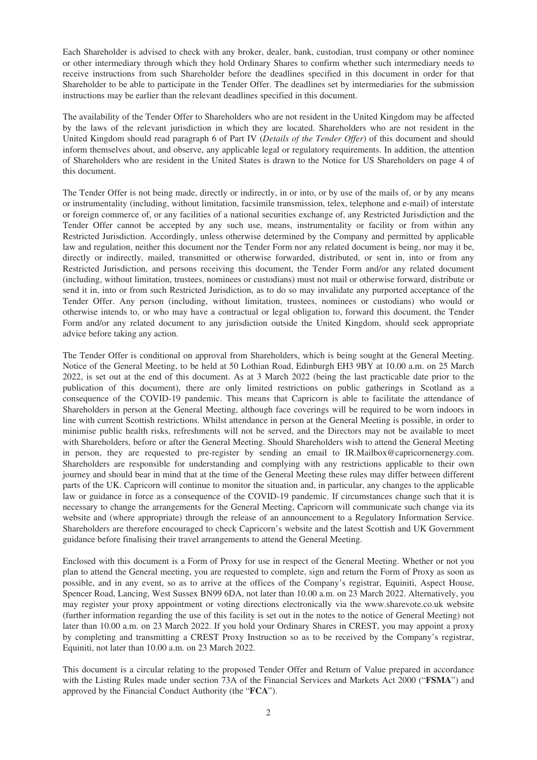Each Shareholder is advised to check with any broker, dealer, bank, custodian, trust company or other nominee or other intermediary through which they hold Ordinary Shares to confirm whether such intermediary needs to receive instructions from such Shareholder before the deadlines specified in this document in order for that Shareholder to be able to participate in the Tender Offer. The deadlines set by intermediaries for the submission instructions may be earlier than the relevant deadlines specified in this document.

The availability of the Tender Offer to Shareholders who are not resident in the United Kingdom may be affected by the laws of the relevant jurisdiction in which they are located. Shareholders who are not resident in the United Kingdom should read paragraph 6 of Part IV (*Details of the Tender Offer*) of this document and should inform themselves about, and observe, any applicable legal or regulatory requirements. In addition, the attention of Shareholders who are resident in the United States is drawn to the Notice for US Shareholders on page 4 of this document.

The Tender Offer is not being made, directly or indirectly, in or into, or by use of the mails of, or by any means or instrumentality (including, without limitation, facsimile transmission, telex, telephone and e-mail) of interstate or foreign commerce of, or any facilities of a national securities exchange of, any Restricted Jurisdiction and the Tender Offer cannot be accepted by any such use, means, instrumentality or facility or from within any Restricted Jurisdiction. Accordingly, unless otherwise determined by the Company and permitted by applicable law and regulation, neither this document nor the Tender Form nor any related document is being, nor may it be, directly or indirectly, mailed, transmitted or otherwise forwarded, distributed, or sent in, into or from any Restricted Jurisdiction, and persons receiving this document, the Tender Form and/or any related document (including, without limitation, trustees, nominees or custodians) must not mail or otherwise forward, distribute or send it in, into or from such Restricted Jurisdiction, as to do so may invalidate any purported acceptance of the Tender Offer. Any person (including, without limitation, trustees, nominees or custodians) who would or otherwise intends to, or who may have a contractual or legal obligation to, forward this document, the Tender Form and/or any related document to any jurisdiction outside the United Kingdom, should seek appropriate advice before taking any action.

The Tender Offer is conditional on approval from Shareholders, which is being sought at the General Meeting. Notice of the General Meeting, to be held at 50 Lothian Road, Edinburgh EH3 9BY at 10.00 a.m. on 25 March 2022, is set out at the end of this document. As at 3 March 2022 (being the last practicable date prior to the publication of this document), there are only limited restrictions on public gatherings in Scotland as a consequence of the COVID-19 pandemic. This means that Capricorn is able to facilitate the attendance of Shareholders in person at the General Meeting, although face coverings will be required to be worn indoors in line with current Scottish restrictions. Whilst attendance in person at the General Meeting is possible, in order to minimise public health risks, refreshments will not be served, and the Directors may not be available to meet with Shareholders, before or after the General Meeting. Should Shareholders wish to attend the General Meeting in person, they are requested to pre-register by sending an email to IR.Mailbox@capricornenergy.com. Shareholders are responsible for understanding and complying with any restrictions applicable to their own journey and should bear in mind that at the time of the General Meeting these rules may differ between different parts of the UK. Capricorn will continue to monitor the situation and, in particular, any changes to the applicable law or guidance in force as a consequence of the COVID-19 pandemic. If circumstances change such that it is necessary to change the arrangements for the General Meeting, Capricorn will communicate such change via its website and (where appropriate) through the release of an announcement to a Regulatory Information Service. Shareholders are therefore encouraged to check Capricorn's website and the latest Scottish and UK Government guidance before finalising their travel arrangements to attend the General Meeting.

Enclosed with this document is a Form of Proxy for use in respect of the General Meeting. Whether or not you plan to attend the General meeting, you are requested to complete, sign and return the Form of Proxy as soon as possible, and in any event, so as to arrive at the offices of the Company's registrar, Equiniti, Aspect House, Spencer Road, Lancing, West Sussex BN99 6DA, not later than 10.00 a.m. on 23 March 2022. Alternatively, you may register your proxy appointment or voting directions electronically via the www.sharevote.co.uk website (further information regarding the use of this facility is set out in the notes to the notice of General Meeting) not later than 10.00 a.m. on 23 March 2022. If you hold your Ordinary Shares in CREST, you may appoint a proxy by completing and transmitting a CREST Proxy Instruction so as to be received by the Company's registrar, Equiniti, not later than 10.00 a.m. on 23 March 2022.

This document is a circular relating to the proposed Tender Offer and Return of Value prepared in accordance with the Listing Rules made under section 73A of the Financial Services and Markets Act 2000 ("**FSMA**") and approved by the Financial Conduct Authority (the "**FCA**").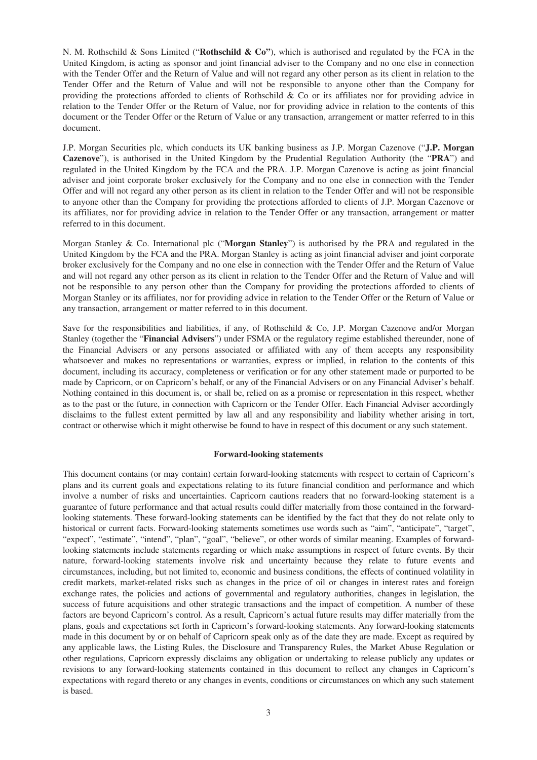N. M. Rothschild & Sons Limited ("**Rothschild & Co"**), which is authorised and regulated by the FCA in the United Kingdom, is acting as sponsor and joint financial adviser to the Company and no one else in connection with the Tender Offer and the Return of Value and will not regard any other person as its client in relation to the Tender Offer and the Return of Value and will not be responsible to anyone other than the Company for providing the protections afforded to clients of Rothschild & Co or its affiliates nor for providing advice in relation to the Tender Offer or the Return of Value, nor for providing advice in relation to the contents of this document or the Tender Offer or the Return of Value or any transaction, arrangement or matter referred to in this document.

J.P. Morgan Securities plc, which conducts its UK banking business as J.P. Morgan Cazenove ("**J.P. Morgan Cazenove**"), is authorised in the United Kingdom by the Prudential Regulation Authority (the "**PRA**") and regulated in the United Kingdom by the FCA and the PRA. J.P. Morgan Cazenove is acting as joint financial adviser and joint corporate broker exclusively for the Company and no one else in connection with the Tender Offer and will not regard any other person as its client in relation to the Tender Offer and will not be responsible to anyone other than the Company for providing the protections afforded to clients of J.P. Morgan Cazenove or its affiliates, nor for providing advice in relation to the Tender Offer or any transaction, arrangement or matter referred to in this document.

Morgan Stanley & Co. International plc ("**Morgan Stanley**") is authorised by the PRA and regulated in the United Kingdom by the FCA and the PRA. Morgan Stanley is acting as joint financial adviser and joint corporate broker exclusively for the Company and no one else in connection with the Tender Offer and the Return of Value and will not regard any other person as its client in relation to the Tender Offer and the Return of Value and will not be responsible to any person other than the Company for providing the protections afforded to clients of Morgan Stanley or its affiliates, nor for providing advice in relation to the Tender Offer or the Return of Value or any transaction, arrangement or matter referred to in this document.

Save for the responsibilities and liabilities, if any, of Rothschild & Co, J.P. Morgan Cazenove and/or Morgan Stanley (together the "**Financial Advisers**") under FSMA or the regulatory regime established thereunder, none of the Financial Advisers or any persons associated or affiliated with any of them accepts any responsibility whatsoever and makes no representations or warranties, express or implied, in relation to the contents of this document, including its accuracy, completeness or verification or for any other statement made or purported to be made by Capricorn, or on Capricorn's behalf, or any of the Financial Advisers or on any Financial Adviser's behalf. Nothing contained in this document is, or shall be, relied on as a promise or representation in this respect, whether as to the past or the future, in connection with Capricorn or the Tender Offer. Each Financial Adviser accordingly disclaims to the fullest extent permitted by law all and any responsibility and liability whether arising in tort, contract or otherwise which it might otherwise be found to have in respect of this document or any such statement.

#### **Forward-looking statements**

This document contains (or may contain) certain forward-looking statements with respect to certain of Capricorn's plans and its current goals and expectations relating to its future financial condition and performance and which involve a number of risks and uncertainties. Capricorn cautions readers that no forward-looking statement is a guarantee of future performance and that actual results could differ materially from those contained in the forwardlooking statements. These forward-looking statements can be identified by the fact that they do not relate only to historical or current facts. Forward-looking statements sometimes use words such as "aim", "anticipate", "target", "expect", "estimate", "intend", "plan", "goal", "believe", or other words of similar meaning. Examples of forwardlooking statements include statements regarding or which make assumptions in respect of future events. By their nature, forward-looking statements involve risk and uncertainty because they relate to future events and circumstances, including, but not limited to, economic and business conditions, the effects of continued volatility in credit markets, market-related risks such as changes in the price of oil or changes in interest rates and foreign exchange rates, the policies and actions of governmental and regulatory authorities, changes in legislation, the success of future acquisitions and other strategic transactions and the impact of competition. A number of these factors are beyond Capricorn's control. As a result, Capricorn's actual future results may differ materially from the plans, goals and expectations set forth in Capricorn's forward-looking statements. Any forward-looking statements made in this document by or on behalf of Capricorn speak only as of the date they are made. Except as required by any applicable laws, the Listing Rules, the Disclosure and Transparency Rules, the Market Abuse Regulation or other regulations, Capricorn expressly disclaims any obligation or undertaking to release publicly any updates or revisions to any forward-looking statements contained in this document to reflect any changes in Capricorn's expectations with regard thereto or any changes in events, conditions or circumstances on which any such statement is based.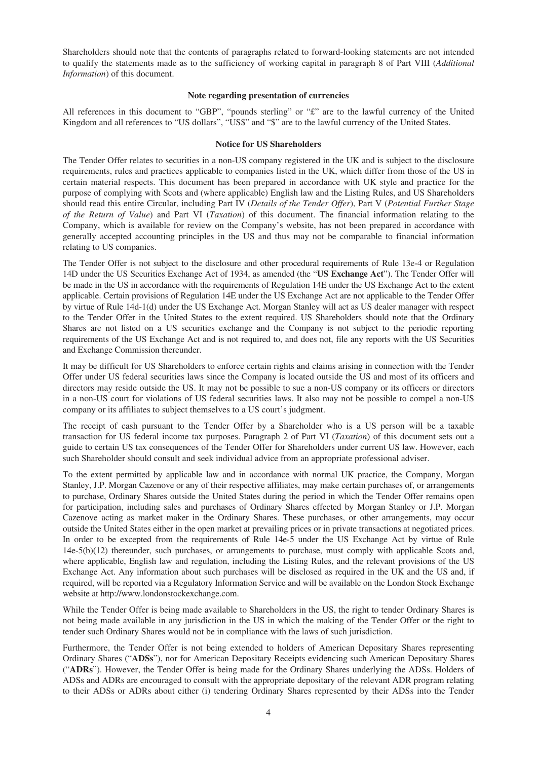Shareholders should note that the contents of paragraphs related to forward-looking statements are not intended to qualify the statements made as to the sufficiency of working capital in paragraph 8 of Part VIII (*Additional Information*) of this document.

### **Note regarding presentation of currencies**

All references in this document to "GBP", "pounds sterling" or "£" are to the lawful currency of the United Kingdom and all references to "US dollars", "US\$" and "\$" are to the lawful currency of the United States.

## **Notice for US Shareholders**

The Tender Offer relates to securities in a non-US company registered in the UK and is subject to the disclosure requirements, rules and practices applicable to companies listed in the UK, which differ from those of the US in certain material respects. This document has been prepared in accordance with UK style and practice for the purpose of complying with Scots and (where applicable) English law and the Listing Rules, and US Shareholders should read this entire Circular, including Part IV (*Details of the Tender Offer*), Part V (*Potential Further Stage of the Return of Value*) and Part VI (*Taxation*) of this document. The financial information relating to the Company, which is available for review on the Company's website, has not been prepared in accordance with generally accepted accounting principles in the US and thus may not be comparable to financial information relating to US companies.

The Tender Offer is not subject to the disclosure and other procedural requirements of Rule 13e-4 or Regulation 14D under the US Securities Exchange Act of 1934, as amended (the "**US Exchange Act**"). The Tender Offer will be made in the US in accordance with the requirements of Regulation 14E under the US Exchange Act to the extent applicable. Certain provisions of Regulation 14E under the US Exchange Act are not applicable to the Tender Offer by virtue of Rule 14d-1(d) under the US Exchange Act. Morgan Stanley will act as US dealer manager with respect to the Tender Offer in the United States to the extent required. US Shareholders should note that the Ordinary Shares are not listed on a US securities exchange and the Company is not subject to the periodic reporting requirements of the US Exchange Act and is not required to, and does not, file any reports with the US Securities and Exchange Commission thereunder.

It may be difficult for US Shareholders to enforce certain rights and claims arising in connection with the Tender Offer under US federal securities laws since the Company is located outside the US and most of its officers and directors may reside outside the US. It may not be possible to sue a non-US company or its officers or directors in a non-US court for violations of US federal securities laws. It also may not be possible to compel a non-US company or its affiliates to subject themselves to a US court's judgment.

The receipt of cash pursuant to the Tender Offer by a Shareholder who is a US person will be a taxable transaction for US federal income tax purposes. Paragraph 2 of Part VI (*Taxation*) of this document sets out a guide to certain US tax consequences of the Tender Offer for Shareholders under current US law. However, each such Shareholder should consult and seek individual advice from an appropriate professional adviser.

To the extent permitted by applicable law and in accordance with normal UK practice, the Company, Morgan Stanley, J.P. Morgan Cazenove or any of their respective affiliates, may make certain purchases of, or arrangements to purchase, Ordinary Shares outside the United States during the period in which the Tender Offer remains open for participation, including sales and purchases of Ordinary Shares effected by Morgan Stanley or J.P. Morgan Cazenove acting as market maker in the Ordinary Shares. These purchases, or other arrangements, may occur outside the United States either in the open market at prevailing prices or in private transactions at negotiated prices. In order to be excepted from the requirements of Rule 14e-5 under the US Exchange Act by virtue of Rule 14e-5(b)(12) thereunder, such purchases, or arrangements to purchase, must comply with applicable Scots and, where applicable, English law and regulation, including the Listing Rules, and the relevant provisions of the US Exchange Act. Any information about such purchases will be disclosed as required in the UK and the US and, if required, will be reported via a Regulatory Information Service and will be available on the London Stock Exchange website at http://www.londonstockexchange.com.

While the Tender Offer is being made available to Shareholders in the US, the right to tender Ordinary Shares is not being made available in any jurisdiction in the US in which the making of the Tender Offer or the right to tender such Ordinary Shares would not be in compliance with the laws of such jurisdiction.

Furthermore, the Tender Offer is not being extended to holders of American Depositary Shares representing Ordinary Shares ("**ADSs**"), nor for American Depositary Receipts evidencing such American Depositary Shares ("**ADRs**"). However, the Tender Offer is being made for the Ordinary Shares underlying the ADSs. Holders of ADSs and ADRs are encouraged to consult with the appropriate depositary of the relevant ADR program relating to their ADSs or ADRs about either (i) tendering Ordinary Shares represented by their ADSs into the Tender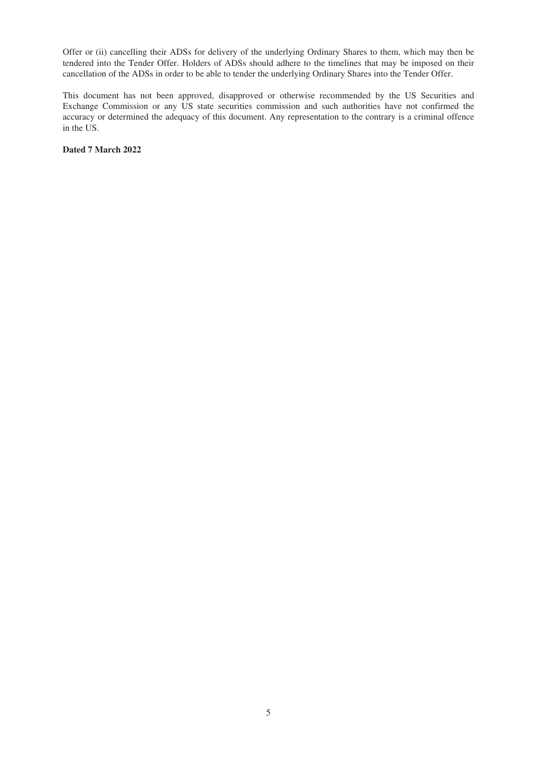Offer or (ii) cancelling their ADSs for delivery of the underlying Ordinary Shares to them, which may then be tendered into the Tender Offer. Holders of ADSs should adhere to the timelines that may be imposed on their cancellation of the ADSs in order to be able to tender the underlying Ordinary Shares into the Tender Offer.

This document has not been approved, disapproved or otherwise recommended by the US Securities and Exchange Commission or any US state securities commission and such authorities have not confirmed the accuracy or determined the adequacy of this document. Any representation to the contrary is a criminal offence in the US.

**Dated 7 March 2022**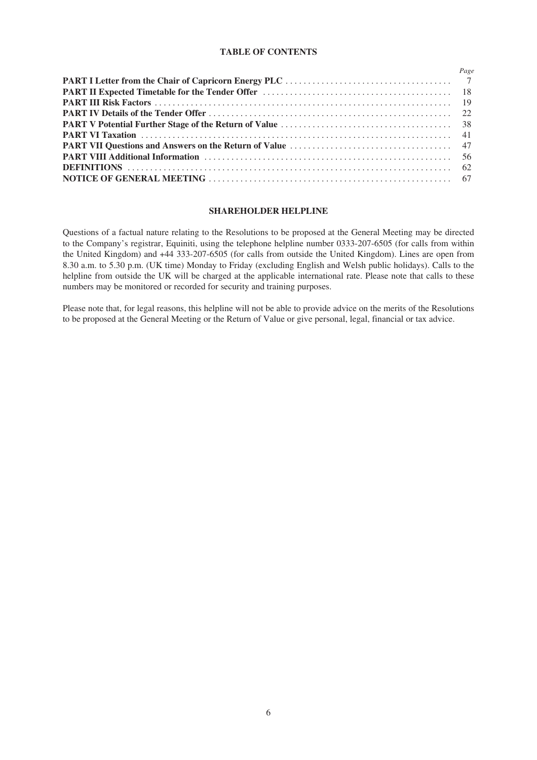### **TABLE OF CONTENTS**

| Page |
|------|
|      |
|      |
|      |
|      |
|      |
|      |
|      |
|      |
|      |
|      |

## **SHAREHOLDER HELPLINE**

Questions of a factual nature relating to the Resolutions to be proposed at the General Meeting may be directed to the Company's registrar, Equiniti, using the telephone helpline number 0333-207-6505 (for calls from within the United Kingdom) and +44 333-207-6505 (for calls from outside the United Kingdom). Lines are open from 8.30 a.m. to 5.30 p.m. (UK time) Monday to Friday (excluding English and Welsh public holidays). Calls to the helpline from outside the UK will be charged at the applicable international rate. Please note that calls to these numbers may be monitored or recorded for security and training purposes.

Please note that, for legal reasons, this helpline will not be able to provide advice on the merits of the Resolutions to be proposed at the General Meeting or the Return of Value or give personal, legal, financial or tax advice.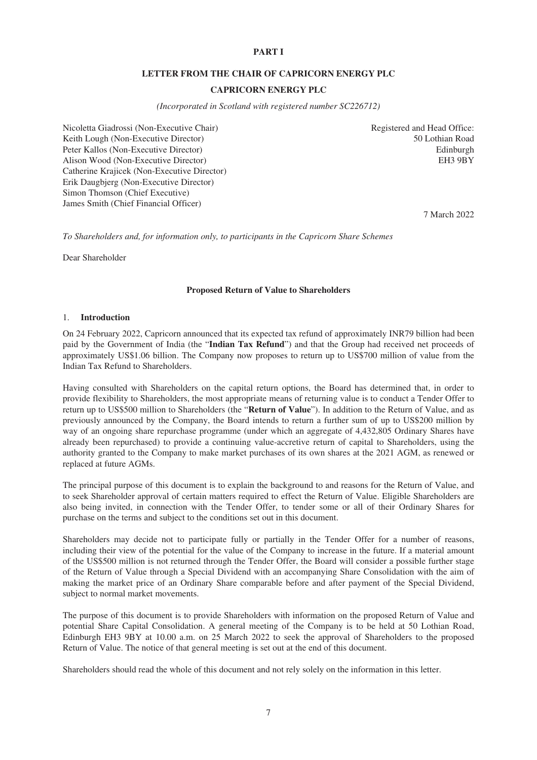# **PART I**

## **LETTER FROM THE CHAIR OF CAPRICORN ENERGY PLC**

# **CAPRICORN ENERGY PLC**

*(Incorporated in Scotland with registered number SC226712)*

<span id="page-6-0"></span>Nicoletta Giadrossi (Non-Executive Chair) Registered and Head Office: Keith Lough (Non-Executive Director) 50 Lothian Road Peter Kallos (Non-Executive Director) and the settlement of the settlement of the Edinburgh edinburgh edinburgh Alison Wood (Non-Executive Director) Catherine Krajicek (Non-Executive Director) Erik Daugbjerg (Non-Executive Director) Simon Thomson (Chief Executive) James Smith (Chief Financial Officer)

EH3 9BY

7 March 2022

*To Shareholders and, for information only, to participants in the Capricorn Share Schemes*

Dear Shareholder

#### **Proposed Return of Value to Shareholders**

#### 1. **Introduction**

On 24 February 2022, Capricorn announced that its expected tax refund of approximately INR79 billion had been paid by the Government of India (the "**Indian Tax Refund**") and that the Group had received net proceeds of approximately US\$1.06 billion. The Company now proposes to return up to US\$700 million of value from the Indian Tax Refund to Shareholders.

Having consulted with Shareholders on the capital return options, the Board has determined that, in order to provide flexibility to Shareholders, the most appropriate means of returning value is to conduct a Tender Offer to return up to US\$500 million to Shareholders (the "**Return of Value**"). In addition to the Return of Value, and as previously announced by the Company, the Board intends to return a further sum of up to US\$200 million by way of an ongoing share repurchase programme (under which an aggregate of 4,432,805 Ordinary Shares have already been repurchased) to provide a continuing value-accretive return of capital to Shareholders, using the authority granted to the Company to make market purchases of its own shares at the 2021 AGM, as renewed or replaced at future AGMs.

The principal purpose of this document is to explain the background to and reasons for the Return of Value, and to seek Shareholder approval of certain matters required to effect the Return of Value. Eligible Shareholders are also being invited, in connection with the Tender Offer, to tender some or all of their Ordinary Shares for purchase on the terms and subject to the conditions set out in this document.

Shareholders may decide not to participate fully or partially in the Tender Offer for a number of reasons, including their view of the potential for the value of the Company to increase in the future. If a material amount of the US\$500 million is not returned through the Tender Offer, the Board will consider a possible further stage of the Return of Value through a Special Dividend with an accompanying Share Consolidation with the aim of making the market price of an Ordinary Share comparable before and after payment of the Special Dividend, subject to normal market movements.

The purpose of this document is to provide Shareholders with information on the proposed Return of Value and potential Share Capital Consolidation. A general meeting of the Company is to be held at 50 Lothian Road, Edinburgh EH3 9BY at 10.00 a.m. on 25 March 2022 to seek the approval of Shareholders to the proposed Return of Value. The notice of that general meeting is set out at the end of this document.

Shareholders should read the whole of this document and not rely solely on the information in this letter.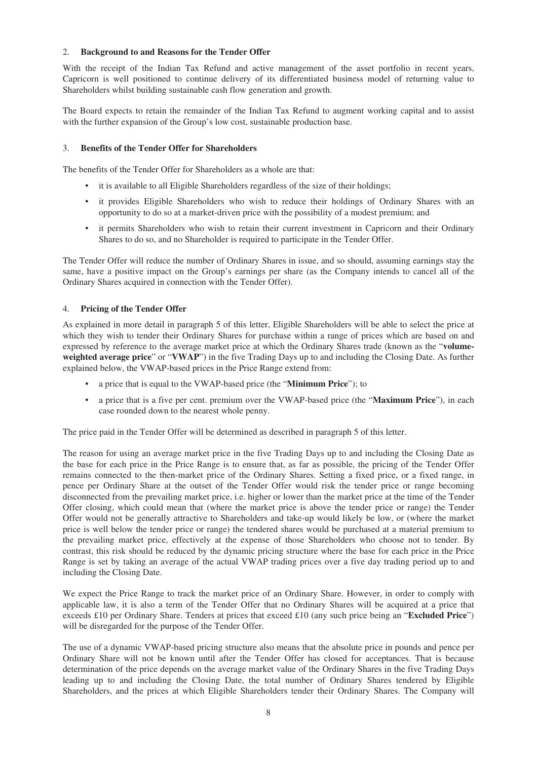## 2. **Background to and Reasons for the Tender Offer**

With the receipt of the Indian Tax Refund and active management of the asset portfolio in recent years, Capricorn is well positioned to continue delivery of its differentiated business model of returning value to Shareholders whilst building sustainable cash flow generation and growth.

The Board expects to retain the remainder of the Indian Tax Refund to augment working capital and to assist with the further expansion of the Group's low cost, sustainable production base.

### 3. **Benefits of the Tender Offer for Shareholders**

The benefits of the Tender Offer for Shareholders as a whole are that:

- it is available to all Eligible Shareholders regardless of the size of their holdings;
- it provides Eligible Shareholders who wish to reduce their holdings of Ordinary Shares with an opportunity to do so at a market-driven price with the possibility of a modest premium; and
- it permits Shareholders who wish to retain their current investment in Capricorn and their Ordinary Shares to do so, and no Shareholder is required to participate in the Tender Offer.

The Tender Offer will reduce the number of Ordinary Shares in issue, and so should, assuming earnings stay the same, have a positive impact on the Group's earnings per share (as the Company intends to cancel all of the Ordinary Shares acquired in connection with the Tender Offer).

### 4. **Pricing of the Tender Offer**

As explained in more detail in paragraph 5 of this letter, Eligible Shareholders will be able to select the price at which they wish to tender their Ordinary Shares for purchase within a range of prices which are based on and expressed by reference to the average market price at which the Ordinary Shares trade (known as the "**volumeweighted average price**" or "**VWAP**") in the five Trading Days up to and including the Closing Date. As further explained below, the VWAP-based prices in the Price Range extend from:

- a price that is equal to the VWAP-based price (the "**Minimum Price**"); to
- a price that is a five per cent. premium over the VWAP-based price (the "**Maximum Price**"), in each case rounded down to the nearest whole penny.

The price paid in the Tender Offer will be determined as described in paragraph 5 of this letter.

The reason for using an average market price in the five Trading Days up to and including the Closing Date as the base for each price in the Price Range is to ensure that, as far as possible, the pricing of the Tender Offer remains connected to the then-market price of the Ordinary Shares. Setting a fixed price, or a fixed range, in pence per Ordinary Share at the outset of the Tender Offer would risk the tender price or range becoming disconnected from the prevailing market price, i.e. higher or lower than the market price at the time of the Tender Offer closing, which could mean that (where the market price is above the tender price or range) the Tender Offer would not be generally attractive to Shareholders and take-up would likely be low, or (where the market price is well below the tender price or range) the tendered shares would be purchased at a material premium to the prevailing market price, effectively at the expense of those Shareholders who choose not to tender. By contrast, this risk should be reduced by the dynamic pricing structure where the base for each price in the Price Range is set by taking an average of the actual VWAP trading prices over a five day trading period up to and including the Closing Date.

We expect the Price Range to track the market price of an Ordinary Share. However, in order to comply with applicable law, it is also a term of the Tender Offer that no Ordinary Shares will be acquired at a price that exceeds £10 per Ordinary Share. Tenders at prices that exceed £10 (any such price being an "**Excluded Price**") will be disregarded for the purpose of the Tender Offer.

The use of a dynamic VWAP-based pricing structure also means that the absolute price in pounds and pence per Ordinary Share will not be known until after the Tender Offer has closed for acceptances. That is because determination of the price depends on the average market value of the Ordinary Shares in the five Trading Days leading up to and including the Closing Date, the total number of Ordinary Shares tendered by Eligible Shareholders, and the prices at which Eligible Shareholders tender their Ordinary Shares. The Company will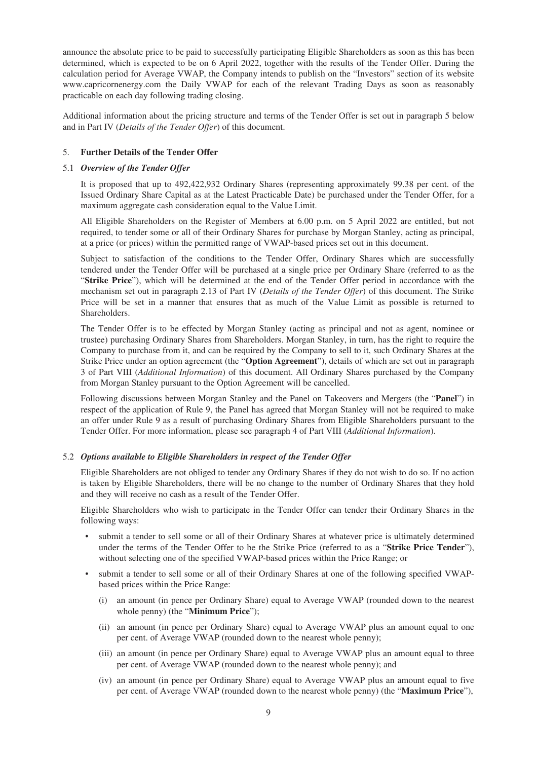announce the absolute price to be paid to successfully participating Eligible Shareholders as soon as this has been determined, which is expected to be on 6 April 2022, together with the results of the Tender Offer. During the calculation period for Average VWAP, the Company intends to publish on the "Investors" section of its website www.capricornenergy.com the Daily VWAP for each of the relevant Trading Days as soon as reasonably practicable on each day following trading closing.

Additional information about the pricing structure and terms of the Tender Offer is set out in paragraph 5 below and in Part IV (*Details of the Tender Offer*) of this document.

## 5. **Further Details of the Tender Offer**

### 5.1 *Overview of the Tender Offer*

It is proposed that up to 492,422,932 Ordinary Shares (representing approximately 99.38 per cent. of the Issued Ordinary Share Capital as at the Latest Practicable Date) be purchased under the Tender Offer, for a maximum aggregate cash consideration equal to the Value Limit.

All Eligible Shareholders on the Register of Members at 6.00 p.m. on 5 April 2022 are entitled, but not required, to tender some or all of their Ordinary Shares for purchase by Morgan Stanley, acting as principal, at a price (or prices) within the permitted range of VWAP-based prices set out in this document.

Subject to satisfaction of the conditions to the Tender Offer, Ordinary Shares which are successfully tendered under the Tender Offer will be purchased at a single price per Ordinary Share (referred to as the "**Strike Price**"), which will be determined at the end of the Tender Offer period in accordance with the mechanism set out in paragraph 2.13 of Part IV (*Details of the Tender Offer*) of this document. The Strike Price will be set in a manner that ensures that as much of the Value Limit as possible is returned to Shareholders.

The Tender Offer is to be effected by Morgan Stanley (acting as principal and not as agent, nominee or trustee) purchasing Ordinary Shares from Shareholders. Morgan Stanley, in turn, has the right to require the Company to purchase from it, and can be required by the Company to sell to it, such Ordinary Shares at the Strike Price under an option agreement (the "**Option Agreement**"), details of which are set out in paragraph 3 of Part VIII (*Additional Information*) of this document. All Ordinary Shares purchased by the Company from Morgan Stanley pursuant to the Option Agreement will be cancelled.

Following discussions between Morgan Stanley and the Panel on Takeovers and Mergers (the "**Panel**") in respect of the application of Rule 9, the Panel has agreed that Morgan Stanley will not be required to make an offer under Rule 9 as a result of purchasing Ordinary Shares from Eligible Shareholders pursuant to the Tender Offer. For more information, please see paragraph 4 of Part VIII (*Additional Information*).

## 5.2 *Options available to Eligible Shareholders in respect of the Tender Offer*

Eligible Shareholders are not obliged to tender any Ordinary Shares if they do not wish to do so. If no action is taken by Eligible Shareholders, there will be no change to the number of Ordinary Shares that they hold and they will receive no cash as a result of the Tender Offer.

Eligible Shareholders who wish to participate in the Tender Offer can tender their Ordinary Shares in the following ways:

- submit a tender to sell some or all of their Ordinary Shares at whatever price is ultimately determined under the terms of the Tender Offer to be the Strike Price (referred to as a "**Strike Price Tender**"), without selecting one of the specified VWAP-based prices within the Price Range; or
- submit a tender to sell some or all of their Ordinary Shares at one of the following specified VWAPbased prices within the Price Range:
	- (i) an amount (in pence per Ordinary Share) equal to Average VWAP (rounded down to the nearest whole penny) (the "**Minimum Price**");
	- (ii) an amount (in pence per Ordinary Share) equal to Average VWAP plus an amount equal to one per cent. of Average VWAP (rounded down to the nearest whole penny);
	- (iii) an amount (in pence per Ordinary Share) equal to Average VWAP plus an amount equal to three per cent. of Average VWAP (rounded down to the nearest whole penny); and
	- (iv) an amount (in pence per Ordinary Share) equal to Average VWAP plus an amount equal to five per cent. of Average VWAP (rounded down to the nearest whole penny) (the "**Maximum Price**"),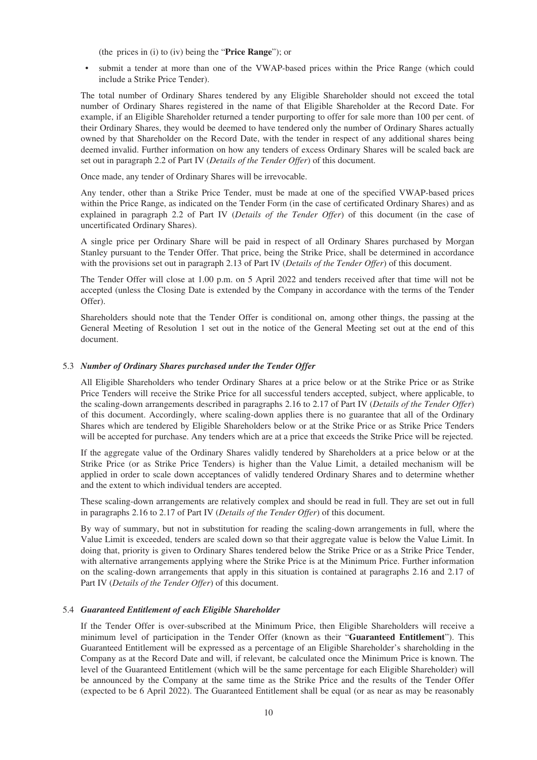(the prices in (i) to (iv) being the "**Price Range**"); or

• submit a tender at more than one of the VWAP-based prices within the Price Range (which could include a Strike Price Tender).

The total number of Ordinary Shares tendered by any Eligible Shareholder should not exceed the total number of Ordinary Shares registered in the name of that Eligible Shareholder at the Record Date. For example, if an Eligible Shareholder returned a tender purporting to offer for sale more than 100 per cent. of their Ordinary Shares, they would be deemed to have tendered only the number of Ordinary Shares actually owned by that Shareholder on the Record Date, with the tender in respect of any additional shares being deemed invalid. Further information on how any tenders of excess Ordinary Shares will be scaled back are set out in paragraph 2.2 of Part IV (*Details of the Tender Offer*) of this document.

Once made, any tender of Ordinary Shares will be irrevocable.

Any tender, other than a Strike Price Tender, must be made at one of the specified VWAP-based prices within the Price Range, as indicated on the Tender Form (in the case of certificated Ordinary Shares) and as explained in paragraph 2.2 of Part IV (*Details of the Tender Offer*) of this document (in the case of uncertificated Ordinary Shares).

A single price per Ordinary Share will be paid in respect of all Ordinary Shares purchased by Morgan Stanley pursuant to the Tender Offer. That price, being the Strike Price, shall be determined in accordance with the provisions set out in paragraph 2.13 of Part IV (*Details of the Tender Offer*) of this document.

The Tender Offer will close at 1.00 p.m. on 5 April 2022 and tenders received after that time will not be accepted (unless the Closing Date is extended by the Company in accordance with the terms of the Tender Offer).

Shareholders should note that the Tender Offer is conditional on, among other things, the passing at the General Meeting of Resolution 1 set out in the notice of the General Meeting set out at the end of this document.

### 5.3 *Number of Ordinary Shares purchased under the Tender Offer*

All Eligible Shareholders who tender Ordinary Shares at a price below or at the Strike Price or as Strike Price Tenders will receive the Strike Price for all successful tenders accepted, subject, where applicable, to the scaling-down arrangements described in paragraphs 2.16 to 2.17 of Part IV (*Details of the Tender Offer*) of this document. Accordingly, where scaling-down applies there is no guarantee that all of the Ordinary Shares which are tendered by Eligible Shareholders below or at the Strike Price or as Strike Price Tenders will be accepted for purchase. Any tenders which are at a price that exceeds the Strike Price will be rejected.

If the aggregate value of the Ordinary Shares validly tendered by Shareholders at a price below or at the Strike Price (or as Strike Price Tenders) is higher than the Value Limit, a detailed mechanism will be applied in order to scale down acceptances of validly tendered Ordinary Shares and to determine whether and the extent to which individual tenders are accepted.

These scaling-down arrangements are relatively complex and should be read in full. They are set out in full in paragraphs 2.16 to 2.17 of Part IV (*Details of the Tender Offer*) of this document.

By way of summary, but not in substitution for reading the scaling-down arrangements in full, where the Value Limit is exceeded, tenders are scaled down so that their aggregate value is below the Value Limit. In doing that, priority is given to Ordinary Shares tendered below the Strike Price or as a Strike Price Tender, with alternative arrangements applying where the Strike Price is at the Minimum Price. Further information on the scaling-down arrangements that apply in this situation is contained at paragraphs 2.16 and 2.17 of Part IV (*Details of the Tender Offer*) of this document.

#### 5.4 *Guaranteed Entitlement of each Eligible Shareholder*

If the Tender Offer is over-subscribed at the Minimum Price, then Eligible Shareholders will receive a minimum level of participation in the Tender Offer (known as their "**Guaranteed Entitlement**"). This Guaranteed Entitlement will be expressed as a percentage of an Eligible Shareholder's shareholding in the Company as at the Record Date and will, if relevant, be calculated once the Minimum Price is known. The level of the Guaranteed Entitlement (which will be the same percentage for each Eligible Shareholder) will be announced by the Company at the same time as the Strike Price and the results of the Tender Offer (expected to be 6 April 2022). The Guaranteed Entitlement shall be equal (or as near as may be reasonably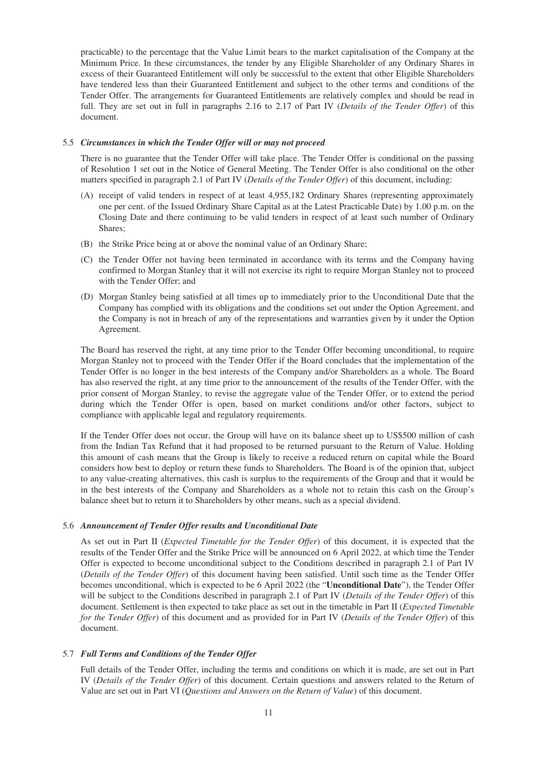practicable) to the percentage that the Value Limit bears to the market capitalisation of the Company at the Minimum Price. In these circumstances, the tender by any Eligible Shareholder of any Ordinary Shares in excess of their Guaranteed Entitlement will only be successful to the extent that other Eligible Shareholders have tendered less than their Guaranteed Entitlement and subject to the other terms and conditions of the Tender Offer. The arrangements for Guaranteed Entitlements are relatively complex and should be read in full. They are set out in full in paragraphs 2.16 to 2.17 of Part IV (*Details of the Tender Offer*) of this document.

## 5.5 *Circumstances in which the Tender Offer will or may not proceed*

There is no guarantee that the Tender Offer will take place. The Tender Offer is conditional on the passing of Resolution 1 set out in the Notice of General Meeting. The Tender Offer is also conditional on the other matters specified in paragraph 2.1 of Part IV (*Details of the Tender Offer*) of this document, including:

- (A) receipt of valid tenders in respect of at least 4,955,182 Ordinary Shares (representing approximately one per cent. of the Issued Ordinary Share Capital as at the Latest Practicable Date) by 1.00 p.m. on the Closing Date and there continuing to be valid tenders in respect of at least such number of Ordinary Shares;
- (B) the Strike Price being at or above the nominal value of an Ordinary Share;
- (C) the Tender Offer not having been terminated in accordance with its terms and the Company having confirmed to Morgan Stanley that it will not exercise its right to require Morgan Stanley not to proceed with the Tender Offer; and
- (D) Morgan Stanley being satisfied at all times up to immediately prior to the Unconditional Date that the Company has complied with its obligations and the conditions set out under the Option Agreement, and the Company is not in breach of any of the representations and warranties given by it under the Option Agreement.

The Board has reserved the right, at any time prior to the Tender Offer becoming unconditional, to require Morgan Stanley not to proceed with the Tender Offer if the Board concludes that the implementation of the Tender Offer is no longer in the best interests of the Company and/or Shareholders as a whole. The Board has also reserved the right, at any time prior to the announcement of the results of the Tender Offer, with the prior consent of Morgan Stanley, to revise the aggregate value of the Tender Offer, or to extend the period during which the Tender Offer is open, based on market conditions and/or other factors, subject to compliance with applicable legal and regulatory requirements.

If the Tender Offer does not occur, the Group will have on its balance sheet up to US\$500 million of cash from the Indian Tax Refund that it had proposed to be returned pursuant to the Return of Value. Holding this amount of cash means that the Group is likely to receive a reduced return on capital while the Board considers how best to deploy or return these funds to Shareholders. The Board is of the opinion that, subject to any value-creating alternatives, this cash is surplus to the requirements of the Group and that it would be in the best interests of the Company and Shareholders as a whole not to retain this cash on the Group's balance sheet but to return it to Shareholders by other means, such as a special dividend.

#### 5.6 *Announcement of Tender Offer results and Unconditional Date*

As set out in Part II (*Expected Timetable for the Tender Offer*) of this document, it is expected that the results of the Tender Offer and the Strike Price will be announced on 6 April 2022, at which time the Tender Offer is expected to become unconditional subject to the Conditions described in paragraph 2.1 of Part IV (*Details of the Tender Offer*) of this document having been satisfied. Until such time as the Tender Offer becomes unconditional, which is expected to be 6 April 2022 (the "**Unconditional Date**"), the Tender Offer will be subject to the Conditions described in paragraph 2.1 of Part IV (*Details of the Tender Offer*) of this document. Settlement is then expected to take place as set out in the timetable in Part II (*Expected Timetable for the Tender Offer*) of this document and as provided for in Part IV (*Details of the Tender Offer*) of this document.

## 5.7 *Full Terms and Conditions of the Tender Offer*

Full details of the Tender Offer, including the terms and conditions on which it is made, are set out in Part IV (*Details of the Tender Offer*) of this document. Certain questions and answers related to the Return of Value are set out in Part VI (*Questions and Answers on the Return of Value*) of this document.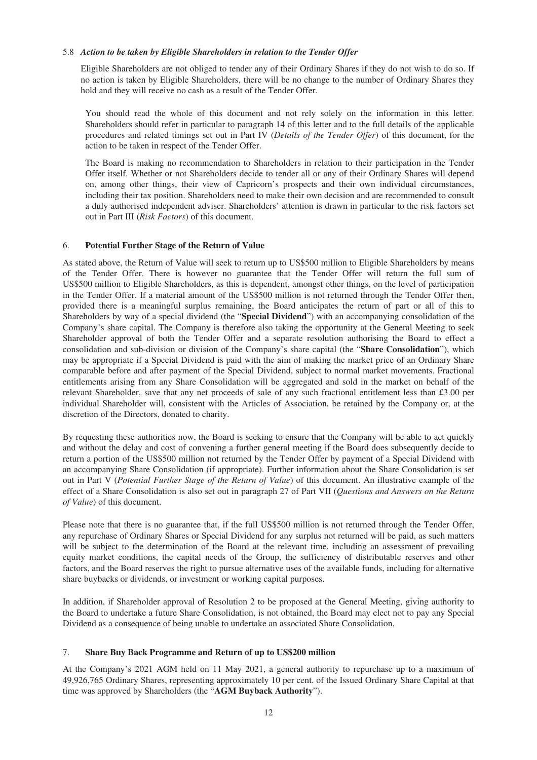## 5.8 *Action to be taken by Eligible Shareholders in relation to the Tender Offer*

Eligible Shareholders are not obliged to tender any of their Ordinary Shares if they do not wish to do so. If no action is taken by Eligible Shareholders, there will be no change to the number of Ordinary Shares they hold and they will receive no cash as a result of the Tender Offer.

You should read the whole of this document and not rely solely on the information in this letter. Shareholders should refer in particular to paragraph 14 of this letter and to the full details of the applicable procedures and related timings set out in Part IV (*Details of the Tender Offer*) of this document, for the action to be taken in respect of the Tender Offer.

The Board is making no recommendation to Shareholders in relation to their participation in the Tender Offer itself. Whether or not Shareholders decide to tender all or any of their Ordinary Shares will depend on, among other things, their view of Capricorn's prospects and their own individual circumstances, including their tax position. Shareholders need to make their own decision and are recommended to consult a duly authorised independent adviser. Shareholders' attention is drawn in particular to the risk factors set out in Part III (*Risk Factors*) of this document.

# 6. **Potential Further Stage of the Return of Value**

As stated above, the Return of Value will seek to return up to US\$500 million to Eligible Shareholders by means of the Tender Offer. There is however no guarantee that the Tender Offer will return the full sum of US\$500 million to Eligible Shareholders, as this is dependent, amongst other things, on the level of participation in the Tender Offer. If a material amount of the US\$500 million is not returned through the Tender Offer then, provided there is a meaningful surplus remaining, the Board anticipates the return of part or all of this to Shareholders by way of a special dividend (the "**Special Dividend**") with an accompanying consolidation of the Company's share capital. The Company is therefore also taking the opportunity at the General Meeting to seek Shareholder approval of both the Tender Offer and a separate resolution authorising the Board to effect a consolidation and sub-division or division of the Company's share capital (the "**Share Consolidation**"), which may be appropriate if a Special Dividend is paid with the aim of making the market price of an Ordinary Share comparable before and after payment of the Special Dividend, subject to normal market movements. Fractional entitlements arising from any Share Consolidation will be aggregated and sold in the market on behalf of the relevant Shareholder, save that any net proceeds of sale of any such fractional entitlement less than £3.00 per individual Shareholder will, consistent with the Articles of Association, be retained by the Company or, at the discretion of the Directors, donated to charity.

By requesting these authorities now, the Board is seeking to ensure that the Company will be able to act quickly and without the delay and cost of convening a further general meeting if the Board does subsequently decide to return a portion of the US\$500 million not returned by the Tender Offer by payment of a Special Dividend with an accompanying Share Consolidation (if appropriate). Further information about the Share Consolidation is set out in Part V (*Potential Further Stage of the Return of Value*) of this document. An illustrative example of the effect of a Share Consolidation is also set out in paragraph 27 of Part VII (*Questions and Answers on the Return of Value*) of this document.

Please note that there is no guarantee that, if the full US\$500 million is not returned through the Tender Offer, any repurchase of Ordinary Shares or Special Dividend for any surplus not returned will be paid, as such matters will be subject to the determination of the Board at the relevant time, including an assessment of prevailing equity market conditions, the capital needs of the Group, the sufficiency of distributable reserves and other factors, and the Board reserves the right to pursue alternative uses of the available funds, including for alternative share buybacks or dividends, or investment or working capital purposes.

In addition, if Shareholder approval of Resolution 2 to be proposed at the General Meeting, giving authority to the Board to undertake a future Share Consolidation, is not obtained, the Board may elect not to pay any Special Dividend as a consequence of being unable to undertake an associated Share Consolidation.

## 7. **Share Buy Back Programme and Return of up to US\$200 million**

At the Company's 2021 AGM held on 11 May 2021, a general authority to repurchase up to a maximum of 49,926,765 Ordinary Shares, representing approximately 10 per cent. of the Issued Ordinary Share Capital at that time was approved by Shareholders (the "**AGM Buyback Authority**").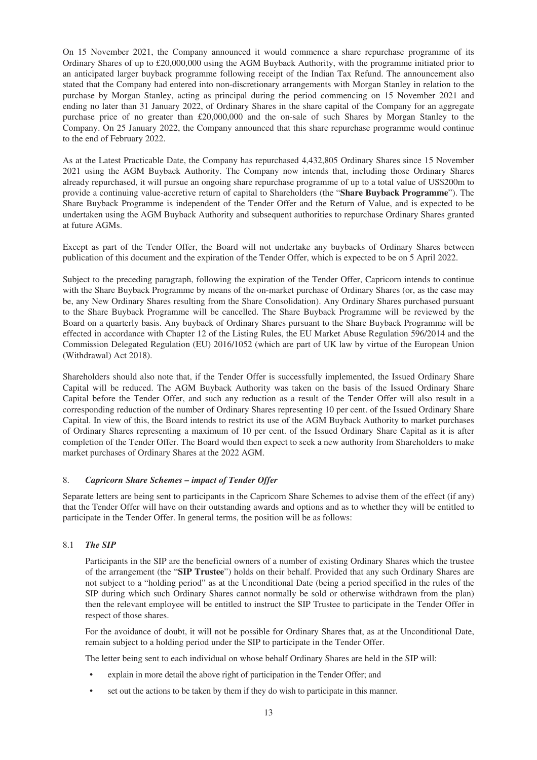On 15 November 2021, the Company announced it would commence a share repurchase programme of its Ordinary Shares of up to £20,000,000 using the AGM Buyback Authority, with the programme initiated prior to an anticipated larger buyback programme following receipt of the Indian Tax Refund. The announcement also stated that the Company had entered into non-discretionary arrangements with Morgan Stanley in relation to the purchase by Morgan Stanley, acting as principal during the period commencing on 15 November 2021 and ending no later than 31 January 2022, of Ordinary Shares in the share capital of the Company for an aggregate purchase price of no greater than £20,000,000 and the on-sale of such Shares by Morgan Stanley to the Company. On 25 January 2022, the Company announced that this share repurchase programme would continue to the end of February 2022.

As at the Latest Practicable Date, the Company has repurchased 4,432,805 Ordinary Shares since 15 November 2021 using the AGM Buyback Authority. The Company now intends that, including those Ordinary Shares already repurchased, it will pursue an ongoing share repurchase programme of up to a total value of US\$200m to provide a continuing value-accretive return of capital to Shareholders (the "**Share Buyback Programme**"). The Share Buyback Programme is independent of the Tender Offer and the Return of Value, and is expected to be undertaken using the AGM Buyback Authority and subsequent authorities to repurchase Ordinary Shares granted at future AGMs.

Except as part of the Tender Offer, the Board will not undertake any buybacks of Ordinary Shares between publication of this document and the expiration of the Tender Offer, which is expected to be on 5 April 2022.

Subject to the preceding paragraph, following the expiration of the Tender Offer, Capricorn intends to continue with the Share Buyback Programme by means of the on-market purchase of Ordinary Shares (or, as the case may be, any New Ordinary Shares resulting from the Share Consolidation). Any Ordinary Shares purchased pursuant to the Share Buyback Programme will be cancelled. The Share Buyback Programme will be reviewed by the Board on a quarterly basis. Any buyback of Ordinary Shares pursuant to the Share Buyback Programme will be effected in accordance with Chapter 12 of the Listing Rules, the EU Market Abuse Regulation 596/2014 and the Commission Delegated Regulation (EU) 2016/1052 (which are part of UK law by virtue of the European Union (Withdrawal) Act 2018).

Shareholders should also note that, if the Tender Offer is successfully implemented, the Issued Ordinary Share Capital will be reduced. The AGM Buyback Authority was taken on the basis of the Issued Ordinary Share Capital before the Tender Offer, and such any reduction as a result of the Tender Offer will also result in a corresponding reduction of the number of Ordinary Shares representing 10 per cent. of the Issued Ordinary Share Capital. In view of this, the Board intends to restrict its use of the AGM Buyback Authority to market purchases of Ordinary Shares representing a maximum of 10 per cent. of the Issued Ordinary Share Capital as it is after completion of the Tender Offer. The Board would then expect to seek a new authority from Shareholders to make market purchases of Ordinary Shares at the 2022 AGM.

## 8. *Capricorn Share Schemes – impact of Tender Offer*

Separate letters are being sent to participants in the Capricorn Share Schemes to advise them of the effect (if any) that the Tender Offer will have on their outstanding awards and options and as to whether they will be entitled to participate in the Tender Offer. In general terms, the position will be as follows:

# 8.1 *The SIP*

Participants in the SIP are the beneficial owners of a number of existing Ordinary Shares which the trustee of the arrangement (the "**SIP Trustee**") holds on their behalf. Provided that any such Ordinary Shares are not subject to a "holding period" as at the Unconditional Date (being a period specified in the rules of the SIP during which such Ordinary Shares cannot normally be sold or otherwise withdrawn from the plan) then the relevant employee will be entitled to instruct the SIP Trustee to participate in the Tender Offer in respect of those shares.

For the avoidance of doubt, it will not be possible for Ordinary Shares that, as at the Unconditional Date, remain subject to a holding period under the SIP to participate in the Tender Offer.

The letter being sent to each individual on whose behalf Ordinary Shares are held in the SIP will:

- explain in more detail the above right of participation in the Tender Offer; and
- set out the actions to be taken by them if they do wish to participate in this manner.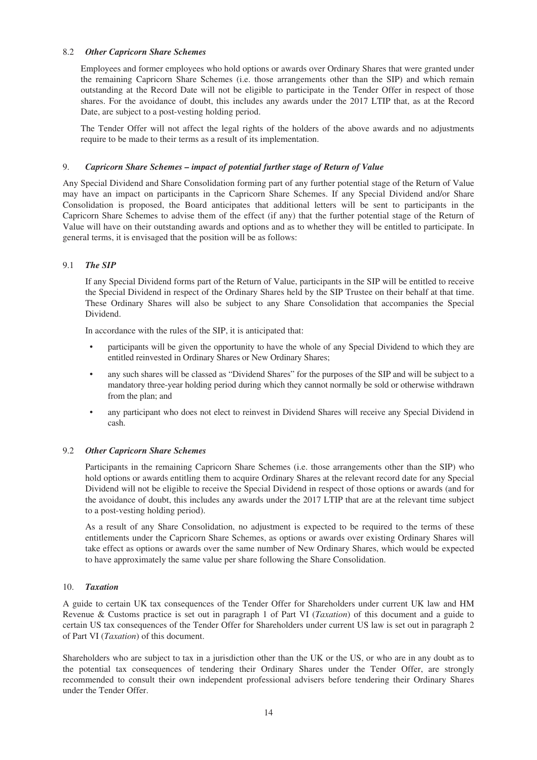## 8.2 *Other Capricorn Share Schemes*

Employees and former employees who hold options or awards over Ordinary Shares that were granted under the remaining Capricorn Share Schemes (i.e. those arrangements other than the SIP) and which remain outstanding at the Record Date will not be eligible to participate in the Tender Offer in respect of those shares. For the avoidance of doubt, this includes any awards under the 2017 LTIP that, as at the Record Date, are subject to a post-vesting holding period.

The Tender Offer will not affect the legal rights of the holders of the above awards and no adjustments require to be made to their terms as a result of its implementation.

### 9. *Capricorn Share Schemes – impact of potential further stage of Return of Value*

Any Special Dividend and Share Consolidation forming part of any further potential stage of the Return of Value may have an impact on participants in the Capricorn Share Schemes. If any Special Dividend and/or Share Consolidation is proposed, the Board anticipates that additional letters will be sent to participants in the Capricorn Share Schemes to advise them of the effect (if any) that the further potential stage of the Return of Value will have on their outstanding awards and options and as to whether they will be entitled to participate. In general terms, it is envisaged that the position will be as follows:

### 9.1 *The SIP*

If any Special Dividend forms part of the Return of Value, participants in the SIP will be entitled to receive the Special Dividend in respect of the Ordinary Shares held by the SIP Trustee on their behalf at that time. These Ordinary Shares will also be subject to any Share Consolidation that accompanies the Special Dividend.

In accordance with the rules of the SIP, it is anticipated that:

- participants will be given the opportunity to have the whole of any Special Dividend to which they are entitled reinvested in Ordinary Shares or New Ordinary Shares;
- any such shares will be classed as "Dividend Shares" for the purposes of the SIP and will be subject to a mandatory three-year holding period during which they cannot normally be sold or otherwise withdrawn from the plan; and
- any participant who does not elect to reinvest in Dividend Shares will receive any Special Dividend in cash.

#### 9.2 *Other Capricorn Share Schemes*

Participants in the remaining Capricorn Share Schemes (i.e. those arrangements other than the SIP) who hold options or awards entitling them to acquire Ordinary Shares at the relevant record date for any Special Dividend will not be eligible to receive the Special Dividend in respect of those options or awards (and for the avoidance of doubt, this includes any awards under the 2017 LTIP that are at the relevant time subject to a post-vesting holding period).

As a result of any Share Consolidation, no adjustment is expected to be required to the terms of these entitlements under the Capricorn Share Schemes, as options or awards over existing Ordinary Shares will take effect as options or awards over the same number of New Ordinary Shares, which would be expected to have approximately the same value per share following the Share Consolidation.

#### 10. *Taxation*

A guide to certain UK tax consequences of the Tender Offer for Shareholders under current UK law and HM Revenue & Customs practice is set out in paragraph 1 of Part VI (*Taxation*) of this document and a guide to certain US tax consequences of the Tender Offer for Shareholders under current US law is set out in paragraph 2 of Part VI (*Taxation*) of this document.

Shareholders who are subject to tax in a jurisdiction other than the UK or the US, or who are in any doubt as to the potential tax consequences of tendering their Ordinary Shares under the Tender Offer, are strongly recommended to consult their own independent professional advisers before tendering their Ordinary Shares under the Tender Offer.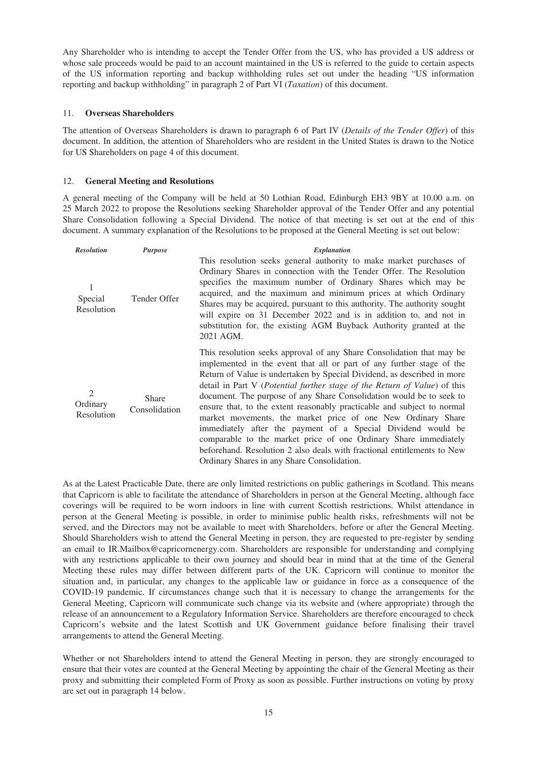Any Shareholder who is intending to accept the Tender Offer from the US, who has provided a US address or whose sale proceeds would be paid to an account maintained in the US is referred to the guide to certain aspects of the US information reporting and backup withholding rules set out under the heading "US information reporting and backup withholding" in paragraph 2 of Part VI (*Taxation*) of this document.

## 11. **Overseas Shareholders**

The attention of Overseas Shareholders is drawn to paragraph 6 of Part IV (*Details of the Tender Offer*) of this document. In addition, the attention of Shareholders who are resident in the United States is drawn to the Notice for US Shareholders on page 4 of this document.

# 12. **General Meeting and Resolutions**

A general meeting of the Company will be held at 50 Lothian Road, Edinburgh EH3 9BY at 10.00 a.m. on 25 March 2022 to propose the Resolutions seeking Shareholder approval of the Tender Offer and any potential Share Consolidation following a Special Dividend. The notice of that meeting is set out at the end of this document. A summary explanation of the Resolutions to be proposed at the General Meeting is set out below:

| <b>Resolution</b>                        | <b>Purpose</b>                | <b>Explanation</b>                                                                                                                                                                                                                                                                                                                                                                                                                                                                                                                                                                                                                                                                                                                                                                      |
|------------------------------------------|-------------------------------|-----------------------------------------------------------------------------------------------------------------------------------------------------------------------------------------------------------------------------------------------------------------------------------------------------------------------------------------------------------------------------------------------------------------------------------------------------------------------------------------------------------------------------------------------------------------------------------------------------------------------------------------------------------------------------------------------------------------------------------------------------------------------------------------|
| Special<br>Resolution                    | Tender Offer                  | This resolution seeks general authority to make market purchases of<br>Ordinary Shares in connection with the Tender Offer. The Resolution<br>specifies the maximum number of Ordinary Shares which may be<br>acquired, and the maximum and minimum prices at which Ordinary<br>Shares may be acquired, pursuant to this authority. The authority sought<br>will expire on 31 December 2022 and is in addition to, and not in<br>substitution for, the existing AGM Buyback Authority granted at the<br>2021 AGM.                                                                                                                                                                                                                                                                       |
| $\mathfrak{D}$<br>Ordinary<br>Resolution | <b>Share</b><br>Consolidation | This resolution seeks approval of any Share Consolidation that may be<br>implemented in the event that all or part of any further stage of the<br>Return of Value is undertaken by Special Dividend, as described in more<br>detail in Part V (Potential further stage of the Return of Value) of this<br>document. The purpose of any Share Consolidation would be to seek to<br>ensure that, to the extent reasonably practicable and subject to normal<br>market movements, the market price of one New Ordinary Share<br>immediately after the payment of a Special Dividend would be<br>comparable to the market price of one Ordinary Share immediately<br>beforehand. Resolution 2 also deals with fractional entitlements to New<br>Ordinary Shares in any Share Consolidation. |

As at the Latest Practicable Date, there are only limited restrictions on public gatherings in Scotland. This means that Capricorn is able to facilitate the attendance of Shareholders in person at the General Meeting, although face coverings will be required to be worn indoors in line with current Scottish restrictions. Whilst attendance in person at the General Meeting is possible, in order to minimise public health risks, refreshments will not be served, and the Directors may not be available to meet with Shareholders, before or after the General Meeting. Should Shareholders wish to attend the General Meeting in person, they are requested to pre-register by sending an email to IR.Mailbox@capricornenergy.com. Shareholders are responsible for understanding and complying with any restrictions applicable to their own journey and should bear in mind that at the time of the General Meeting these rules may differ between different parts of the UK. Capricorn will continue to monitor the situation and, in particular, any changes to the applicable law or guidance in force as a consequence of the COVID-19 pandemic. If circumstances change such that it is necessary to change the arrangements for the General Meeting, Capricorn will communicate such change via its website and (where appropriate) through the release of an announcement to a Regulatory Information Service. Shareholders are therefore encouraged to check Capricorn's website and the latest Scottish and UK Government guidance before finalising their travel arrangements to attend the General Meeting.

Whether or not Shareholders intend to attend the General Meeting in person, they are strongly encouraged to ensure that their votes are counted at the General Meeting by appointing the chair of the General Meeting as their proxy and submitting their completed Form of Proxy as soon as possible. Further instructions on voting by proxy are set out in paragraph 14 below.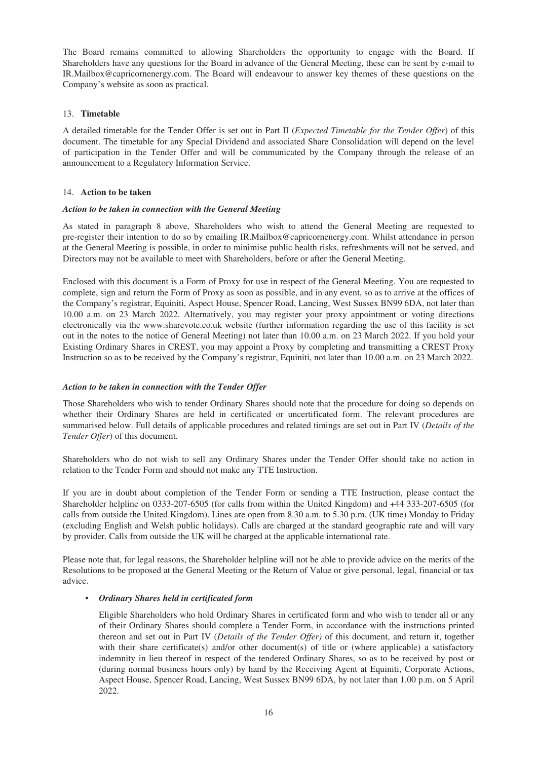The Board remains committed to allowing Shareholders the opportunity to engage with the Board. If Shareholders have any questions for the Board in advance of the General Meeting, these can be sent by e-mail to IR.Mailbox@capricornenergy.com. The Board will endeavour to answer key themes of these questions on the Company's website as soon as practical.

# 13. **Timetable**

A detailed timetable for the Tender Offer is set out in Part II (*Expected Timetable for the Tender Offer*) of this document. The timetable for any Special Dividend and associated Share Consolidation will depend on the level of participation in the Tender Offer and will be communicated by the Company through the release of an announcement to a Regulatory Information Service.

# 14. **Action to be taken**

## *Action to be taken in connection with the General Meeting*

As stated in paragraph 8 above, Shareholders who wish to attend the General Meeting are requested to pre-register their intention to do so by emailing IR.Mailbox@capricornenergy.com. Whilst attendance in person at the General Meeting is possible, in order to minimise public health risks, refreshments will not be served, and Directors may not be available to meet with Shareholders, before or after the General Meeting.

Enclosed with this document is a Form of Proxy for use in respect of the General Meeting. You are requested to complete, sign and return the Form of Proxy as soon as possible, and in any event, so as to arrive at the offices of the Company's registrar, Equiniti, Aspect House, Spencer Road, Lancing, West Sussex BN99 6DA, not later than 10.00 a.m. on 23 March 2022. Alternatively, you may register your proxy appointment or voting directions electronically via the www.sharevote.co.uk website (further information regarding the use of this facility is set out in the notes to the notice of General Meeting) not later than 10.00 a.m. on 23 March 2022. If you hold your Existing Ordinary Shares in CREST, you may appoint a Proxy by completing and transmitting a CREST Proxy Instruction so as to be received by the Company's registrar, Equiniti, not later than 10.00 a.m. on 23 March 2022.

## *Action to be taken in connection with the Tender Offer*

Those Shareholders who wish to tender Ordinary Shares should note that the procedure for doing so depends on whether their Ordinary Shares are held in certificated or uncertificated form. The relevant procedures are summarised below. Full details of applicable procedures and related timings are set out in Part IV (*Details of the Tender Offer*) of this document.

Shareholders who do not wish to sell any Ordinary Shares under the Tender Offer should take no action in relation to the Tender Form and should not make any TTE Instruction.

If you are in doubt about completion of the Tender Form or sending a TTE Instruction, please contact the Shareholder helpline on 0333-207-6505 (for calls from within the United Kingdom) and +44 333-207-6505 (for calls from outside the United Kingdom). Lines are open from 8.30 a.m. to 5.30 p.m. (UK time) Monday to Friday (excluding English and Welsh public holidays). Calls are charged at the standard geographic rate and will vary by provider. Calls from outside the UK will be charged at the applicable international rate.

Please note that, for legal reasons, the Shareholder helpline will not be able to provide advice on the merits of the Resolutions to be proposed at the General Meeting or the Return of Value or give personal, legal, financial or tax advice.

## • *Ordinary Shares held in certificated form*

Eligible Shareholders who hold Ordinary Shares in certificated form and who wish to tender all or any of their Ordinary Shares should complete a Tender Form, in accordance with the instructions printed thereon and set out in Part IV (*Details of the Tender Offer)* of this document, and return it, together with their share certificate(s) and/or other document(s) of title or (where applicable) a satisfactory indemnity in lieu thereof in respect of the tendered Ordinary Shares, so as to be received by post or (during normal business hours only) by hand by the Receiving Agent at Equiniti, Corporate Actions, Aspect House, Spencer Road, Lancing, West Sussex BN99 6DA, by not later than 1.00 p.m. on 5 April 2022.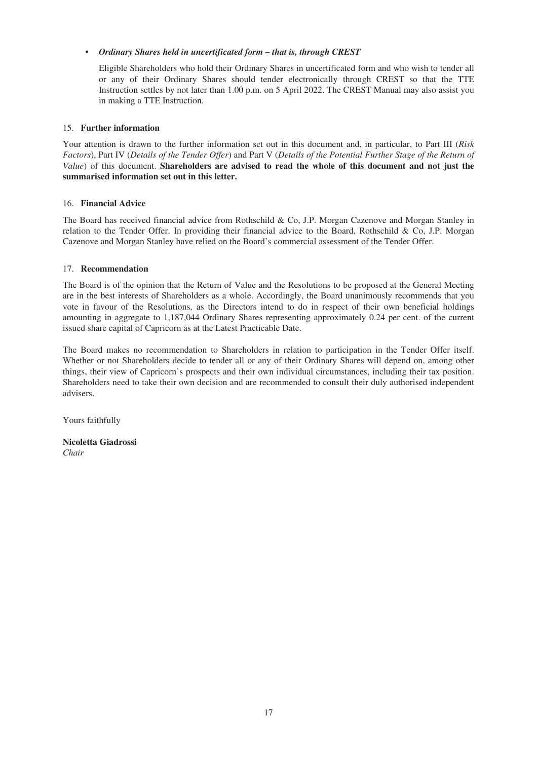# • *Ordinary Shares held in uncertificated form – that is, through CREST*

Eligible Shareholders who hold their Ordinary Shares in uncertificated form and who wish to tender all or any of their Ordinary Shares should tender electronically through CREST so that the TTE Instruction settles by not later than 1.00 p.m. on 5 April 2022. The CREST Manual may also assist you in making a TTE Instruction.

# 15. **Further information**

Your attention is drawn to the further information set out in this document and, in particular, to Part III (*Risk Factors*), Part IV (*Details of the Tender Offer*) and Part V (*Details of the Potential Further Stage of the Return of Value*) of this document. **Shareholders are advised to read the whole of this document and not just the summarised information set out in this letter.**

# 16. **Financial Advice**

The Board has received financial advice from Rothschild & Co, J.P. Morgan Cazenove and Morgan Stanley in relation to the Tender Offer. In providing their financial advice to the Board, Rothschild & Co, J.P. Morgan Cazenove and Morgan Stanley have relied on the Board's commercial assessment of the Tender Offer.

# 17. **Recommendation**

The Board is of the opinion that the Return of Value and the Resolutions to be proposed at the General Meeting are in the best interests of Shareholders as a whole. Accordingly, the Board unanimously recommends that you vote in favour of the Resolutions, as the Directors intend to do in respect of their own beneficial holdings amounting in aggregate to 1,187,044 Ordinary Shares representing approximately 0.24 per cent. of the current issued share capital of Capricorn as at the Latest Practicable Date.

The Board makes no recommendation to Shareholders in relation to participation in the Tender Offer itself. Whether or not Shareholders decide to tender all or any of their Ordinary Shares will depend on, among other things, their view of Capricorn's prospects and their own individual circumstances, including their tax position. Shareholders need to take their own decision and are recommended to consult their duly authorised independent advisers.

Yours faithfully

**Nicoletta Giadrossi** *Chair*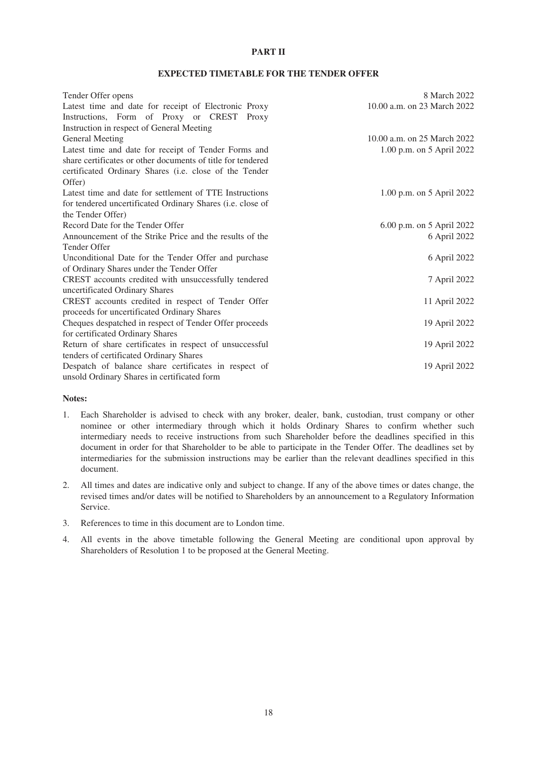# **PART II**

## **EXPECTED TIMETABLE FOR THE TENDER OFFER**

<span id="page-17-0"></span>

| Tender Offer opens                                          | 8 March 2022                |
|-------------------------------------------------------------|-----------------------------|
| Latest time and date for receipt of Electronic Proxy        | 10.00 a.m. on 23 March 2022 |
| Instructions, Form of Proxy or CREST Proxy                  |                             |
| Instruction in respect of General Meeting                   |                             |
| <b>General Meeting</b>                                      | 10.00 a.m. on 25 March 2022 |
| Latest time and date for receipt of Tender Forms and        | 1.00 p.m. on 5 April 2022   |
| share certificates or other documents of title for tendered |                             |
| certificated Ordinary Shares (i.e. close of the Tender      |                             |
| Offer)                                                      |                             |
| Latest time and date for settlement of TTE Instructions     | 1.00 p.m. on 5 April 2022   |
| for tendered uncertificated Ordinary Shares (i.e. close of  |                             |
| the Tender Offer)                                           |                             |
| Record Date for the Tender Offer                            | 6.00 p.m. on 5 April 2022   |
| Announcement of the Strike Price and the results of the     | 6 April 2022                |
| Tender Offer                                                |                             |
| Unconditional Date for the Tender Offer and purchase        | 6 April 2022                |
| of Ordinary Shares under the Tender Offer                   |                             |
| CREST accounts credited with unsuccessfully tendered        | 7 April 2022                |
| uncertificated Ordinary Shares                              |                             |
| CREST accounts credited in respect of Tender Offer          | 11 April 2022               |
| proceeds for uncertificated Ordinary Shares                 |                             |
| Cheques despatched in respect of Tender Offer proceeds      | 19 April 2022               |
| for certificated Ordinary Shares                            |                             |
| Return of share certificates in respect of unsuccessful     | 19 April 2022               |
| tenders of certificated Ordinary Shares                     |                             |
| Despatch of balance share certificates in respect of        | 19 April 2022               |
| unsold Ordinary Shares in certificated form                 |                             |

#### **Notes:**

- 1. Each Shareholder is advised to check with any broker, dealer, bank, custodian, trust company or other nominee or other intermediary through which it holds Ordinary Shares to confirm whether such intermediary needs to receive instructions from such Shareholder before the deadlines specified in this document in order for that Shareholder to be able to participate in the Tender Offer. The deadlines set by intermediaries for the submission instructions may be earlier than the relevant deadlines specified in this document.
- 2. All times and dates are indicative only and subject to change. If any of the above times or dates change, the revised times and/or dates will be notified to Shareholders by an announcement to a Regulatory Information Service.
- 3. References to time in this document are to London time.
- 4. All events in the above timetable following the General Meeting are conditional upon approval by Shareholders of Resolution 1 to be proposed at the General Meeting.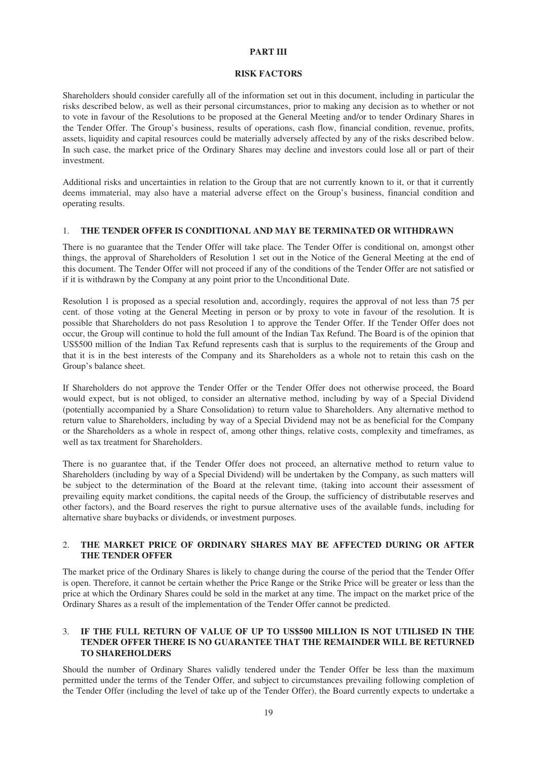### **PART III**

#### **RISK FACTORS**

<span id="page-18-0"></span>Shareholders should consider carefully all of the information set out in this document, including in particular the risks described below, as well as their personal circumstances, prior to making any decision as to whether or not to vote in favour of the Resolutions to be proposed at the General Meeting and/or to tender Ordinary Shares in the Tender Offer. The Group's business, results of operations, cash flow, financial condition, revenue, profits, assets, liquidity and capital resources could be materially adversely affected by any of the risks described below. In such case, the market price of the Ordinary Shares may decline and investors could lose all or part of their investment.

Additional risks and uncertainties in relation to the Group that are not currently known to it, or that it currently deems immaterial, may also have a material adverse effect on the Group's business, financial condition and operating results.

#### 1. **THE TENDER OFFER IS CONDITIONAL AND MAY BE TERMINATED OR WITHDRAWN**

There is no guarantee that the Tender Offer will take place. The Tender Offer is conditional on, amongst other things, the approval of Shareholders of Resolution 1 set out in the Notice of the General Meeting at the end of this document. The Tender Offer will not proceed if any of the conditions of the Tender Offer are not satisfied or if it is withdrawn by the Company at any point prior to the Unconditional Date.

Resolution 1 is proposed as a special resolution and, accordingly, requires the approval of not less than 75 per cent. of those voting at the General Meeting in person or by proxy to vote in favour of the resolution. It is possible that Shareholders do not pass Resolution 1 to approve the Tender Offer. If the Tender Offer does not occur, the Group will continue to hold the full amount of the Indian Tax Refund. The Board is of the opinion that US\$500 million of the Indian Tax Refund represents cash that is surplus to the requirements of the Group and that it is in the best interests of the Company and its Shareholders as a whole not to retain this cash on the Group's balance sheet.

If Shareholders do not approve the Tender Offer or the Tender Offer does not otherwise proceed, the Board would expect, but is not obliged, to consider an alternative method, including by way of a Special Dividend (potentially accompanied by a Share Consolidation) to return value to Shareholders. Any alternative method to return value to Shareholders, including by way of a Special Dividend may not be as beneficial for the Company or the Shareholders as a whole in respect of, among other things, relative costs, complexity and timeframes, as well as tax treatment for Shareholders.

There is no guarantee that, if the Tender Offer does not proceed, an alternative method to return value to Shareholders (including by way of a Special Dividend) will be undertaken by the Company, as such matters will be subject to the determination of the Board at the relevant time, (taking into account their assessment of prevailing equity market conditions, the capital needs of the Group, the sufficiency of distributable reserves and other factors), and the Board reserves the right to pursue alternative uses of the available funds, including for alternative share buybacks or dividends, or investment purposes.

# 2. **THE MARKET PRICE OF ORDINARY SHARES MAY BE AFFECTED DURING OR AFTER THE TENDER OFFER**

The market price of the Ordinary Shares is likely to change during the course of the period that the Tender Offer is open. Therefore, it cannot be certain whether the Price Range or the Strike Price will be greater or less than the price at which the Ordinary Shares could be sold in the market at any time. The impact on the market price of the Ordinary Shares as a result of the implementation of the Tender Offer cannot be predicted.

## 3. **IF THE FULL RETURN OF VALUE OF UP TO US\$500 MILLION IS NOT UTILISED IN THE TENDER OFFER THERE IS NO GUARANTEE THAT THE REMAINDER WILL BE RETURNED TO SHAREHOLDERS**

Should the number of Ordinary Shares validly tendered under the Tender Offer be less than the maximum permitted under the terms of the Tender Offer, and subject to circumstances prevailing following completion of the Tender Offer (including the level of take up of the Tender Offer), the Board currently expects to undertake a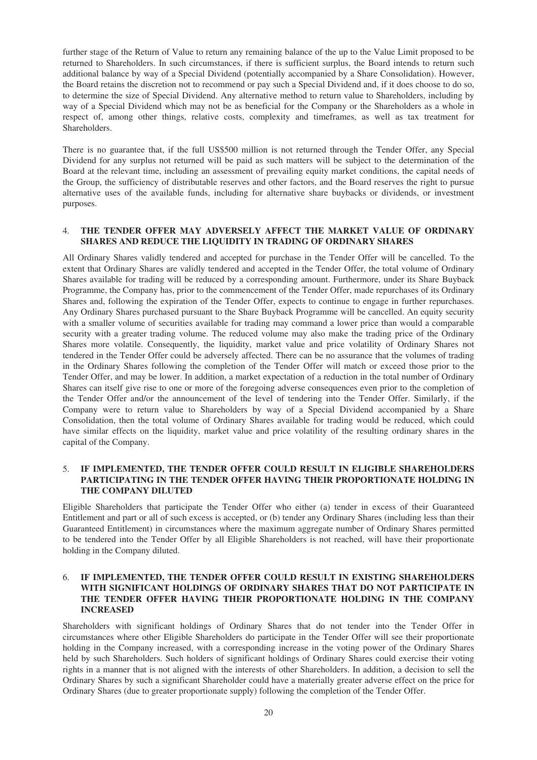further stage of the Return of Value to return any remaining balance of the up to the Value Limit proposed to be returned to Shareholders. In such circumstances, if there is sufficient surplus, the Board intends to return such additional balance by way of a Special Dividend (potentially accompanied by a Share Consolidation). However, the Board retains the discretion not to recommend or pay such a Special Dividend and, if it does choose to do so, to determine the size of Special Dividend. Any alternative method to return value to Shareholders, including by way of a Special Dividend which may not be as beneficial for the Company or the Shareholders as a whole in respect of, among other things, relative costs, complexity and timeframes, as well as tax treatment for **Shareholders** 

There is no guarantee that, if the full US\$500 million is not returned through the Tender Offer, any Special Dividend for any surplus not returned will be paid as such matters will be subject to the determination of the Board at the relevant time, including an assessment of prevailing equity market conditions, the capital needs of the Group, the sufficiency of distributable reserves and other factors, and the Board reserves the right to pursue alternative uses of the available funds, including for alternative share buybacks or dividends, or investment purposes.

### 4. **THE TENDER OFFER MAY ADVERSELY AFFECT THE MARKET VALUE OF ORDINARY SHARES AND REDUCE THE LIQUIDITY IN TRADING OF ORDINARY SHARES**

All Ordinary Shares validly tendered and accepted for purchase in the Tender Offer will be cancelled. To the extent that Ordinary Shares are validly tendered and accepted in the Tender Offer, the total volume of Ordinary Shares available for trading will be reduced by a corresponding amount. Furthermore, under its Share Buyback Programme, the Company has, prior to the commencement of the Tender Offer, made repurchases of its Ordinary Shares and, following the expiration of the Tender Offer, expects to continue to engage in further repurchases. Any Ordinary Shares purchased pursuant to the Share Buyback Programme will be cancelled. An equity security with a smaller volume of securities available for trading may command a lower price than would a comparable security with a greater trading volume. The reduced volume may also make the trading price of the Ordinary Shares more volatile. Consequently, the liquidity, market value and price volatility of Ordinary Shares not tendered in the Tender Offer could be adversely affected. There can be no assurance that the volumes of trading in the Ordinary Shares following the completion of the Tender Offer will match or exceed those prior to the Tender Offer, and may be lower. In addition, a market expectation of a reduction in the total number of Ordinary Shares can itself give rise to one or more of the foregoing adverse consequences even prior to the completion of the Tender Offer and/or the announcement of the level of tendering into the Tender Offer. Similarly, if the Company were to return value to Shareholders by way of a Special Dividend accompanied by a Share Consolidation, then the total volume of Ordinary Shares available for trading would be reduced, which could have similar effects on the liquidity, market value and price volatility of the resulting ordinary shares in the capital of the Company.

# 5. **IF IMPLEMENTED, THE TENDER OFFER COULD RESULT IN ELIGIBLE SHAREHOLDERS PARTICIPATING IN THE TENDER OFFER HAVING THEIR PROPORTIONATE HOLDING IN THE COMPANY DILUTED**

Eligible Shareholders that participate the Tender Offer who either (a) tender in excess of their Guaranteed Entitlement and part or all of such excess is accepted, or (b) tender any Ordinary Shares (including less than their Guaranteed Entitlement) in circumstances where the maximum aggregate number of Ordinary Shares permitted to be tendered into the Tender Offer by all Eligible Shareholders is not reached, will have their proportionate holding in the Company diluted.

# 6. **IF IMPLEMENTED, THE TENDER OFFER COULD RESULT IN EXISTING SHAREHOLDERS WITH SIGNIFICANT HOLDINGS OF ORDINARY SHARES THAT DO NOT PARTICIPATE IN THE TENDER OFFER HAVING THEIR PROPORTIONATE HOLDING IN THE COMPANY INCREASED**

Shareholders with significant holdings of Ordinary Shares that do not tender into the Tender Offer in circumstances where other Eligible Shareholders do participate in the Tender Offer will see their proportionate holding in the Company increased, with a corresponding increase in the voting power of the Ordinary Shares held by such Shareholders. Such holders of significant holdings of Ordinary Shares could exercise their voting rights in a manner that is not aligned with the interests of other Shareholders. In addition, a decision to sell the Ordinary Shares by such a significant Shareholder could have a materially greater adverse effect on the price for Ordinary Shares (due to greater proportionate supply) following the completion of the Tender Offer.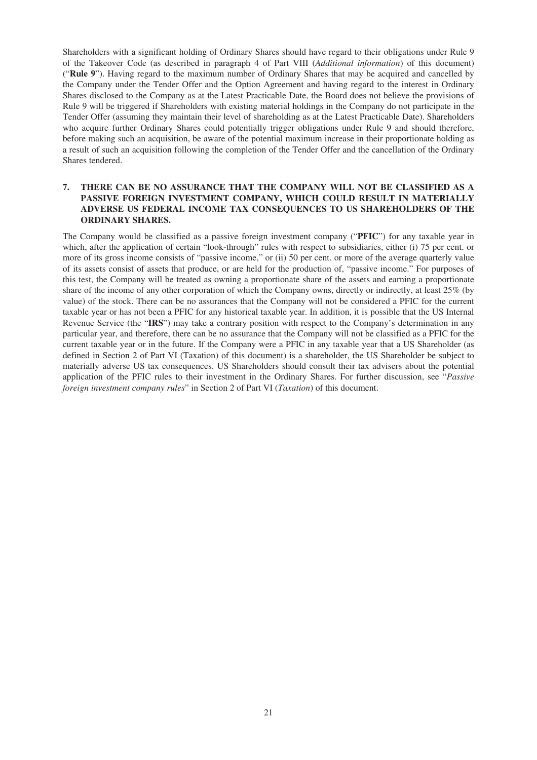Shareholders with a significant holding of Ordinary Shares should have regard to their obligations under Rule 9 of the Takeover Code (as described in paragraph 4 of Part VIII (*Additional information*) of this document) ("**Rule 9**"). Having regard to the maximum number of Ordinary Shares that may be acquired and cancelled by the Company under the Tender Offer and the Option Agreement and having regard to the interest in Ordinary Shares disclosed to the Company as at the Latest Practicable Date, the Board does not believe the provisions of Rule 9 will be triggered if Shareholders with existing material holdings in the Company do not participate in the Tender Offer (assuming they maintain their level of shareholding as at the Latest Practicable Date). Shareholders who acquire further Ordinary Shares could potentially trigger obligations under Rule 9 and should therefore, before making such an acquisition, be aware of the potential maximum increase in their proportionate holding as a result of such an acquisition following the completion of the Tender Offer and the cancellation of the Ordinary Shares tendered.

# **7. THERE CAN BE NO ASSURANCE THAT THE COMPANY WILL NOT BE CLASSIFIED AS A PASSIVE FOREIGN INVESTMENT COMPANY, WHICH COULD RESULT IN MATERIALLY ADVERSE US FEDERAL INCOME TAX CONSEQUENCES TO US SHAREHOLDERS OF THE ORDINARY SHARES.**

The Company would be classified as a passive foreign investment company ("**PFIC**") for any taxable year in which, after the application of certain "look-through" rules with respect to subsidiaries, either (i) 75 per cent. or more of its gross income consists of "passive income," or (ii) 50 per cent. or more of the average quarterly value of its assets consist of assets that produce, or are held for the production of, "passive income." For purposes of this test, the Company will be treated as owning a proportionate share of the assets and earning a proportionate share of the income of any other corporation of which the Company owns, directly or indirectly, at least 25% (by value) of the stock. There can be no assurances that the Company will not be considered a PFIC for the current taxable year or has not been a PFIC for any historical taxable year. In addition, it is possible that the US Internal Revenue Service (the "**IRS**") may take a contrary position with respect to the Company's determination in any particular year, and therefore, there can be no assurance that the Company will not be classified as a PFIC for the current taxable year or in the future. If the Company were a PFIC in any taxable year that a US Shareholder (as defined in Section 2 of Part VI (Taxation) of this document) is a shareholder, the US Shareholder be subject to materially adverse US tax consequences. US Shareholders should consult their tax advisers about the potential application of the PFIC rules to their investment in the Ordinary Shares. For further discussion, see "*Passive foreign investment company rules*" in Section 2 of Part VI (*Taxation*) of this document.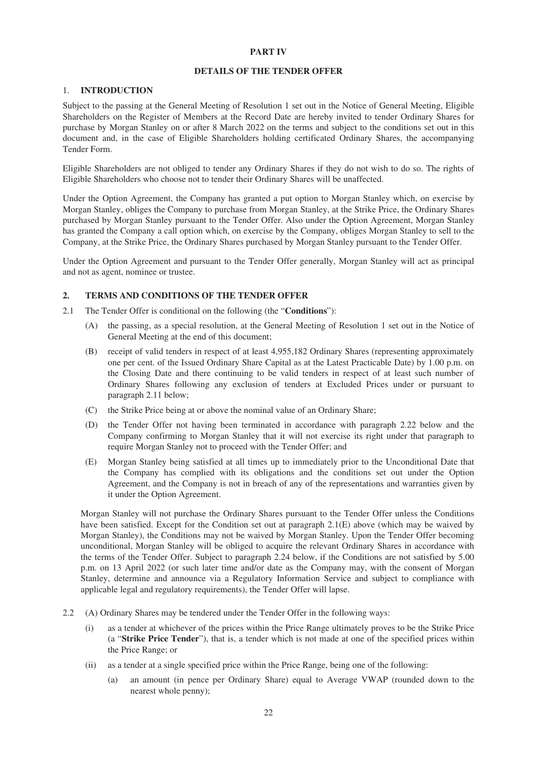## **PART IV**

#### **DETAILS OF THE TENDER OFFER**

#### <span id="page-21-0"></span>1. **INTRODUCTION**

Subject to the passing at the General Meeting of Resolution 1 set out in the Notice of General Meeting, Eligible Shareholders on the Register of Members at the Record Date are hereby invited to tender Ordinary Shares for purchase by Morgan Stanley on or after 8 March 2022 on the terms and subject to the conditions set out in this document and, in the case of Eligible Shareholders holding certificated Ordinary Shares, the accompanying Tender Form.

Eligible Shareholders are not obliged to tender any Ordinary Shares if they do not wish to do so. The rights of Eligible Shareholders who choose not to tender their Ordinary Shares will be unaffected.

Under the Option Agreement, the Company has granted a put option to Morgan Stanley which, on exercise by Morgan Stanley, obliges the Company to purchase from Morgan Stanley, at the Strike Price, the Ordinary Shares purchased by Morgan Stanley pursuant to the Tender Offer. Also under the Option Agreement, Morgan Stanley has granted the Company a call option which, on exercise by the Company, obliges Morgan Stanley to sell to the Company, at the Strike Price, the Ordinary Shares purchased by Morgan Stanley pursuant to the Tender Offer.

Under the Option Agreement and pursuant to the Tender Offer generally, Morgan Stanley will act as principal and not as agent, nominee or trustee.

# **2. TERMS AND CONDITIONS OF THE TENDER OFFER**

- 2.1 The Tender Offer is conditional on the following (the "**Conditions**"):
	- (A) the passing, as a special resolution, at the General Meeting of Resolution 1 set out in the Notice of General Meeting at the end of this document;
	- (B) receipt of valid tenders in respect of at least 4,955,182 Ordinary Shares (representing approximately one per cent. of the Issued Ordinary Share Capital as at the Latest Practicable Date) by 1.00 p.m. on the Closing Date and there continuing to be valid tenders in respect of at least such number of Ordinary Shares following any exclusion of tenders at Excluded Prices under or pursuant to paragraph 2.11 below;
	- (C) the Strike Price being at or above the nominal value of an Ordinary Share;
	- (D) the Tender Offer not having been terminated in accordance with paragraph 2.22 below and the Company confirming to Morgan Stanley that it will not exercise its right under that paragraph to require Morgan Stanley not to proceed with the Tender Offer; and
	- (E) Morgan Stanley being satisfied at all times up to immediately prior to the Unconditional Date that the Company has complied with its obligations and the conditions set out under the Option Agreement, and the Company is not in breach of any of the representations and warranties given by it under the Option Agreement.

Morgan Stanley will not purchase the Ordinary Shares pursuant to the Tender Offer unless the Conditions have been satisfied. Except for the Condition set out at paragraph 2.1(E) above (which may be waived by Morgan Stanley), the Conditions may not be waived by Morgan Stanley. Upon the Tender Offer becoming unconditional, Morgan Stanley will be obliged to acquire the relevant Ordinary Shares in accordance with the terms of the Tender Offer. Subject to paragraph 2.24 below, if the Conditions are not satisfied by 5.00 p.m. on 13 April 2022 (or such later time and/or date as the Company may, with the consent of Morgan Stanley, determine and announce via a Regulatory Information Service and subject to compliance with applicable legal and regulatory requirements), the Tender Offer will lapse.

- 2.2 (A) Ordinary Shares may be tendered under the Tender Offer in the following ways:
	- (i) as a tender at whichever of the prices within the Price Range ultimately proves to be the Strike Price (a "**Strike Price Tender**"), that is, a tender which is not made at one of the specified prices within the Price Range; or
	- (ii) as a tender at a single specified price within the Price Range, being one of the following:
		- (a) an amount (in pence per Ordinary Share) equal to Average VWAP (rounded down to the nearest whole penny);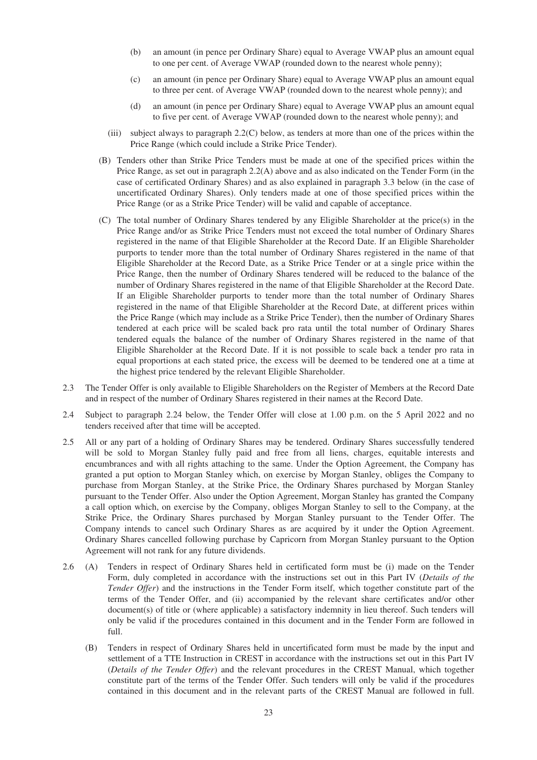- (b) an amount (in pence per Ordinary Share) equal to Average VWAP plus an amount equal to one per cent. of Average VWAP (rounded down to the nearest whole penny);
- (c) an amount (in pence per Ordinary Share) equal to Average VWAP plus an amount equal to three per cent. of Average VWAP (rounded down to the nearest whole penny); and
- (d) an amount (in pence per Ordinary Share) equal to Average VWAP plus an amount equal to five per cent. of Average VWAP (rounded down to the nearest whole penny); and
- (iii) subject always to paragraph 2.2(C) below, as tenders at more than one of the prices within the Price Range (which could include a Strike Price Tender).
- (B) Tenders other than Strike Price Tenders must be made at one of the specified prices within the Price Range, as set out in paragraph 2.2(A) above and as also indicated on the Tender Form (in the case of certificated Ordinary Shares) and as also explained in paragraph 3.3 below (in the case of uncertificated Ordinary Shares). Only tenders made at one of those specified prices within the Price Range (or as a Strike Price Tender) will be valid and capable of acceptance.
- (C) The total number of Ordinary Shares tendered by any Eligible Shareholder at the price(s) in the Price Range and/or as Strike Price Tenders must not exceed the total number of Ordinary Shares registered in the name of that Eligible Shareholder at the Record Date. If an Eligible Shareholder purports to tender more than the total number of Ordinary Shares registered in the name of that Eligible Shareholder at the Record Date, as a Strike Price Tender or at a single price within the Price Range, then the number of Ordinary Shares tendered will be reduced to the balance of the number of Ordinary Shares registered in the name of that Eligible Shareholder at the Record Date. If an Eligible Shareholder purports to tender more than the total number of Ordinary Shares registered in the name of that Eligible Shareholder at the Record Date, at different prices within the Price Range (which may include as a Strike Price Tender), then the number of Ordinary Shares tendered at each price will be scaled back pro rata until the total number of Ordinary Shares tendered equals the balance of the number of Ordinary Shares registered in the name of that Eligible Shareholder at the Record Date. If it is not possible to scale back a tender pro rata in equal proportions at each stated price, the excess will be deemed to be tendered one at a time at the highest price tendered by the relevant Eligible Shareholder.
- 2.3 The Tender Offer is only available to Eligible Shareholders on the Register of Members at the Record Date and in respect of the number of Ordinary Shares registered in their names at the Record Date.
- 2.4 Subject to paragraph 2.24 below, the Tender Offer will close at 1.00 p.m. on the 5 April 2022 and no tenders received after that time will be accepted.
- 2.5 All or any part of a holding of Ordinary Shares may be tendered. Ordinary Shares successfully tendered will be sold to Morgan Stanley fully paid and free from all liens, charges, equitable interests and encumbrances and with all rights attaching to the same. Under the Option Agreement, the Company has granted a put option to Morgan Stanley which, on exercise by Morgan Stanley, obliges the Company to purchase from Morgan Stanley, at the Strike Price, the Ordinary Shares purchased by Morgan Stanley pursuant to the Tender Offer. Also under the Option Agreement, Morgan Stanley has granted the Company a call option which, on exercise by the Company, obliges Morgan Stanley to sell to the Company, at the Strike Price, the Ordinary Shares purchased by Morgan Stanley pursuant to the Tender Offer. The Company intends to cancel such Ordinary Shares as are acquired by it under the Option Agreement. Ordinary Shares cancelled following purchase by Capricorn from Morgan Stanley pursuant to the Option Agreement will not rank for any future dividends.
- 2.6 (A) Tenders in respect of Ordinary Shares held in certificated form must be (i) made on the Tender Form, duly completed in accordance with the instructions set out in this Part IV (*Details of the Tender Offer*) and the instructions in the Tender Form itself, which together constitute part of the terms of the Tender Offer, and (ii) accompanied by the relevant share certificates and/or other document(s) of title or (where applicable) a satisfactory indemnity in lieu thereof. Such tenders will only be valid if the procedures contained in this document and in the Tender Form are followed in full.
	- (B) Tenders in respect of Ordinary Shares held in uncertificated form must be made by the input and settlement of a TTE Instruction in CREST in accordance with the instructions set out in this Part IV (*Details of the Tender Offer*) and the relevant procedures in the CREST Manual, which together constitute part of the terms of the Tender Offer. Such tenders will only be valid if the procedures contained in this document and in the relevant parts of the CREST Manual are followed in full.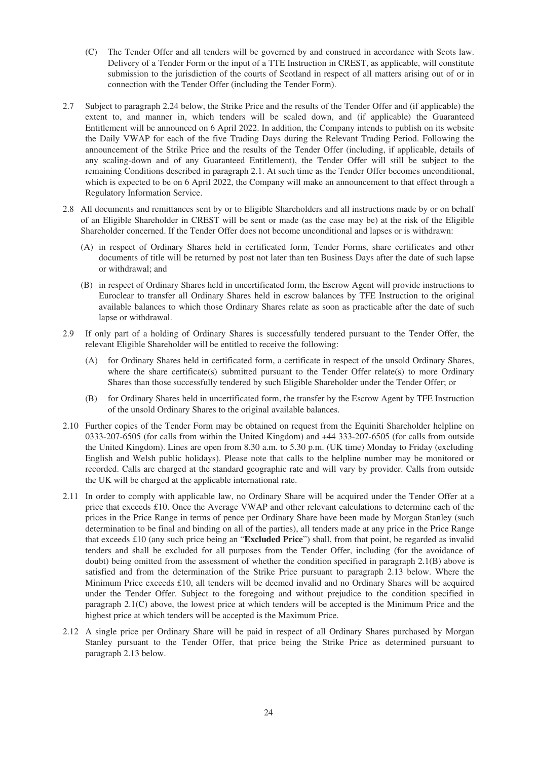- (C) The Tender Offer and all tenders will be governed by and construed in accordance with Scots law. Delivery of a Tender Form or the input of a TTE Instruction in CREST, as applicable, will constitute submission to the jurisdiction of the courts of Scotland in respect of all matters arising out of or in connection with the Tender Offer (including the Tender Form).
- 2.7 Subject to paragraph 2.24 below, the Strike Price and the results of the Tender Offer and (if applicable) the extent to, and manner in, which tenders will be scaled down, and (if applicable) the Guaranteed Entitlement will be announced on 6 April 2022. In addition, the Company intends to publish on its website the Daily VWAP for each of the five Trading Days during the Relevant Trading Period. Following the announcement of the Strike Price and the results of the Tender Offer (including, if applicable, details of any scaling-down and of any Guaranteed Entitlement), the Tender Offer will still be subject to the remaining Conditions described in paragraph 2.1. At such time as the Tender Offer becomes unconditional, which is expected to be on 6 April 2022, the Company will make an announcement to that effect through a Regulatory Information Service.
- 2.8 All documents and remittances sent by or to Eligible Shareholders and all instructions made by or on behalf of an Eligible Shareholder in CREST will be sent or made (as the case may be) at the risk of the Eligible Shareholder concerned. If the Tender Offer does not become unconditional and lapses or is withdrawn:
	- (A) in respect of Ordinary Shares held in certificated form, Tender Forms, share certificates and other documents of title will be returned by post not later than ten Business Days after the date of such lapse or withdrawal; and
	- (B) in respect of Ordinary Shares held in uncertificated form, the Escrow Agent will provide instructions to Euroclear to transfer all Ordinary Shares held in escrow balances by TFE Instruction to the original available balances to which those Ordinary Shares relate as soon as practicable after the date of such lapse or withdrawal.
- 2.9 If only part of a holding of Ordinary Shares is successfully tendered pursuant to the Tender Offer, the relevant Eligible Shareholder will be entitled to receive the following:
	- (A) for Ordinary Shares held in certificated form, a certificate in respect of the unsold Ordinary Shares, where the share certificate(s) submitted pursuant to the Tender Offer relate(s) to more Ordinary Shares than those successfully tendered by such Eligible Shareholder under the Tender Offer; or
	- (B) for Ordinary Shares held in uncertificated form, the transfer by the Escrow Agent by TFE Instruction of the unsold Ordinary Shares to the original available balances.
- 2.10 Further copies of the Tender Form may be obtained on request from the Equiniti Shareholder helpline on 0333-207-6505 (for calls from within the United Kingdom) and +44 333-207-6505 (for calls from outside the United Kingdom). Lines are open from 8.30 a.m. to 5.30 p.m. (UK time) Monday to Friday (excluding English and Welsh public holidays). Please note that calls to the helpline number may be monitored or recorded. Calls are charged at the standard geographic rate and will vary by provider. Calls from outside the UK will be charged at the applicable international rate.
- 2.11 In order to comply with applicable law, no Ordinary Share will be acquired under the Tender Offer at a price that exceeds £10. Once the Average VWAP and other relevant calculations to determine each of the prices in the Price Range in terms of pence per Ordinary Share have been made by Morgan Stanley (such determination to be final and binding on all of the parties), all tenders made at any price in the Price Range that exceeds £10 (any such price being an "**Excluded Price**") shall, from that point, be regarded as invalid tenders and shall be excluded for all purposes from the Tender Offer, including (for the avoidance of doubt) being omitted from the assessment of whether the condition specified in paragraph 2.1(B) above is satisfied and from the determination of the Strike Price pursuant to paragraph 2.13 below. Where the Minimum Price exceeds £10, all tenders will be deemed invalid and no Ordinary Shares will be acquired under the Tender Offer. Subject to the foregoing and without prejudice to the condition specified in paragraph 2.1(C) above, the lowest price at which tenders will be accepted is the Minimum Price and the highest price at which tenders will be accepted is the Maximum Price.
- 2.12 A single price per Ordinary Share will be paid in respect of all Ordinary Shares purchased by Morgan Stanley pursuant to the Tender Offer, that price being the Strike Price as determined pursuant to paragraph 2.13 below.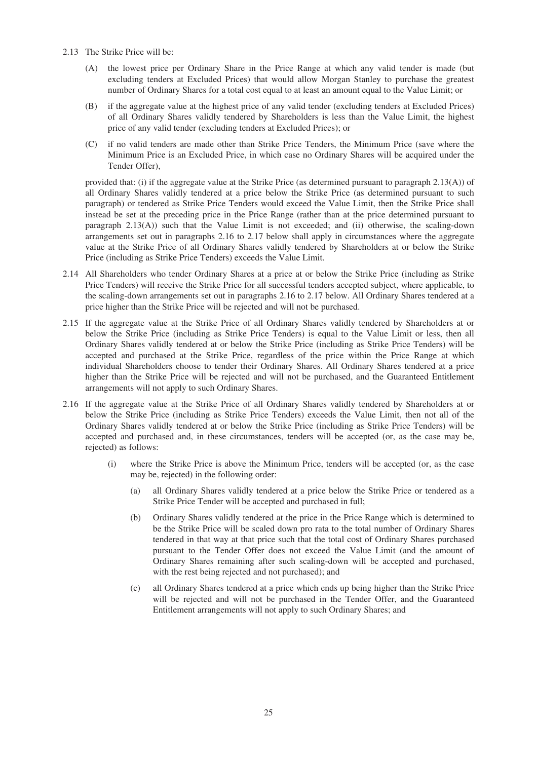- 2.13 The Strike Price will be:
	- (A) the lowest price per Ordinary Share in the Price Range at which any valid tender is made (but excluding tenders at Excluded Prices) that would allow Morgan Stanley to purchase the greatest number of Ordinary Shares for a total cost equal to at least an amount equal to the Value Limit; or
	- (B) if the aggregate value at the highest price of any valid tender (excluding tenders at Excluded Prices) of all Ordinary Shares validly tendered by Shareholders is less than the Value Limit, the highest price of any valid tender (excluding tenders at Excluded Prices); or
	- (C) if no valid tenders are made other than Strike Price Tenders, the Minimum Price (save where the Minimum Price is an Excluded Price, in which case no Ordinary Shares will be acquired under the Tender Offer),

provided that: (i) if the aggregate value at the Strike Price (as determined pursuant to paragraph 2.13(A)) of all Ordinary Shares validly tendered at a price below the Strike Price (as determined pursuant to such paragraph) or tendered as Strike Price Tenders would exceed the Value Limit, then the Strike Price shall instead be set at the preceding price in the Price Range (rather than at the price determined pursuant to paragraph 2.13(A)) such that the Value Limit is not exceeded; and (ii) otherwise, the scaling-down arrangements set out in paragraphs 2.16 to 2.17 below shall apply in circumstances where the aggregate value at the Strike Price of all Ordinary Shares validly tendered by Shareholders at or below the Strike Price (including as Strike Price Tenders) exceeds the Value Limit.

- 2.14 All Shareholders who tender Ordinary Shares at a price at or below the Strike Price (including as Strike Price Tenders) will receive the Strike Price for all successful tenders accepted subject, where applicable, to the scaling-down arrangements set out in paragraphs 2.16 to 2.17 below. All Ordinary Shares tendered at a price higher than the Strike Price will be rejected and will not be purchased.
- 2.15 If the aggregate value at the Strike Price of all Ordinary Shares validly tendered by Shareholders at or below the Strike Price (including as Strike Price Tenders) is equal to the Value Limit or less, then all Ordinary Shares validly tendered at or below the Strike Price (including as Strike Price Tenders) will be accepted and purchased at the Strike Price, regardless of the price within the Price Range at which individual Shareholders choose to tender their Ordinary Shares. All Ordinary Shares tendered at a price higher than the Strike Price will be rejected and will not be purchased, and the Guaranteed Entitlement arrangements will not apply to such Ordinary Shares.
- 2.16 If the aggregate value at the Strike Price of all Ordinary Shares validly tendered by Shareholders at or below the Strike Price (including as Strike Price Tenders) exceeds the Value Limit, then not all of the Ordinary Shares validly tendered at or below the Strike Price (including as Strike Price Tenders) will be accepted and purchased and, in these circumstances, tenders will be accepted (or, as the case may be, rejected) as follows:
	- (i) where the Strike Price is above the Minimum Price, tenders will be accepted (or, as the case may be, rejected) in the following order:
		- (a) all Ordinary Shares validly tendered at a price below the Strike Price or tendered as a Strike Price Tender will be accepted and purchased in full;
		- (b) Ordinary Shares validly tendered at the price in the Price Range which is determined to be the Strike Price will be scaled down pro rata to the total number of Ordinary Shares tendered in that way at that price such that the total cost of Ordinary Shares purchased pursuant to the Tender Offer does not exceed the Value Limit (and the amount of Ordinary Shares remaining after such scaling-down will be accepted and purchased, with the rest being rejected and not purchased); and
		- (c) all Ordinary Shares tendered at a price which ends up being higher than the Strike Price will be rejected and will not be purchased in the Tender Offer, and the Guaranteed Entitlement arrangements will not apply to such Ordinary Shares; and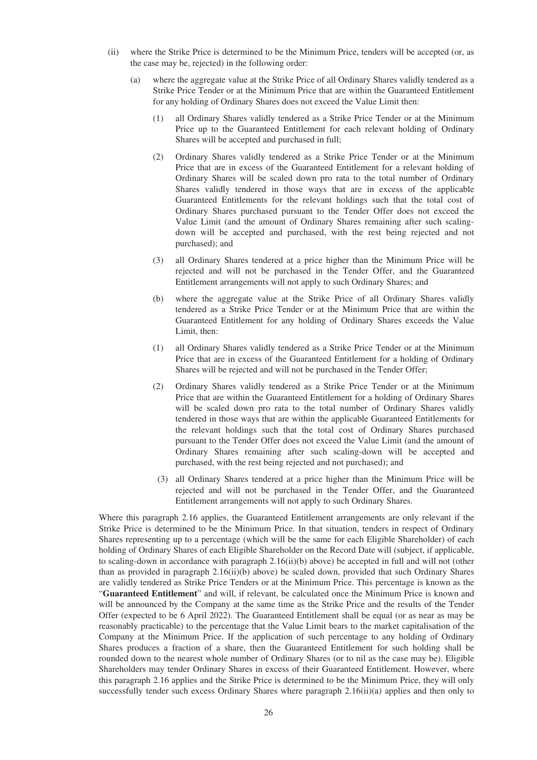- (ii) where the Strike Price is determined to be the Minimum Price, tenders will be accepted (or, as the case may be, rejected) in the following order:
	- (a) where the aggregate value at the Strike Price of all Ordinary Shares validly tendered as a Strike Price Tender or at the Minimum Price that are within the Guaranteed Entitlement for any holding of Ordinary Shares does not exceed the Value Limit then:
		- (1) all Ordinary Shares validly tendered as a Strike Price Tender or at the Minimum Price up to the Guaranteed Entitlement for each relevant holding of Ordinary Shares will be accepted and purchased in full;
		- (2) Ordinary Shares validly tendered as a Strike Price Tender or at the Minimum Price that are in excess of the Guaranteed Entitlement for a relevant holding of Ordinary Shares will be scaled down pro rata to the total number of Ordinary Shares validly tendered in those ways that are in excess of the applicable Guaranteed Entitlements for the relevant holdings such that the total cost of Ordinary Shares purchased pursuant to the Tender Offer does not exceed the Value Limit (and the amount of Ordinary Shares remaining after such scalingdown will be accepted and purchased, with the rest being rejected and not purchased); and
		- (3) all Ordinary Shares tendered at a price higher than the Minimum Price will be rejected and will not be purchased in the Tender Offer, and the Guaranteed Entitlement arrangements will not apply to such Ordinary Shares; and
		- (b) where the aggregate value at the Strike Price of all Ordinary Shares validly tendered as a Strike Price Tender or at the Minimum Price that are within the Guaranteed Entitlement for any holding of Ordinary Shares exceeds the Value Limit, then:
		- (1) all Ordinary Shares validly tendered as a Strike Price Tender or at the Minimum Price that are in excess of the Guaranteed Entitlement for a holding of Ordinary Shares will be rejected and will not be purchased in the Tender Offer;
		- (2) Ordinary Shares validly tendered as a Strike Price Tender or at the Minimum Price that are within the Guaranteed Entitlement for a holding of Ordinary Shares will be scaled down pro rata to the total number of Ordinary Shares validly tendered in those ways that are within the applicable Guaranteed Entitlements for the relevant holdings such that the total cost of Ordinary Shares purchased pursuant to the Tender Offer does not exceed the Value Limit (and the amount of Ordinary Shares remaining after such scaling-down will be accepted and purchased, with the rest being rejected and not purchased); and
		- (3) all Ordinary Shares tendered at a price higher than the Minimum Price will be rejected and will not be purchased in the Tender Offer, and the Guaranteed Entitlement arrangements will not apply to such Ordinary Shares.

Where this paragraph 2.16 applies, the Guaranteed Entitlement arrangements are only relevant if the Strike Price is determined to be the Minimum Price. In that situation, tenders in respect of Ordinary Shares representing up to a percentage (which will be the same for each Eligible Shareholder) of each holding of Ordinary Shares of each Eligible Shareholder on the Record Date will (subject, if applicable, to scaling-down in accordance with paragraph 2.16(ii)(b) above) be accepted in full and will not (other than as provided in paragraph 2.16(ii)(b) above) be scaled down, provided that such Ordinary Shares are validly tendered as Strike Price Tenders or at the Minimum Price. This percentage is known as the "**Guaranteed Entitlement**" and will, if relevant, be calculated once the Minimum Price is known and will be announced by the Company at the same time as the Strike Price and the results of the Tender Offer (expected to be 6 April 2022). The Guaranteed Entitlement shall be equal (or as near as may be reasonably practicable) to the percentage that the Value Limit bears to the market capitalisation of the Company at the Minimum Price. If the application of such percentage to any holding of Ordinary Shares produces a fraction of a share, then the Guaranteed Entitlement for such holding shall be rounded down to the nearest whole number of Ordinary Shares (or to nil as the case may be). Eligible Shareholders may tender Ordinary Shares in excess of their Guaranteed Entitlement. However, where this paragraph 2.16 applies and the Strike Price is determined to be the Minimum Price, they will only successfully tender such excess Ordinary Shares where paragraph 2.16(ii)(a) applies and then only to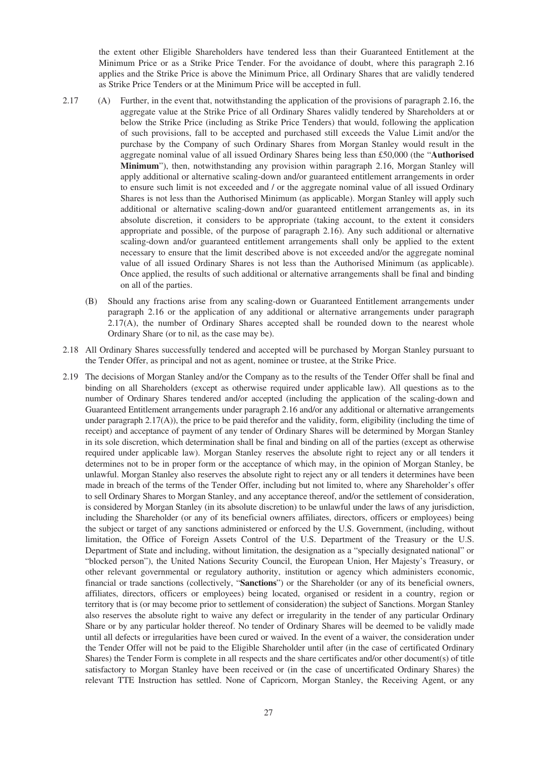the extent other Eligible Shareholders have tendered less than their Guaranteed Entitlement at the Minimum Price or as a Strike Price Tender. For the avoidance of doubt, where this paragraph 2.16 applies and the Strike Price is above the Minimum Price, all Ordinary Shares that are validly tendered as Strike Price Tenders or at the Minimum Price will be accepted in full.

- 2.17 (A) Further, in the event that, notwithstanding the application of the provisions of paragraph 2.16, the aggregate value at the Strike Price of all Ordinary Shares validly tendered by Shareholders at or below the Strike Price (including as Strike Price Tenders) that would, following the application of such provisions, fall to be accepted and purchased still exceeds the Value Limit and/or the purchase by the Company of such Ordinary Shares from Morgan Stanley would result in the aggregate nominal value of all issued Ordinary Shares being less than £50,000 (the "**Authorised Minimum**"), then, notwithstanding any provision within paragraph 2.16, Morgan Stanley will apply additional or alternative scaling-down and/or guaranteed entitlement arrangements in order to ensure such limit is not exceeded and / or the aggregate nominal value of all issued Ordinary Shares is not less than the Authorised Minimum (as applicable). Morgan Stanley will apply such additional or alternative scaling-down and/or guaranteed entitlement arrangements as, in its absolute discretion, it considers to be appropriate (taking account, to the extent it considers appropriate and possible, of the purpose of paragraph 2.16). Any such additional or alternative scaling-down and/or guaranteed entitlement arrangements shall only be applied to the extent necessary to ensure that the limit described above is not exceeded and/or the aggregate nominal value of all issued Ordinary Shares is not less than the Authorised Minimum (as applicable). Once applied, the results of such additional or alternative arrangements shall be final and binding on all of the parties.
	- (B) Should any fractions arise from any scaling-down or Guaranteed Entitlement arrangements under paragraph 2.16 or the application of any additional or alternative arrangements under paragraph 2.17(A), the number of Ordinary Shares accepted shall be rounded down to the nearest whole Ordinary Share (or to nil, as the case may be).
- 2.18 All Ordinary Shares successfully tendered and accepted will be purchased by Morgan Stanley pursuant to the Tender Offer, as principal and not as agent, nominee or trustee, at the Strike Price.
- 2.19 The decisions of Morgan Stanley and/or the Company as to the results of the Tender Offer shall be final and binding on all Shareholders (except as otherwise required under applicable law). All questions as to the number of Ordinary Shares tendered and/or accepted (including the application of the scaling-down and Guaranteed Entitlement arrangements under paragraph 2.16 and/or any additional or alternative arrangements under paragraph  $2.17(A)$ ), the price to be paid therefor and the validity, form, eligibility (including the time of receipt) and acceptance of payment of any tender of Ordinary Shares will be determined by Morgan Stanley in its sole discretion, which determination shall be final and binding on all of the parties (except as otherwise required under applicable law). Morgan Stanley reserves the absolute right to reject any or all tenders it determines not to be in proper form or the acceptance of which may, in the opinion of Morgan Stanley, be unlawful. Morgan Stanley also reserves the absolute right to reject any or all tenders it determines have been made in breach of the terms of the Tender Offer, including but not limited to, where any Shareholder's offer to sell Ordinary Shares to Morgan Stanley, and any acceptance thereof, and/or the settlement of consideration, is considered by Morgan Stanley (in its absolute discretion) to be unlawful under the laws of any jurisdiction, including the Shareholder (or any of its beneficial owners affiliates, directors, officers or employees) being the subject or target of any sanctions administered or enforced by the U.S. Government, (including, without limitation, the Office of Foreign Assets Control of the U.S. Department of the Treasury or the U.S. Department of State and including, without limitation, the designation as a "specially designated national" or "blocked person"), the United Nations Security Council, the European Union, Her Majesty's Treasury, or other relevant governmental or regulatory authority, institution or agency which administers economic, financial or trade sanctions (collectively, "**Sanctions**") or the Shareholder (or any of its beneficial owners, affiliates, directors, officers or employees) being located, organised or resident in a country, region or territory that is (or may become prior to settlement of consideration) the subject of Sanctions. Morgan Stanley also reserves the absolute right to waive any defect or irregularity in the tender of any particular Ordinary Share or by any particular holder thereof. No tender of Ordinary Shares will be deemed to be validly made until all defects or irregularities have been cured or waived. In the event of a waiver, the consideration under the Tender Offer will not be paid to the Eligible Shareholder until after (in the case of certificated Ordinary Shares) the Tender Form is complete in all respects and the share certificates and/or other document(s) of title satisfactory to Morgan Stanley have been received or (in the case of uncertificated Ordinary Shares) the relevant TTE Instruction has settled. None of Capricorn, Morgan Stanley, the Receiving Agent, or any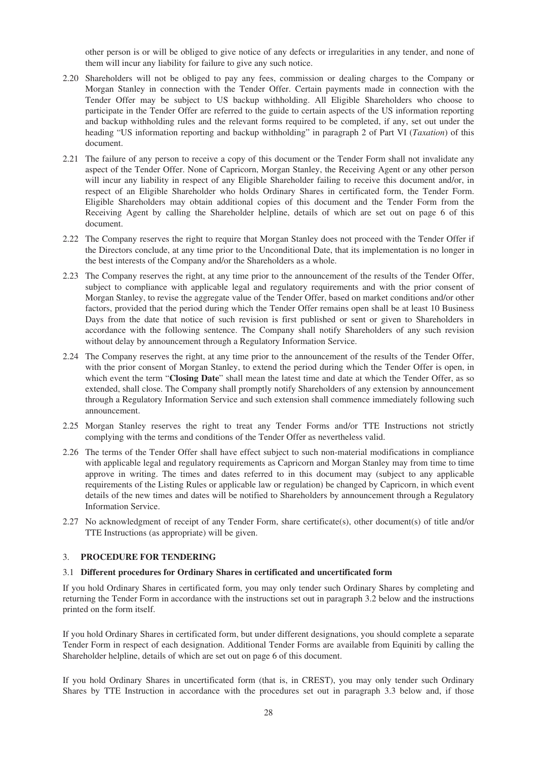other person is or will be obliged to give notice of any defects or irregularities in any tender, and none of them will incur any liability for failure to give any such notice.

- 2.20 Shareholders will not be obliged to pay any fees, commission or dealing charges to the Company or Morgan Stanley in connection with the Tender Offer. Certain payments made in connection with the Tender Offer may be subject to US backup withholding. All Eligible Shareholders who choose to participate in the Tender Offer are referred to the guide to certain aspects of the US information reporting and backup withholding rules and the relevant forms required to be completed, if any, set out under the heading "US information reporting and backup withholding" in paragraph 2 of Part VI (*Taxation*) of this document.
- 2.21 The failure of any person to receive a copy of this document or the Tender Form shall not invalidate any aspect of the Tender Offer. None of Capricorn, Morgan Stanley, the Receiving Agent or any other person will incur any liability in respect of any Eligible Shareholder failing to receive this document and/or, in respect of an Eligible Shareholder who holds Ordinary Shares in certificated form, the Tender Form. Eligible Shareholders may obtain additional copies of this document and the Tender Form from the Receiving Agent by calling the Shareholder helpline, details of which are set out on page 6 of this document.
- 2.22 The Company reserves the right to require that Morgan Stanley does not proceed with the Tender Offer if the Directors conclude, at any time prior to the Unconditional Date, that its implementation is no longer in the best interests of the Company and/or the Shareholders as a whole.
- 2.23 The Company reserves the right, at any time prior to the announcement of the results of the Tender Offer, subject to compliance with applicable legal and regulatory requirements and with the prior consent of Morgan Stanley, to revise the aggregate value of the Tender Offer, based on market conditions and/or other factors, provided that the period during which the Tender Offer remains open shall be at least 10 Business Days from the date that notice of such revision is first published or sent or given to Shareholders in accordance with the following sentence. The Company shall notify Shareholders of any such revision without delay by announcement through a Regulatory Information Service.
- 2.24 The Company reserves the right, at any time prior to the announcement of the results of the Tender Offer, with the prior consent of Morgan Stanley, to extend the period during which the Tender Offer is open, in which event the term "**Closing Date**" shall mean the latest time and date at which the Tender Offer, as so extended, shall close. The Company shall promptly notify Shareholders of any extension by announcement through a Regulatory Information Service and such extension shall commence immediately following such announcement.
- 2.25 Morgan Stanley reserves the right to treat any Tender Forms and/or TTE Instructions not strictly complying with the terms and conditions of the Tender Offer as nevertheless valid.
- 2.26 The terms of the Tender Offer shall have effect subject to such non-material modifications in compliance with applicable legal and regulatory requirements as Capricorn and Morgan Stanley may from time to time approve in writing. The times and dates referred to in this document may (subject to any applicable requirements of the Listing Rules or applicable law or regulation) be changed by Capricorn, in which event details of the new times and dates will be notified to Shareholders by announcement through a Regulatory Information Service.
- 2.27 No acknowledgment of receipt of any Tender Form, share certificate(s), other document(s) of title and/or TTE Instructions (as appropriate) will be given.

## 3. **PROCEDURE FOR TENDERING**

#### 3.1 **Different procedures for Ordinary Shares in certificated and uncertificated form**

If you hold Ordinary Shares in certificated form, you may only tender such Ordinary Shares by completing and returning the Tender Form in accordance with the instructions set out in paragraph 3.2 below and the instructions printed on the form itself.

If you hold Ordinary Shares in certificated form, but under different designations, you should complete a separate Tender Form in respect of each designation. Additional Tender Forms are available from Equiniti by calling the Shareholder helpline, details of which are set out on page 6 of this document.

If you hold Ordinary Shares in uncertificated form (that is, in CREST), you may only tender such Ordinary Shares by TTE Instruction in accordance with the procedures set out in paragraph 3.3 below and, if those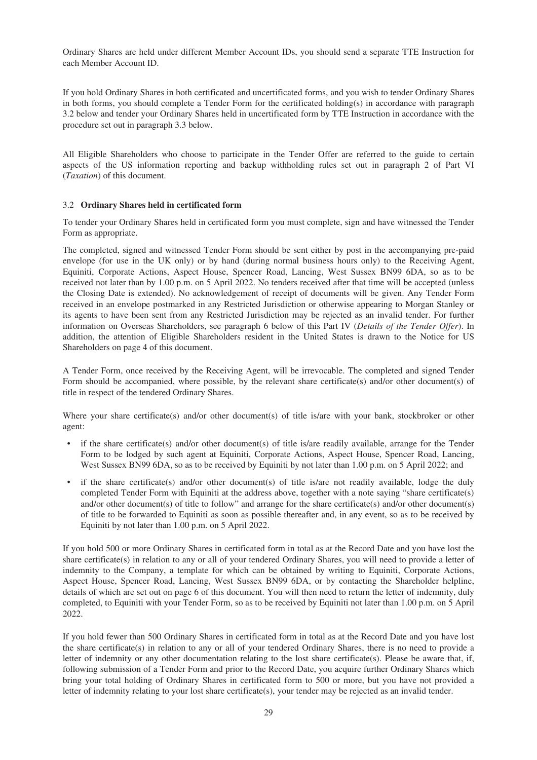Ordinary Shares are held under different Member Account IDs, you should send a separate TTE Instruction for each Member Account ID.

If you hold Ordinary Shares in both certificated and uncertificated forms, and you wish to tender Ordinary Shares in both forms, you should complete a Tender Form for the certificated holding(s) in accordance with paragraph 3.2 below and tender your Ordinary Shares held in uncertificated form by TTE Instruction in accordance with the procedure set out in paragraph 3.3 below.

All Eligible Shareholders who choose to participate in the Tender Offer are referred to the guide to certain aspects of the US information reporting and backup withholding rules set out in paragraph 2 of Part VI (*Taxation*) of this document.

## 3.2 **Ordinary Shares held in certificated form**

To tender your Ordinary Shares held in certificated form you must complete, sign and have witnessed the Tender Form as appropriate.

The completed, signed and witnessed Tender Form should be sent either by post in the accompanying pre-paid envelope (for use in the UK only) or by hand (during normal business hours only) to the Receiving Agent, Equiniti, Corporate Actions, Aspect House, Spencer Road, Lancing, West Sussex BN99 6DA, so as to be received not later than by 1.00 p.m. on 5 April 2022. No tenders received after that time will be accepted (unless the Closing Date is extended). No acknowledgement of receipt of documents will be given. Any Tender Form received in an envelope postmarked in any Restricted Jurisdiction or otherwise appearing to Morgan Stanley or its agents to have been sent from any Restricted Jurisdiction may be rejected as an invalid tender. For further information on Overseas Shareholders, see paragraph 6 below of this Part IV (*Details of the Tender Offer*). In addition, the attention of Eligible Shareholders resident in the United States is drawn to the Notice for US Shareholders on page 4 of this document.

A Tender Form, once received by the Receiving Agent, will be irrevocable. The completed and signed Tender Form should be accompanied, where possible, by the relevant share certificate(s) and/or other document(s) of title in respect of the tendered Ordinary Shares.

Where your share certificate(s) and/or other document(s) of title is/are with your bank, stockbroker or other agent:

- if the share certificate(s) and/or other document(s) of title is/are readily available, arrange for the Tender Form to be lodged by such agent at Equiniti, Corporate Actions, Aspect House, Spencer Road, Lancing, West Sussex BN99 6DA, so as to be received by Equiniti by not later than 1.00 p.m. on 5 April 2022; and
- if the share certificate(s) and/or other document(s) of title is/are not readily available, lodge the duly completed Tender Form with Equiniti at the address above, together with a note saying "share certificate(s) and/or other document(s) of title to follow" and arrange for the share certificate(s) and/or other document(s) of title to be forwarded to Equiniti as soon as possible thereafter and, in any event, so as to be received by Equiniti by not later than 1.00 p.m. on 5 April 2022.

If you hold 500 or more Ordinary Shares in certificated form in total as at the Record Date and you have lost the share certificate(s) in relation to any or all of your tendered Ordinary Shares, you will need to provide a letter of indemnity to the Company, a template for which can be obtained by writing to Equiniti, Corporate Actions, Aspect House, Spencer Road, Lancing, West Sussex BN99 6DA, or by contacting the Shareholder helpline, details of which are set out on page 6 of this document. You will then need to return the letter of indemnity, duly completed, to Equiniti with your Tender Form, so as to be received by Equiniti not later than 1.00 p.m. on 5 April 2022.

If you hold fewer than 500 Ordinary Shares in certificated form in total as at the Record Date and you have lost the share certificate(s) in relation to any or all of your tendered Ordinary Shares, there is no need to provide a letter of indemnity or any other documentation relating to the lost share certificate(s). Please be aware that, if, following submission of a Tender Form and prior to the Record Date, you acquire further Ordinary Shares which bring your total holding of Ordinary Shares in certificated form to 500 or more, but you have not provided a letter of indemnity relating to your lost share certificate(s), your tender may be rejected as an invalid tender.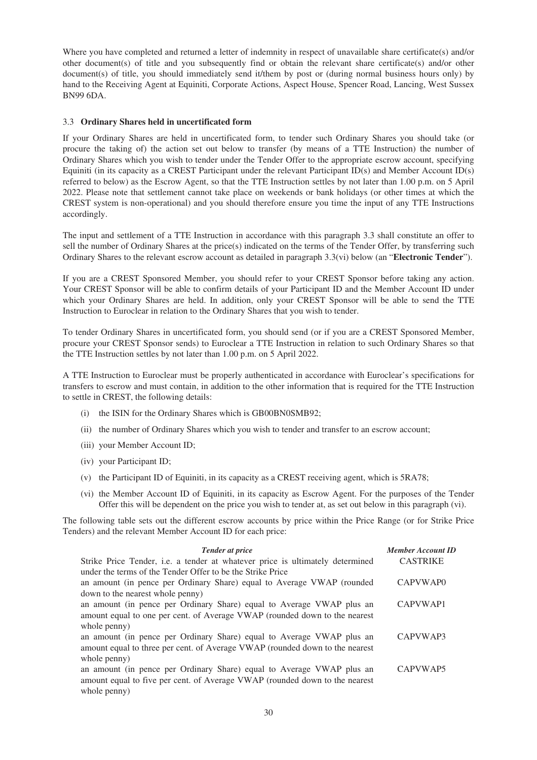Where you have completed and returned a letter of indemnity in respect of unavailable share certificate(s) and/or other document(s) of title and you subsequently find or obtain the relevant share certificate(s) and/or other document(s) of title, you should immediately send it/them by post or (during normal business hours only) by hand to the Receiving Agent at Equiniti, Corporate Actions, Aspect House, Spencer Road, Lancing, West Sussex BN99 6DA.

## 3.3 **Ordinary Shares held in uncertificated form**

If your Ordinary Shares are held in uncertificated form, to tender such Ordinary Shares you should take (or procure the taking of) the action set out below to transfer (by means of a TTE Instruction) the number of Ordinary Shares which you wish to tender under the Tender Offer to the appropriate escrow account, specifying Equiniti (in its capacity as a CREST Participant under the relevant Participant ID(s) and Member Account ID(s) referred to below) as the Escrow Agent, so that the TTE Instruction settles by not later than 1.00 p.m. on 5 April 2022. Please note that settlement cannot take place on weekends or bank holidays (or other times at which the CREST system is non-operational) and you should therefore ensure you time the input of any TTE Instructions accordingly.

The input and settlement of a TTE Instruction in accordance with this paragraph 3.3 shall constitute an offer to sell the number of Ordinary Shares at the price(s) indicated on the terms of the Tender Offer, by transferring such Ordinary Shares to the relevant escrow account as detailed in paragraph 3.3(vi) below (an "**Electronic Tender**").

If you are a CREST Sponsored Member, you should refer to your CREST Sponsor before taking any action. Your CREST Sponsor will be able to confirm details of your Participant ID and the Member Account ID under which your Ordinary Shares are held. In addition, only your CREST Sponsor will be able to send the TTE Instruction to Euroclear in relation to the Ordinary Shares that you wish to tender.

To tender Ordinary Shares in uncertificated form, you should send (or if you are a CREST Sponsored Member, procure your CREST Sponsor sends) to Euroclear a TTE Instruction in relation to such Ordinary Shares so that the TTE Instruction settles by not later than 1.00 p.m. on 5 April 2022.

A TTE Instruction to Euroclear must be properly authenticated in accordance with Euroclear's specifications for transfers to escrow and must contain, in addition to the other information that is required for the TTE Instruction to settle in CREST, the following details:

- (i) the ISIN for the Ordinary Shares which is GB00BN0SMB92;
- (ii) the number of Ordinary Shares which you wish to tender and transfer to an escrow account;
- (iii) your Member Account ID;
- (iv) your Participant ID;
- (v) the Participant ID of Equiniti, in its capacity as a CREST receiving agent, which is 5RA78;
- (vi) the Member Account ID of Equiniti, in its capacity as Escrow Agent. For the purposes of the Tender Offer this will be dependent on the price you wish to tender at, as set out below in this paragraph (vi).

The following table sets out the different escrow accounts by price within the Price Range (or for Strike Price Tenders) and the relevant Member Account ID for each price:

| <b>Tender at price</b>                                                        | <b>Member Account ID</b> |
|-------------------------------------------------------------------------------|--------------------------|
| Strike Price Tender, i.e. a tender at whatever price is ultimately determined | <b>CASTRIKE</b>          |
| under the terms of the Tender Offer to be the Strike Price                    |                          |
| an amount (in pence per Ordinary Share) equal to Average VWAP (rounded        | CAPVWAP0                 |
| down to the nearest whole penny)                                              |                          |
| an amount (in pence per Ordinary Share) equal to Average VWAP plus an         | CAPVWAP1                 |
| amount equal to one per cent. of Average VWAP (rounded down to the nearest    |                          |
| whole penny)                                                                  |                          |
| an amount (in pence per Ordinary Share) equal to Average VWAP plus an         | CAPVWAP3                 |
| amount equal to three per cent. of Average VWAP (rounded down to the nearest  |                          |
| whole penny)                                                                  |                          |
| an amount (in pence per Ordinary Share) equal to Average VWAP plus an         | CAPVWAP5                 |
| amount equal to five per cent. of Average VWAP (rounded down to the nearest   |                          |
| whole penny)                                                                  |                          |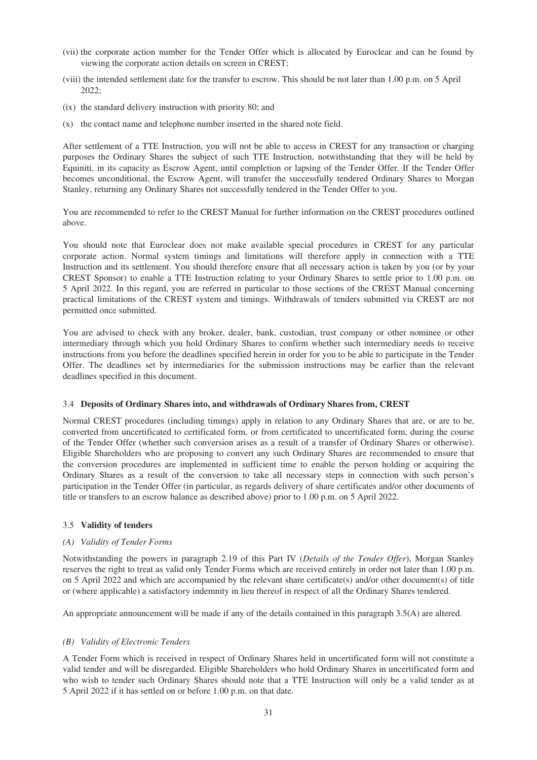- (vii) the corporate action number for the Tender Offer which is allocated by Euroclear and can be found by viewing the corporate action details on screen in CREST;
- (viii) the intended settlement date for the transfer to escrow. This should be not later than 1.00 p.m. on 5 April 2022;
- (ix) the standard delivery instruction with priority 80; and
- (x) the contact name and telephone number inserted in the shared note field.

After settlement of a TTE Instruction, you will not be able to access in CREST for any transaction or charging purposes the Ordinary Shares the subject of such TTE Instruction, notwithstanding that they will be held by Equiniti, in its capacity as Escrow Agent, until completion or lapsing of the Tender Offer. If the Tender Offer becomes unconditional, the Escrow Agent, will transfer the successfully tendered Ordinary Shares to Morgan Stanley, returning any Ordinary Shares not successfully tendered in the Tender Offer to you.

You are recommended to refer to the CREST Manual for further information on the CREST procedures outlined above.

You should note that Euroclear does not make available special procedures in CREST for any particular corporate action. Normal system timings and limitations will therefore apply in connection with a TTE Instruction and its settlement. You should therefore ensure that all necessary action is taken by you (or by your CREST Sponsor) to enable a TTE Instruction relating to your Ordinary Shares to settle prior to 1.00 p.m. on 5 April 2022. In this regard, you are referred in particular to those sections of the CREST Manual concerning practical limitations of the CREST system and timings. Withdrawals of tenders submitted via CREST are not permitted once submitted.

You are advised to check with any broker, dealer, bank, custodian, trust company or other nominee or other intermediary through which you hold Ordinary Shares to confirm whether such intermediary needs to receive instructions from you before the deadlines specified herein in order for you to be able to participate in the Tender Offer. The deadlines set by intermediaries for the submission instructions may be earlier than the relevant deadlines specified in this document.

#### 3.4 **Deposits of Ordinary Shares into, and withdrawals of Ordinary Shares from, CREST**

Normal CREST procedures (including timings) apply in relation to any Ordinary Shares that are, or are to be, converted from uncertificated to certificated form, or from certificated to uncertificated form, during the course of the Tender Offer (whether such conversion arises as a result of a transfer of Ordinary Shares or otherwise). Eligible Shareholders who are proposing to convert any such Ordinary Shares are recommended to ensure that the conversion procedures are implemented in sufficient time to enable the person holding or acquiring the Ordinary Shares as a result of the conversion to take all necessary steps in connection with such person's participation in the Tender Offer (in particular, as regards delivery of share certificates and/or other documents of title or transfers to an escrow balance as described above) prior to 1.00 p.m. on 5 April 2022.

## 3.5 **Validity of tenders**

#### *(A) Validity of Tender Forms*

Notwithstanding the powers in paragraph 2.19 of this Part IV (*Details of the Tender Offer*), Morgan Stanley reserves the right to treat as valid only Tender Forms which are received entirely in order not later than 1.00 p.m. on 5 April 2022 and which are accompanied by the relevant share certificate(s) and/or other document(s) of title or (where applicable) a satisfactory indemnity in lieu thereof in respect of all the Ordinary Shares tendered.

An appropriate announcement will be made if any of the details contained in this paragraph 3.5(A) are altered.

#### *(B) Validity of Electronic Tenders*

A Tender Form which is received in respect of Ordinary Shares held in uncertificated form will not constitute a valid tender and will be disregarded. Eligible Shareholders who hold Ordinary Shares in uncertificated form and who wish to tender such Ordinary Shares should note that a TTE Instruction will only be a valid tender as at 5 April 2022 if it has settled on or before 1.00 p.m. on that date.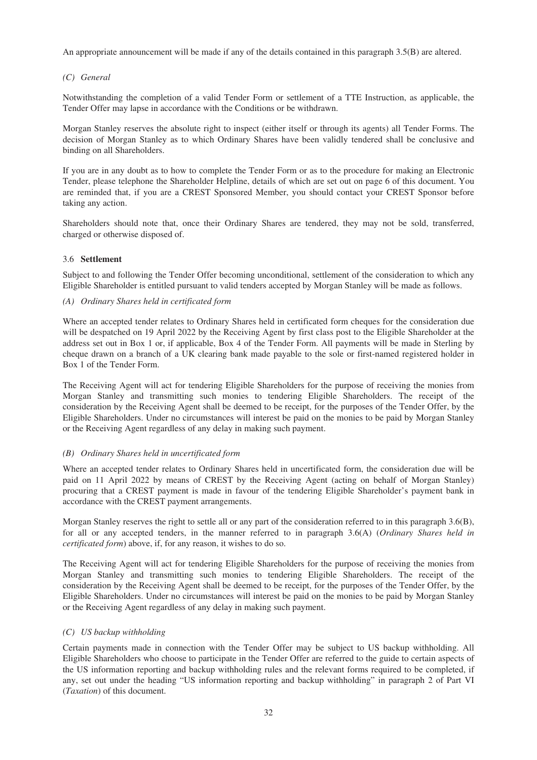An appropriate announcement will be made if any of the details contained in this paragraph 3.5(B) are altered.

# *(C) General*

Notwithstanding the completion of a valid Tender Form or settlement of a TTE Instruction, as applicable, the Tender Offer may lapse in accordance with the Conditions or be withdrawn.

Morgan Stanley reserves the absolute right to inspect (either itself or through its agents) all Tender Forms. The decision of Morgan Stanley as to which Ordinary Shares have been validly tendered shall be conclusive and binding on all Shareholders.

If you are in any doubt as to how to complete the Tender Form or as to the procedure for making an Electronic Tender, please telephone the Shareholder Helpline, details of which are set out on page 6 of this document. You are reminded that, if you are a CREST Sponsored Member, you should contact your CREST Sponsor before taking any action.

Shareholders should note that, once their Ordinary Shares are tendered, they may not be sold, transferred, charged or otherwise disposed of.

# 3.6 **Settlement**

Subject to and following the Tender Offer becoming unconditional, settlement of the consideration to which any Eligible Shareholder is entitled pursuant to valid tenders accepted by Morgan Stanley will be made as follows.

## *(A) Ordinary Shares held in certificated form*

Where an accepted tender relates to Ordinary Shares held in certificated form cheques for the consideration due will be despatched on 19 April 2022 by the Receiving Agent by first class post to the Eligible Shareholder at the address set out in Box 1 or, if applicable, Box 4 of the Tender Form. All payments will be made in Sterling by cheque drawn on a branch of a UK clearing bank made payable to the sole or first-named registered holder in Box 1 of the Tender Form.

The Receiving Agent will act for tendering Eligible Shareholders for the purpose of receiving the monies from Morgan Stanley and transmitting such monies to tendering Eligible Shareholders. The receipt of the consideration by the Receiving Agent shall be deemed to be receipt, for the purposes of the Tender Offer, by the Eligible Shareholders. Under no circumstances will interest be paid on the monies to be paid by Morgan Stanley or the Receiving Agent regardless of any delay in making such payment.

## *(B) Ordinary Shares held in uncertificated form*

Where an accepted tender relates to Ordinary Shares held in uncertificated form, the consideration due will be paid on 11 April 2022 by means of CREST by the Receiving Agent (acting on behalf of Morgan Stanley) procuring that a CREST payment is made in favour of the tendering Eligible Shareholder's payment bank in accordance with the CREST payment arrangements.

Morgan Stanley reserves the right to settle all or any part of the consideration referred to in this paragraph 3.6(B), for all or any accepted tenders, in the manner referred to in paragraph 3.6(A) (*Ordinary Shares held in certificated form*) above, if, for any reason, it wishes to do so.

The Receiving Agent will act for tendering Eligible Shareholders for the purpose of receiving the monies from Morgan Stanley and transmitting such monies to tendering Eligible Shareholders. The receipt of the consideration by the Receiving Agent shall be deemed to be receipt, for the purposes of the Tender Offer, by the Eligible Shareholders. Under no circumstances will interest be paid on the monies to be paid by Morgan Stanley or the Receiving Agent regardless of any delay in making such payment.

## *(C) US backup withholding*

Certain payments made in connection with the Tender Offer may be subject to US backup withholding. All Eligible Shareholders who choose to participate in the Tender Offer are referred to the guide to certain aspects of the US information reporting and backup withholding rules and the relevant forms required to be completed, if any, set out under the heading "US information reporting and backup withholding" in paragraph 2 of Part VI (*Taxation*) of this document.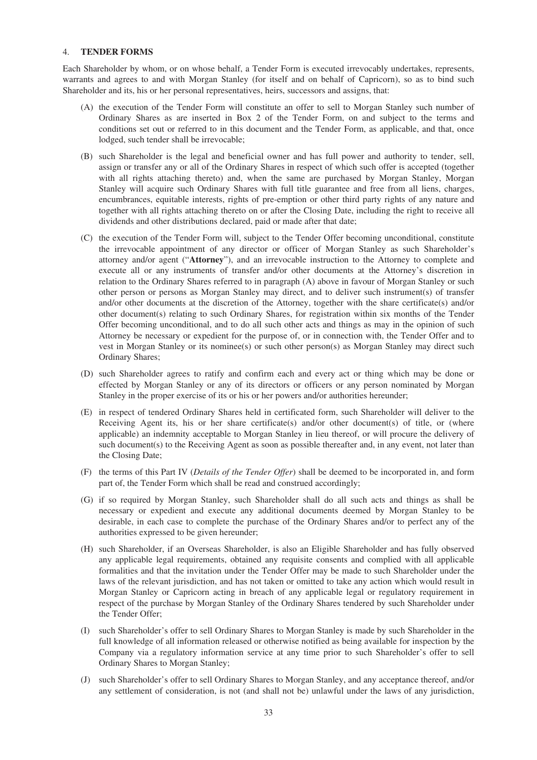#### 4. **TENDER FORMS**

Each Shareholder by whom, or on whose behalf, a Tender Form is executed irrevocably undertakes, represents, warrants and agrees to and with Morgan Stanley (for itself and on behalf of Capricorn), so as to bind such Shareholder and its, his or her personal representatives, heirs, successors and assigns, that:

- (A) the execution of the Tender Form will constitute an offer to sell to Morgan Stanley such number of Ordinary Shares as are inserted in Box 2 of the Tender Form, on and subject to the terms and conditions set out or referred to in this document and the Tender Form, as applicable, and that, once lodged, such tender shall be irrevocable;
- (B) such Shareholder is the legal and beneficial owner and has full power and authority to tender, sell, assign or transfer any or all of the Ordinary Shares in respect of which such offer is accepted (together with all rights attaching thereto) and, when the same are purchased by Morgan Stanley, Morgan Stanley will acquire such Ordinary Shares with full title guarantee and free from all liens, charges, encumbrances, equitable interests, rights of pre-emption or other third party rights of any nature and together with all rights attaching thereto on or after the Closing Date, including the right to receive all dividends and other distributions declared, paid or made after that date;
- (C) the execution of the Tender Form will, subject to the Tender Offer becoming unconditional, constitute the irrevocable appointment of any director or officer of Morgan Stanley as such Shareholder's attorney and/or agent ("**Attorney**"), and an irrevocable instruction to the Attorney to complete and execute all or any instruments of transfer and/or other documents at the Attorney's discretion in relation to the Ordinary Shares referred to in paragraph (A) above in favour of Morgan Stanley or such other person or persons as Morgan Stanley may direct, and to deliver such instrument(s) of transfer and/or other documents at the discretion of the Attorney, together with the share certificate(s) and/or other document(s) relating to such Ordinary Shares, for registration within six months of the Tender Offer becoming unconditional, and to do all such other acts and things as may in the opinion of such Attorney be necessary or expedient for the purpose of, or in connection with, the Tender Offer and to vest in Morgan Stanley or its nominee(s) or such other person(s) as Morgan Stanley may direct such Ordinary Shares;
- (D) such Shareholder agrees to ratify and confirm each and every act or thing which may be done or effected by Morgan Stanley or any of its directors or officers or any person nominated by Morgan Stanley in the proper exercise of its or his or her powers and/or authorities hereunder;
- (E) in respect of tendered Ordinary Shares held in certificated form, such Shareholder will deliver to the Receiving Agent its, his or her share certificate(s) and/or other document(s) of title, or (where applicable) an indemnity acceptable to Morgan Stanley in lieu thereof, or will procure the delivery of such document(s) to the Receiving Agent as soon as possible thereafter and, in any event, not later than the Closing Date;
- (F) the terms of this Part IV (*Details of the Tender Offer*) shall be deemed to be incorporated in, and form part of, the Tender Form which shall be read and construed accordingly;
- (G) if so required by Morgan Stanley, such Shareholder shall do all such acts and things as shall be necessary or expedient and execute any additional documents deemed by Morgan Stanley to be desirable, in each case to complete the purchase of the Ordinary Shares and/or to perfect any of the authorities expressed to be given hereunder;
- (H) such Shareholder, if an Overseas Shareholder, is also an Eligible Shareholder and has fully observed any applicable legal requirements, obtained any requisite consents and complied with all applicable formalities and that the invitation under the Tender Offer may be made to such Shareholder under the laws of the relevant jurisdiction, and has not taken or omitted to take any action which would result in Morgan Stanley or Capricorn acting in breach of any applicable legal or regulatory requirement in respect of the purchase by Morgan Stanley of the Ordinary Shares tendered by such Shareholder under the Tender Offer;
- (I) such Shareholder's offer to sell Ordinary Shares to Morgan Stanley is made by such Shareholder in the full knowledge of all information released or otherwise notified as being available for inspection by the Company via a regulatory information service at any time prior to such Shareholder's offer to sell Ordinary Shares to Morgan Stanley;
- (J) such Shareholder's offer to sell Ordinary Shares to Morgan Stanley, and any acceptance thereof, and/or any settlement of consideration, is not (and shall not be) unlawful under the laws of any jurisdiction,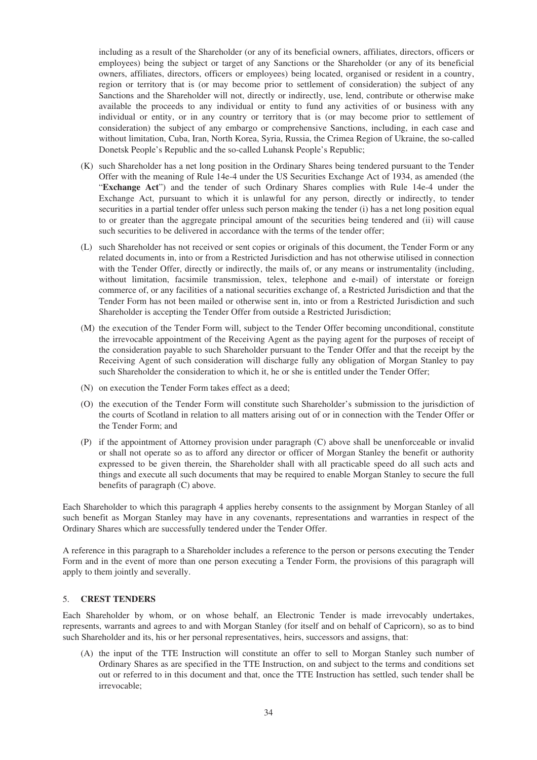including as a result of the Shareholder (or any of its beneficial owners, affiliates, directors, officers or employees) being the subject or target of any Sanctions or the Shareholder (or any of its beneficial owners, affiliates, directors, officers or employees) being located, organised or resident in a country, region or territory that is (or may become prior to settlement of consideration) the subject of any Sanctions and the Shareholder will not, directly or indirectly, use, lend, contribute or otherwise make available the proceeds to any individual or entity to fund any activities of or business with any individual or entity, or in any country or territory that is (or may become prior to settlement of consideration) the subject of any embargo or comprehensive Sanctions, including, in each case and without limitation, Cuba, Iran, North Korea, Syria, Russia, the Crimea Region of Ukraine, the so-called Donetsk People's Republic and the so-called Luhansk People's Republic;

- (K) such Shareholder has a net long position in the Ordinary Shares being tendered pursuant to the Tender Offer with the meaning of Rule 14e-4 under the US Securities Exchange Act of 1934, as amended (the "**Exchange Act**") and the tender of such Ordinary Shares complies with Rule 14e-4 under the Exchange Act, pursuant to which it is unlawful for any person, directly or indirectly, to tender securities in a partial tender offer unless such person making the tender (i) has a net long position equal to or greater than the aggregate principal amount of the securities being tendered and (ii) will cause such securities to be delivered in accordance with the terms of the tender offer;
- (L) such Shareholder has not received or sent copies or originals of this document, the Tender Form or any related documents in, into or from a Restricted Jurisdiction and has not otherwise utilised in connection with the Tender Offer, directly or indirectly, the mails of, or any means or instrumentality (including, without limitation, facsimile transmission, telex, telephone and e-mail) of interstate or foreign commerce of, or any facilities of a national securities exchange of, a Restricted Jurisdiction and that the Tender Form has not been mailed or otherwise sent in, into or from a Restricted Jurisdiction and such Shareholder is accepting the Tender Offer from outside a Restricted Jurisdiction;
- (M) the execution of the Tender Form will, subject to the Tender Offer becoming unconditional, constitute the irrevocable appointment of the Receiving Agent as the paying agent for the purposes of receipt of the consideration payable to such Shareholder pursuant to the Tender Offer and that the receipt by the Receiving Agent of such consideration will discharge fully any obligation of Morgan Stanley to pay such Shareholder the consideration to which it, he or she is entitled under the Tender Offer;
- (N) on execution the Tender Form takes effect as a deed;
- (O) the execution of the Tender Form will constitute such Shareholder's submission to the jurisdiction of the courts of Scotland in relation to all matters arising out of or in connection with the Tender Offer or the Tender Form; and
- (P) if the appointment of Attorney provision under paragraph (C) above shall be unenforceable or invalid or shall not operate so as to afford any director or officer of Morgan Stanley the benefit or authority expressed to be given therein, the Shareholder shall with all practicable speed do all such acts and things and execute all such documents that may be required to enable Morgan Stanley to secure the full benefits of paragraph (C) above.

Each Shareholder to which this paragraph 4 applies hereby consents to the assignment by Morgan Stanley of all such benefit as Morgan Stanley may have in any covenants, representations and warranties in respect of the Ordinary Shares which are successfully tendered under the Tender Offer.

A reference in this paragraph to a Shareholder includes a reference to the person or persons executing the Tender Form and in the event of more than one person executing a Tender Form, the provisions of this paragraph will apply to them jointly and severally.

## 5. **CREST TENDERS**

Each Shareholder by whom, or on whose behalf, an Electronic Tender is made irrevocably undertakes, represents, warrants and agrees to and with Morgan Stanley (for itself and on behalf of Capricorn), so as to bind such Shareholder and its, his or her personal representatives, heirs, successors and assigns, that:

(A) the input of the TTE Instruction will constitute an offer to sell to Morgan Stanley such number of Ordinary Shares as are specified in the TTE Instruction, on and subject to the terms and conditions set out or referred to in this document and that, once the TTE Instruction has settled, such tender shall be irrevocable;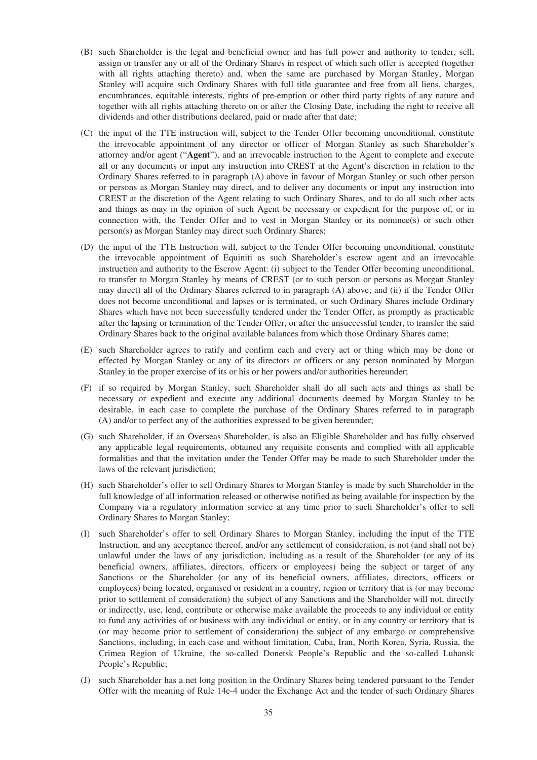- (B) such Shareholder is the legal and beneficial owner and has full power and authority to tender, sell, assign or transfer any or all of the Ordinary Shares in respect of which such offer is accepted (together with all rights attaching thereto) and, when the same are purchased by Morgan Stanley, Morgan Stanley will acquire such Ordinary Shares with full title guarantee and free from all liens, charges, encumbrances, equitable interests, rights of pre-emption or other third party rights of any nature and together with all rights attaching thereto on or after the Closing Date, including the right to receive all dividends and other distributions declared, paid or made after that date;
- (C) the input of the TTE instruction will, subject to the Tender Offer becoming unconditional, constitute the irrevocable appointment of any director or officer of Morgan Stanley as such Shareholder's attorney and/or agent ("**Agent**"), and an irrevocable instruction to the Agent to complete and execute all or any documents or input any instruction into CREST at the Agent's discretion in relation to the Ordinary Shares referred to in paragraph (A) above in favour of Morgan Stanley or such other person or persons as Morgan Stanley may direct, and to deliver any documents or input any instruction into CREST at the discretion of the Agent relating to such Ordinary Shares, and to do all such other acts and things as may in the opinion of such Agent be necessary or expedient for the purpose of, or in connection with, the Tender Offer and to vest in Morgan Stanley or its nominee(s) or such other person(s) as Morgan Stanley may direct such Ordinary Shares;
- (D) the input of the TTE Instruction will, subject to the Tender Offer becoming unconditional, constitute the irrevocable appointment of Equiniti as such Shareholder's escrow agent and an irrevocable instruction and authority to the Escrow Agent: (i) subject to the Tender Offer becoming unconditional, to transfer to Morgan Stanley by means of CREST (or to such person or persons as Morgan Stanley may direct) all of the Ordinary Shares referred to in paragraph (A) above; and (ii) if the Tender Offer does not become unconditional and lapses or is terminated, or such Ordinary Shares include Ordinary Shares which have not been successfully tendered under the Tender Offer, as promptly as practicable after the lapsing or termination of the Tender Offer, or after the unsuccessful tender, to transfer the said Ordinary Shares back to the original available balances from which those Ordinary Shares came;
- (E) such Shareholder agrees to ratify and confirm each and every act or thing which may be done or effected by Morgan Stanley or any of its directors or officers or any person nominated by Morgan Stanley in the proper exercise of its or his or her powers and/or authorities hereunder;
- (F) if so required by Morgan Stanley, such Shareholder shall do all such acts and things as shall be necessary or expedient and execute any additional documents deemed by Morgan Stanley to be desirable, in each case to complete the purchase of the Ordinary Shares referred to in paragraph (A) and/or to perfect any of the authorities expressed to be given hereunder;
- (G) such Shareholder, if an Overseas Shareholder, is also an Eligible Shareholder and has fully observed any applicable legal requirements, obtained any requisite consents and complied with all applicable formalities and that the invitation under the Tender Offer may be made to such Shareholder under the laws of the relevant jurisdiction;
- (H) such Shareholder's offer to sell Ordinary Shares to Morgan Stanley is made by such Shareholder in the full knowledge of all information released or otherwise notified as being available for inspection by the Company via a regulatory information service at any time prior to such Shareholder's offer to sell Ordinary Shares to Morgan Stanley;
- (I) such Shareholder's offer to sell Ordinary Shares to Morgan Stanley, including the input of the TTE Instruction, and any acceptance thereof, and/or any settlement of consideration, is not (and shall not be) unlawful under the laws of any jurisdiction, including as a result of the Shareholder (or any of its beneficial owners, affiliates, directors, officers or employees) being the subject or target of any Sanctions or the Shareholder (or any of its beneficial owners, affiliates, directors, officers or employees) being located, organised or resident in a country, region or territory that is (or may become prior to settlement of consideration) the subject of any Sanctions and the Shareholder will not, directly or indirectly, use, lend, contribute or otherwise make available the proceeds to any individual or entity to fund any activities of or business with any individual or entity, or in any country or territory that is (or may become prior to settlement of consideration) the subject of any embargo or comprehensive Sanctions, including, in each case and without limitation, Cuba, Iran, North Korea, Syria, Russia, the Crimea Region of Ukraine, the so-called Donetsk People's Republic and the so-called Luhansk People's Republic;
- (J) such Shareholder has a net long position in the Ordinary Shares being tendered pursuant to the Tender Offer with the meaning of Rule 14e-4 under the Exchange Act and the tender of such Ordinary Shares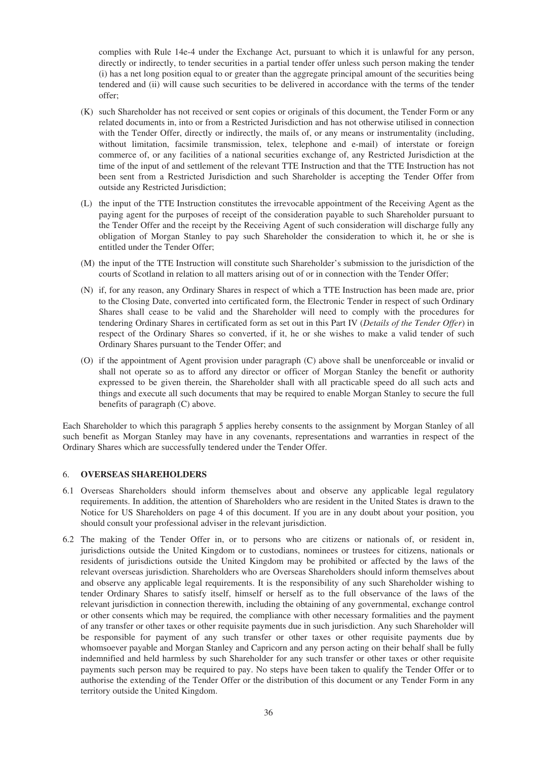complies with Rule 14e-4 under the Exchange Act, pursuant to which it is unlawful for any person, directly or indirectly, to tender securities in a partial tender offer unless such person making the tender (i) has a net long position equal to or greater than the aggregate principal amount of the securities being tendered and (ii) will cause such securities to be delivered in accordance with the terms of the tender offer;

- (K) such Shareholder has not received or sent copies or originals of this document, the Tender Form or any related documents in, into or from a Restricted Jurisdiction and has not otherwise utilised in connection with the Tender Offer, directly or indirectly, the mails of, or any means or instrumentality (including, without limitation, facsimile transmission, telex, telephone and e-mail) of interstate or foreign commerce of, or any facilities of a national securities exchange of, any Restricted Jurisdiction at the time of the input of and settlement of the relevant TTE Instruction and that the TTE Instruction has not been sent from a Restricted Jurisdiction and such Shareholder is accepting the Tender Offer from outside any Restricted Jurisdiction;
- (L) the input of the TTE Instruction constitutes the irrevocable appointment of the Receiving Agent as the paying agent for the purposes of receipt of the consideration payable to such Shareholder pursuant to the Tender Offer and the receipt by the Receiving Agent of such consideration will discharge fully any obligation of Morgan Stanley to pay such Shareholder the consideration to which it, he or she is entitled under the Tender Offer;
- (M) the input of the TTE Instruction will constitute such Shareholder's submission to the jurisdiction of the courts of Scotland in relation to all matters arising out of or in connection with the Tender Offer;
- (N) if, for any reason, any Ordinary Shares in respect of which a TTE Instruction has been made are, prior to the Closing Date, converted into certificated form, the Electronic Tender in respect of such Ordinary Shares shall cease to be valid and the Shareholder will need to comply with the procedures for tendering Ordinary Shares in certificated form as set out in this Part IV (*Details of the Tender Offer*) in respect of the Ordinary Shares so converted, if it, he or she wishes to make a valid tender of such Ordinary Shares pursuant to the Tender Offer; and
- (O) if the appointment of Agent provision under paragraph (C) above shall be unenforceable or invalid or shall not operate so as to afford any director or officer of Morgan Stanley the benefit or authority expressed to be given therein, the Shareholder shall with all practicable speed do all such acts and things and execute all such documents that may be required to enable Morgan Stanley to secure the full benefits of paragraph (C) above.

Each Shareholder to which this paragraph 5 applies hereby consents to the assignment by Morgan Stanley of all such benefit as Morgan Stanley may have in any covenants, representations and warranties in respect of the Ordinary Shares which are successfully tendered under the Tender Offer.

## 6. **OVERSEAS SHAREHOLDERS**

- 6.1 Overseas Shareholders should inform themselves about and observe any applicable legal regulatory requirements. In addition, the attention of Shareholders who are resident in the United States is drawn to the Notice for US Shareholders on page 4 of this document. If you are in any doubt about your position, you should consult your professional adviser in the relevant jurisdiction.
- 6.2 The making of the Tender Offer in, or to persons who are citizens or nationals of, or resident in, jurisdictions outside the United Kingdom or to custodians, nominees or trustees for citizens, nationals or residents of jurisdictions outside the United Kingdom may be prohibited or affected by the laws of the relevant overseas jurisdiction. Shareholders who are Overseas Shareholders should inform themselves about and observe any applicable legal requirements. It is the responsibility of any such Shareholder wishing to tender Ordinary Shares to satisfy itself, himself or herself as to the full observance of the laws of the relevant jurisdiction in connection therewith, including the obtaining of any governmental, exchange control or other consents which may be required, the compliance with other necessary formalities and the payment of any transfer or other taxes or other requisite payments due in such jurisdiction. Any such Shareholder will be responsible for payment of any such transfer or other taxes or other requisite payments due by whomsoever payable and Morgan Stanley and Capricorn and any person acting on their behalf shall be fully indemnified and held harmless by such Shareholder for any such transfer or other taxes or other requisite payments such person may be required to pay. No steps have been taken to qualify the Tender Offer or to authorise the extending of the Tender Offer or the distribution of this document or any Tender Form in any territory outside the United Kingdom.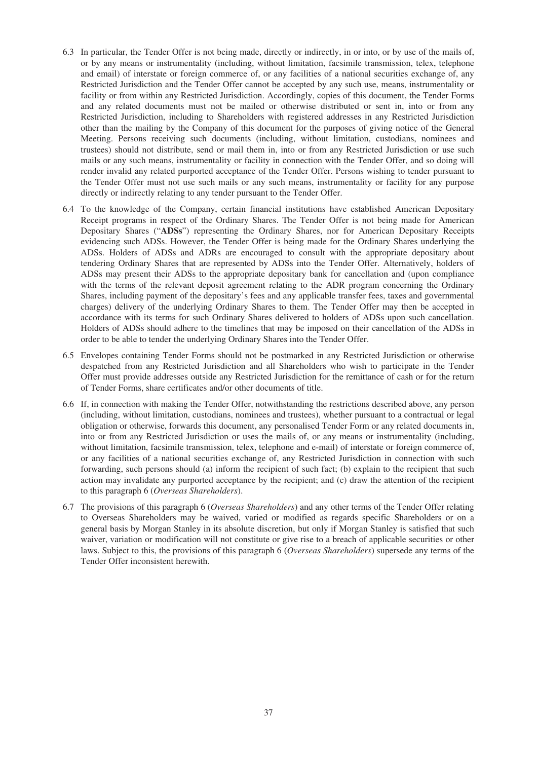- 6.3 In particular, the Tender Offer is not being made, directly or indirectly, in or into, or by use of the mails of, or by any means or instrumentality (including, without limitation, facsimile transmission, telex, telephone and email) of interstate or foreign commerce of, or any facilities of a national securities exchange of, any Restricted Jurisdiction and the Tender Offer cannot be accepted by any such use, means, instrumentality or facility or from within any Restricted Jurisdiction. Accordingly, copies of this document, the Tender Forms and any related documents must not be mailed or otherwise distributed or sent in, into or from any Restricted Jurisdiction, including to Shareholders with registered addresses in any Restricted Jurisdiction other than the mailing by the Company of this document for the purposes of giving notice of the General Meeting. Persons receiving such documents (including, without limitation, custodians, nominees and trustees) should not distribute, send or mail them in, into or from any Restricted Jurisdiction or use such mails or any such means, instrumentality or facility in connection with the Tender Offer, and so doing will render invalid any related purported acceptance of the Tender Offer. Persons wishing to tender pursuant to the Tender Offer must not use such mails or any such means, instrumentality or facility for any purpose directly or indirectly relating to any tender pursuant to the Tender Offer.
- 6.4 To the knowledge of the Company, certain financial institutions have established American Depositary Receipt programs in respect of the Ordinary Shares. The Tender Offer is not being made for American Depositary Shares ("**ADSs**") representing the Ordinary Shares, nor for American Depositary Receipts evidencing such ADSs. However, the Tender Offer is being made for the Ordinary Shares underlying the ADSs. Holders of ADSs and ADRs are encouraged to consult with the appropriate depositary about tendering Ordinary Shares that are represented by ADSs into the Tender Offer. Alternatively, holders of ADSs may present their ADSs to the appropriate depositary bank for cancellation and (upon compliance with the terms of the relevant deposit agreement relating to the ADR program concerning the Ordinary Shares, including payment of the depositary's fees and any applicable transfer fees, taxes and governmental charges) delivery of the underlying Ordinary Shares to them. The Tender Offer may then be accepted in accordance with its terms for such Ordinary Shares delivered to holders of ADSs upon such cancellation. Holders of ADSs should adhere to the timelines that may be imposed on their cancellation of the ADSs in order to be able to tender the underlying Ordinary Shares into the Tender Offer.
- 6.5 Envelopes containing Tender Forms should not be postmarked in any Restricted Jurisdiction or otherwise despatched from any Restricted Jurisdiction and all Shareholders who wish to participate in the Tender Offer must provide addresses outside any Restricted Jurisdiction for the remittance of cash or for the return of Tender Forms, share certificates and/or other documents of title.
- 6.6 If, in connection with making the Tender Offer, notwithstanding the restrictions described above, any person (including, without limitation, custodians, nominees and trustees), whether pursuant to a contractual or legal obligation or otherwise, forwards this document, any personalised Tender Form or any related documents in, into or from any Restricted Jurisdiction or uses the mails of, or any means or instrumentality (including, without limitation, facsimile transmission, telex, telephone and e-mail) of interstate or foreign commerce of, or any facilities of a national securities exchange of, any Restricted Jurisdiction in connection with such forwarding, such persons should (a) inform the recipient of such fact; (b) explain to the recipient that such action may invalidate any purported acceptance by the recipient; and (c) draw the attention of the recipient to this paragraph 6 (*Overseas Shareholders*).
- 6.7 The provisions of this paragraph 6 (*Overseas Shareholders*) and any other terms of the Tender Offer relating to Overseas Shareholders may be waived, varied or modified as regards specific Shareholders or on a general basis by Morgan Stanley in its absolute discretion, but only if Morgan Stanley is satisfied that such waiver, variation or modification will not constitute or give rise to a breach of applicable securities or other laws. Subject to this, the provisions of this paragraph 6 (*Overseas Shareholders*) supersede any terms of the Tender Offer inconsistent herewith.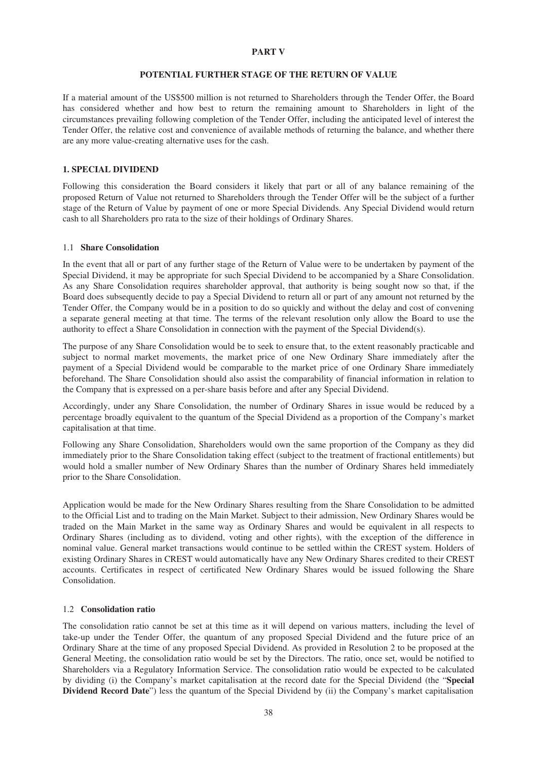### **PART V**

# **POTENTIAL FURTHER STAGE OF THE RETURN OF VALUE**

If a material amount of the US\$500 million is not returned to Shareholders through the Tender Offer, the Board has considered whether and how best to return the remaining amount to Shareholders in light of the circumstances prevailing following completion of the Tender Offer, including the anticipated level of interest the Tender Offer, the relative cost and convenience of available methods of returning the balance, and whether there are any more value-creating alternative uses for the cash.

# **1. SPECIAL DIVIDEND**

Following this consideration the Board considers it likely that part or all of any balance remaining of the proposed Return of Value not returned to Shareholders through the Tender Offer will be the subject of a further stage of the Return of Value by payment of one or more Special Dividends. Any Special Dividend would return cash to all Shareholders pro rata to the size of their holdings of Ordinary Shares.

### 1.1 **Share Consolidation**

In the event that all or part of any further stage of the Return of Value were to be undertaken by payment of the Special Dividend, it may be appropriate for such Special Dividend to be accompanied by a Share Consolidation. As any Share Consolidation requires shareholder approval, that authority is being sought now so that, if the Board does subsequently decide to pay a Special Dividend to return all or part of any amount not returned by the Tender Offer, the Company would be in a position to do so quickly and without the delay and cost of convening a separate general meeting at that time. The terms of the relevant resolution only allow the Board to use the authority to effect a Share Consolidation in connection with the payment of the Special Dividend(s).

The purpose of any Share Consolidation would be to seek to ensure that, to the extent reasonably practicable and subject to normal market movements, the market price of one New Ordinary Share immediately after the payment of a Special Dividend would be comparable to the market price of one Ordinary Share immediately beforehand. The Share Consolidation should also assist the comparability of financial information in relation to the Company that is expressed on a per-share basis before and after any Special Dividend.

Accordingly, under any Share Consolidation, the number of Ordinary Shares in issue would be reduced by a percentage broadly equivalent to the quantum of the Special Dividend as a proportion of the Company's market capitalisation at that time.

Following any Share Consolidation, Shareholders would own the same proportion of the Company as they did immediately prior to the Share Consolidation taking effect (subject to the treatment of fractional entitlements) but would hold a smaller number of New Ordinary Shares than the number of Ordinary Shares held immediately prior to the Share Consolidation.

Application would be made for the New Ordinary Shares resulting from the Share Consolidation to be admitted to the Official List and to trading on the Main Market. Subject to their admission, New Ordinary Shares would be traded on the Main Market in the same way as Ordinary Shares and would be equivalent in all respects to Ordinary Shares (including as to dividend, voting and other rights), with the exception of the difference in nominal value. General market transactions would continue to be settled within the CREST system. Holders of existing Ordinary Shares in CREST would automatically have any New Ordinary Shares credited to their CREST accounts. Certificates in respect of certificated New Ordinary Shares would be issued following the Share Consolidation.

## 1.2 **Consolidation ratio**

The consolidation ratio cannot be set at this time as it will depend on various matters, including the level of take-up under the Tender Offer, the quantum of any proposed Special Dividend and the future price of an Ordinary Share at the time of any proposed Special Dividend. As provided in Resolution 2 to be proposed at the General Meeting, the consolidation ratio would be set by the Directors. The ratio, once set, would be notified to Shareholders via a Regulatory Information Service. The consolidation ratio would be expected to be calculated by dividing (i) the Company's market capitalisation at the record date for the Special Dividend (the "**Special Dividend Record Date**") less the quantum of the Special Dividend by (ii) the Company's market capitalisation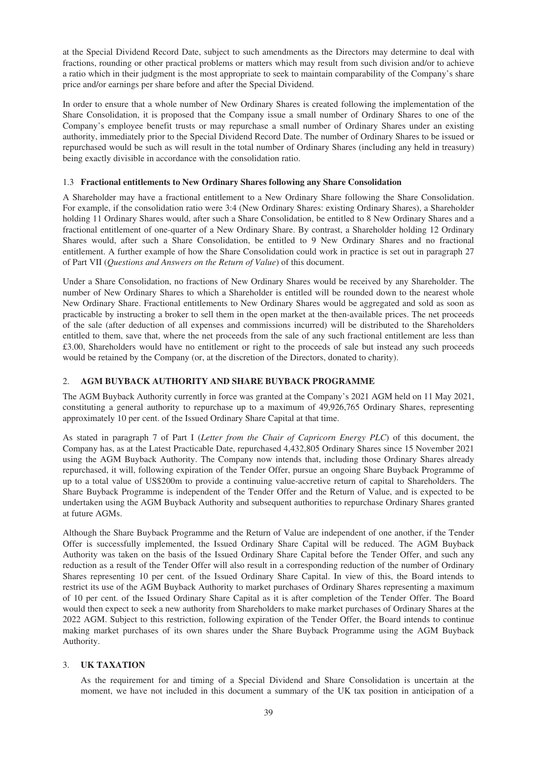at the Special Dividend Record Date, subject to such amendments as the Directors may determine to deal with fractions, rounding or other practical problems or matters which may result from such division and/or to achieve a ratio which in their judgment is the most appropriate to seek to maintain comparability of the Company's share price and/or earnings per share before and after the Special Dividend.

In order to ensure that a whole number of New Ordinary Shares is created following the implementation of the Share Consolidation, it is proposed that the Company issue a small number of Ordinary Shares to one of the Company's employee benefit trusts or may repurchase a small number of Ordinary Shares under an existing authority, immediately prior to the Special Dividend Record Date. The number of Ordinary Shares to be issued or repurchased would be such as will result in the total number of Ordinary Shares (including any held in treasury) being exactly divisible in accordance with the consolidation ratio.

# 1.3 **Fractional entitlements to New Ordinary Shares following any Share Consolidation**

A Shareholder may have a fractional entitlement to a New Ordinary Share following the Share Consolidation. For example, if the consolidation ratio were 3:4 (New Ordinary Shares: existing Ordinary Shares), a Shareholder holding 11 Ordinary Shares would, after such a Share Consolidation, be entitled to 8 New Ordinary Shares and a fractional entitlement of one-quarter of a New Ordinary Share. By contrast, a Shareholder holding 12 Ordinary Shares would, after such a Share Consolidation, be entitled to 9 New Ordinary Shares and no fractional entitlement. A further example of how the Share Consolidation could work in practice is set out in paragraph 27 of Part VII (*Questions and Answers on the Return of Value*) of this document.

Under a Share Consolidation, no fractions of New Ordinary Shares would be received by any Shareholder. The number of New Ordinary Shares to which a Shareholder is entitled will be rounded down to the nearest whole New Ordinary Share. Fractional entitlements to New Ordinary Shares would be aggregated and sold as soon as practicable by instructing a broker to sell them in the open market at the then-available prices. The net proceeds of the sale (after deduction of all expenses and commissions incurred) will be distributed to the Shareholders entitled to them, save that, where the net proceeds from the sale of any such fractional entitlement are less than £3.00, Shareholders would have no entitlement or right to the proceeds of sale but instead any such proceeds would be retained by the Company (or, at the discretion of the Directors, donated to charity).

# 2. **AGM BUYBACK AUTHORITY AND SHARE BUYBACK PROGRAMME**

The AGM Buyback Authority currently in force was granted at the Company's 2021 AGM held on 11 May 2021, constituting a general authority to repurchase up to a maximum of 49,926,765 Ordinary Shares, representing approximately 10 per cent. of the Issued Ordinary Share Capital at that time.

As stated in paragraph 7 of Part I (*Letter from the Chair of Capricorn Energy PLC*) of this document, the Company has, as at the Latest Practicable Date, repurchased 4,432,805 Ordinary Shares since 15 November 2021 using the AGM Buyback Authority. The Company now intends that, including those Ordinary Shares already repurchased, it will, following expiration of the Tender Offer, pursue an ongoing Share Buyback Programme of up to a total value of US\$200m to provide a continuing value-accretive return of capital to Shareholders. The Share Buyback Programme is independent of the Tender Offer and the Return of Value, and is expected to be undertaken using the AGM Buyback Authority and subsequent authorities to repurchase Ordinary Shares granted at future AGMs.

Although the Share Buyback Programme and the Return of Value are independent of one another, if the Tender Offer is successfully implemented, the Issued Ordinary Share Capital will be reduced. The AGM Buyback Authority was taken on the basis of the Issued Ordinary Share Capital before the Tender Offer, and such any reduction as a result of the Tender Offer will also result in a corresponding reduction of the number of Ordinary Shares representing 10 per cent. of the Issued Ordinary Share Capital. In view of this, the Board intends to restrict its use of the AGM Buyback Authority to market purchases of Ordinary Shares representing a maximum of 10 per cent. of the Issued Ordinary Share Capital as it is after completion of the Tender Offer. The Board would then expect to seek a new authority from Shareholders to make market purchases of Ordinary Shares at the 2022 AGM. Subject to this restriction, following expiration of the Tender Offer, the Board intends to continue making market purchases of its own shares under the Share Buyback Programme using the AGM Buyback Authority.

# 3. **UK TAXATION**

As the requirement for and timing of a Special Dividend and Share Consolidation is uncertain at the moment, we have not included in this document a summary of the UK tax position in anticipation of a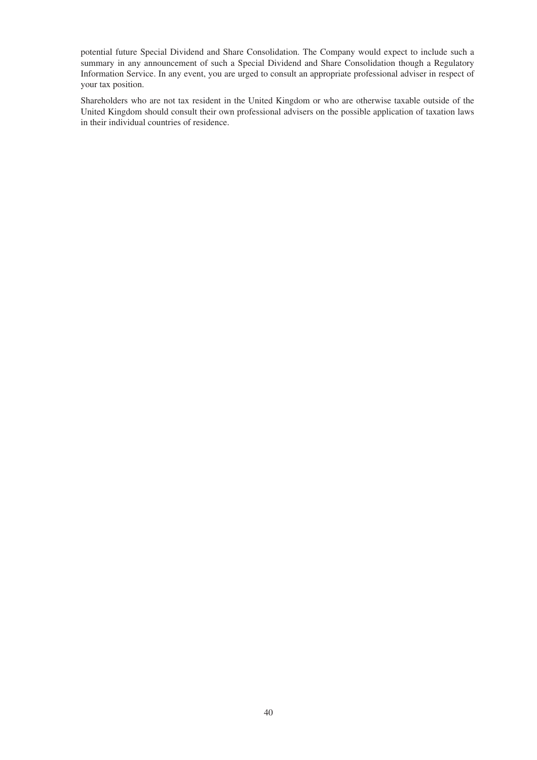potential future Special Dividend and Share Consolidation. The Company would expect to include such a summary in any announcement of such a Special Dividend and Share Consolidation though a Regulatory Information Service. In any event, you are urged to consult an appropriate professional adviser in respect of your tax position.

Shareholders who are not tax resident in the United Kingdom or who are otherwise taxable outside of the United Kingdom should consult their own professional advisers on the possible application of taxation laws in their individual countries of residence.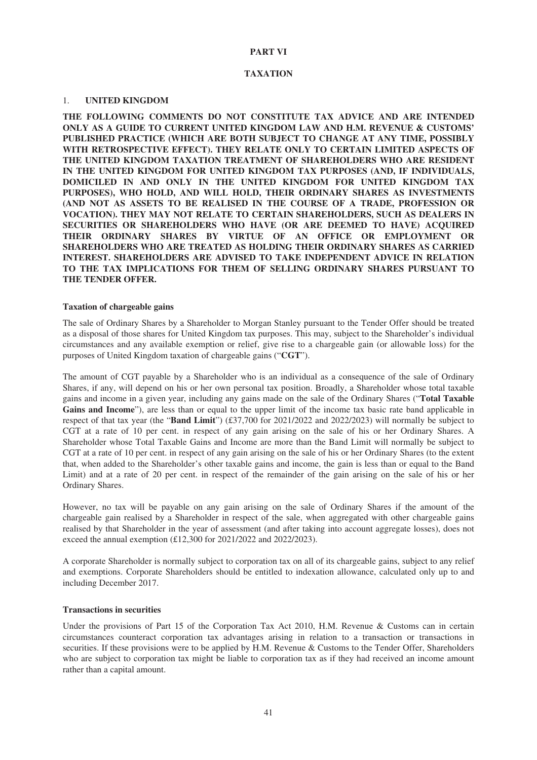## **PART VI**

### **TAXATION**

#### 1. **UNITED KINGDOM**

**THE FOLLOWING COMMENTS DO NOT CONSTITUTE TAX ADVICE AND ARE INTENDED ONLY AS A GUIDE TO CURRENT UNITED KINGDOM LAW AND H.M. REVENUE & CUSTOMS' PUBLISHED PRACTICE (WHICH ARE BOTH SUBJECT TO CHANGE AT ANY TIME, POSSIBLY WITH RETROSPECTIVE EFFECT). THEY RELATE ONLY TO CERTAIN LIMITED ASPECTS OF THE UNITED KINGDOM TAXATION TREATMENT OF SHAREHOLDERS WHO ARE RESIDENT IN THE UNITED KINGDOM FOR UNITED KINGDOM TAX PURPOSES (AND, IF INDIVIDUALS, DOMICILED IN AND ONLY IN THE UNITED KINGDOM FOR UNITED KINGDOM TAX PURPOSES), WHO HOLD, AND WILL HOLD, THEIR ORDINARY SHARES AS INVESTMENTS (AND NOT AS ASSETS TO BE REALISED IN THE COURSE OF A TRADE, PROFESSION OR VOCATION). THEY MAY NOT RELATE TO CERTAIN SHAREHOLDERS, SUCH AS DEALERS IN SECURITIES OR SHAREHOLDERS WHO HAVE (OR ARE DEEMED TO HAVE) ACQUIRED THEIR ORDINARY SHARES BY VIRTUE OF AN OFFICE OR EMPLOYMENT OR SHAREHOLDERS WHO ARE TREATED AS HOLDING THEIR ORDINARY SHARES AS CARRIED INTEREST. SHAREHOLDERS ARE ADVISED TO TAKE INDEPENDENT ADVICE IN RELATION TO THE TAX IMPLICATIONS FOR THEM OF SELLING ORDINARY SHARES PURSUANT TO THE TENDER OFFER.**

### **Taxation of chargeable gains**

The sale of Ordinary Shares by a Shareholder to Morgan Stanley pursuant to the Tender Offer should be treated as a disposal of those shares for United Kingdom tax purposes. This may, subject to the Shareholder's individual circumstances and any available exemption or relief, give rise to a chargeable gain (or allowable loss) for the purposes of United Kingdom taxation of chargeable gains ("**CGT**").

The amount of CGT payable by a Shareholder who is an individual as a consequence of the sale of Ordinary Shares, if any, will depend on his or her own personal tax position. Broadly, a Shareholder whose total taxable gains and income in a given year, including any gains made on the sale of the Ordinary Shares ("**Total Taxable** Gains and Income"), are less than or equal to the upper limit of the income tax basic rate band applicable in respect of that tax year (the "**Band Limit**") (£37,700 for 2021/2022 and 2022/2023) will normally be subject to CGT at a rate of 10 per cent. in respect of any gain arising on the sale of his or her Ordinary Shares. A Shareholder whose Total Taxable Gains and Income are more than the Band Limit will normally be subject to CGT at a rate of 10 per cent. in respect of any gain arising on the sale of his or her Ordinary Shares (to the extent that, when added to the Shareholder's other taxable gains and income, the gain is less than or equal to the Band Limit) and at a rate of 20 per cent. in respect of the remainder of the gain arising on the sale of his or her Ordinary Shares.

However, no tax will be payable on any gain arising on the sale of Ordinary Shares if the amount of the chargeable gain realised by a Shareholder in respect of the sale, when aggregated with other chargeable gains realised by that Shareholder in the year of assessment (and after taking into account aggregate losses), does not exceed the annual exemption (£12,300 for 2021/2022 and 2022/2023).

A corporate Shareholder is normally subject to corporation tax on all of its chargeable gains, subject to any relief and exemptions. Corporate Shareholders should be entitled to indexation allowance, calculated only up to and including December 2017.

### **Transactions in securities**

Under the provisions of Part 15 of the Corporation Tax Act 2010, H.M. Revenue & Customs can in certain circumstances counteract corporation tax advantages arising in relation to a transaction or transactions in securities. If these provisions were to be applied by H.M. Revenue & Customs to the Tender Offer, Shareholders who are subject to corporation tax might be liable to corporation tax as if they had received an income amount rather than a capital amount.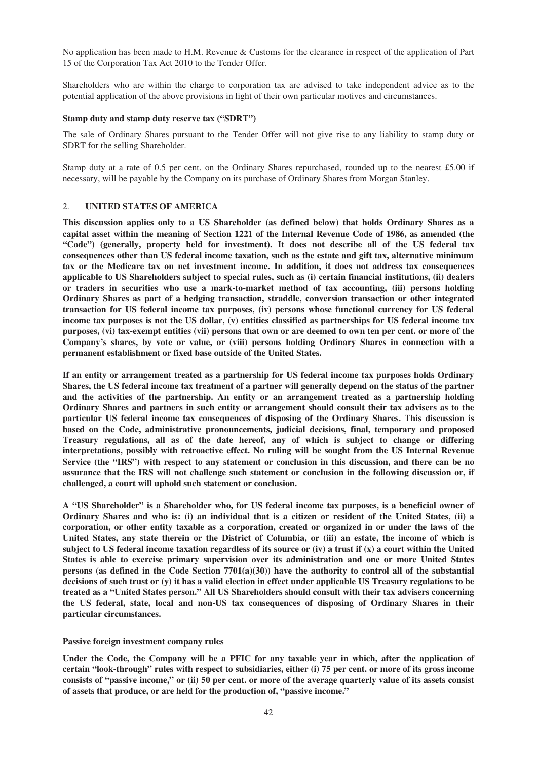No application has been made to H.M. Revenue & Customs for the clearance in respect of the application of Part 15 of the Corporation Tax Act 2010 to the Tender Offer.

Shareholders who are within the charge to corporation tax are advised to take independent advice as to the potential application of the above provisions in light of their own particular motives and circumstances.

### **Stamp duty and stamp duty reserve tax ("SDRT")**

The sale of Ordinary Shares pursuant to the Tender Offer will not give rise to any liability to stamp duty or SDRT for the selling Shareholder.

Stamp duty at a rate of 0.5 per cent. on the Ordinary Shares repurchased, rounded up to the nearest £5.00 if necessary, will be payable by the Company on its purchase of Ordinary Shares from Morgan Stanley.

## 2. **UNITED STATES OF AMERICA**

**This discussion applies only to a US Shareholder (as defined below) that holds Ordinary Shares as a capital asset within the meaning of Section 1221 of the Internal Revenue Code of 1986, as amended (the "Code") (generally, property held for investment). It does not describe all of the US federal tax consequences other than US federal income taxation, such as the estate and gift tax, alternative minimum tax or the Medicare tax on net investment income. In addition, it does not address tax consequences applicable to US Shareholders subject to special rules, such as (i) certain financial institutions, (ii) dealers or traders in securities who use a mark-to-market method of tax accounting, (iii) persons holding Ordinary Shares as part of a hedging transaction, straddle, conversion transaction or other integrated transaction for US federal income tax purposes, (iv) persons whose functional currency for US federal income tax purposes is not the US dollar, (v) entities classified as partnerships for US federal income tax purposes, (vi) tax-exempt entities (vii) persons that own or are deemed to own ten per cent. or more of the Company's shares, by vote or value, or (viii) persons holding Ordinary Shares in connection with a permanent establishment or fixed base outside of the United States.**

**If an entity or arrangement treated as a partnership for US federal income tax purposes holds Ordinary Shares, the US federal income tax treatment of a partner will generally depend on the status of the partner and the activities of the partnership. An entity or an arrangement treated as a partnership holding Ordinary Shares and partners in such entity or arrangement should consult their tax advisers as to the particular US federal income tax consequences of disposing of the Ordinary Shares. This discussion is based on the Code, administrative pronouncements, judicial decisions, final, temporary and proposed Treasury regulations, all as of the date hereof, any of which is subject to change or differing interpretations, possibly with retroactive effect. No ruling will be sought from the US Internal Revenue Service (the "IRS") with respect to any statement or conclusion in this discussion, and there can be no assurance that the IRS will not challenge such statement or conclusion in the following discussion or, if challenged, a court will uphold such statement or conclusion.**

**A "US Shareholder" is a Shareholder who, for US federal income tax purposes, is a beneficial owner of Ordinary Shares and who is: (i) an individual that is a citizen or resident of the United States, (ii) a corporation, or other entity taxable as a corporation, created or organized in or under the laws of the United States, any state therein or the District of Columbia, or (iii) an estate, the income of which is subject to US federal income taxation regardless of its source or (iv) a trust if (x) a court within the United States is able to exercise primary supervision over its administration and one or more United States persons (as defined in the Code Section 7701(a)(30)) have the authority to control all of the substantial decisions of such trust or (y) it has a valid election in effect under applicable US Treasury regulations to be treated as a "United States person." All US Shareholders should consult with their tax advisers concerning the US federal, state, local and non-US tax consequences of disposing of Ordinary Shares in their particular circumstances.**

### **Passive foreign investment company rules**

**Under the Code, the Company will be a PFIC for any taxable year in which, after the application of certain "look-through" rules with respect to subsidiaries, either (i) 75 per cent. or more of its gross income consists of "passive income," or (ii) 50 per cent. or more of the average quarterly value of its assets consist of assets that produce, or are held for the production of, "passive income."**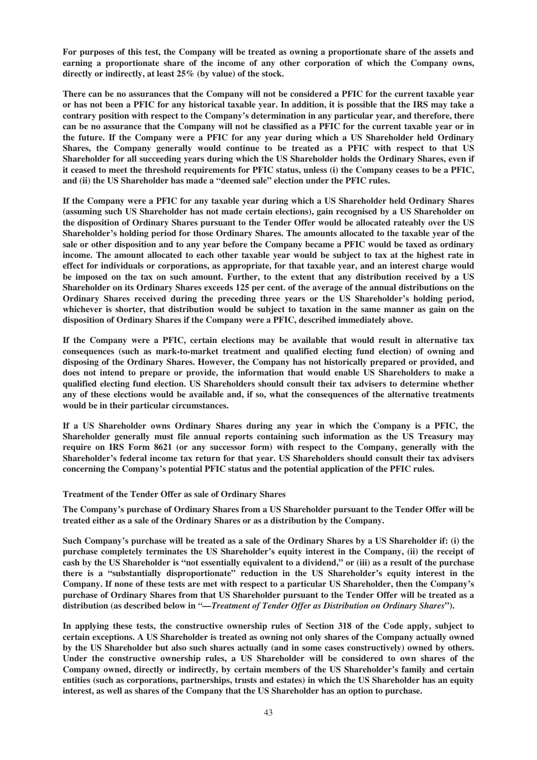**For purposes of this test, the Company will be treated as owning a proportionate share of the assets and earning a proportionate share of the income of any other corporation of which the Company owns, directly or indirectly, at least 25% (by value) of the stock.**

**There can be no assurances that the Company will not be considered a PFIC for the current taxable year or has not been a PFIC for any historical taxable year. In addition, it is possible that the IRS may take a contrary position with respect to the Company's determination in any particular year, and therefore, there can be no assurance that the Company will not be classified as a PFIC for the current taxable year or in the future. If the Company were a PFIC for any year during which a US Shareholder held Ordinary Shares, the Company generally would continue to be treated as a PFIC with respect to that US Shareholder for all succeeding years during which the US Shareholder holds the Ordinary Shares, even if it ceased to meet the threshold requirements for PFIC status, unless (i) the Company ceases to be a PFIC, and (ii) the US Shareholder has made a "deemed sale" election under the PFIC rules.**

**If the Company were a PFIC for any taxable year during which a US Shareholder held Ordinary Shares (assuming such US Shareholder has not made certain elections), gain recognised by a US Shareholder on the disposition of Ordinary Shares pursuant to the Tender Offer would be allocated rateably over the US Shareholder's holding period for those Ordinary Shares. The amounts allocated to the taxable year of the sale or other disposition and to any year before the Company became a PFIC would be taxed as ordinary income. The amount allocated to each other taxable year would be subject to tax at the highest rate in effect for individuals or corporations, as appropriate, for that taxable year, and an interest charge would be imposed on the tax on such amount. Further, to the extent that any distribution received by a US Shareholder on its Ordinary Shares exceeds 125 per cent. of the average of the annual distributions on the Ordinary Shares received during the preceding three years or the US Shareholder's holding period, whichever is shorter, that distribution would be subject to taxation in the same manner as gain on the disposition of Ordinary Shares if the Company were a PFIC, described immediately above.**

**If the Company were a PFIC, certain elections may be available that would result in alternative tax consequences (such as mark-to-market treatment and qualified electing fund election) of owning and disposing of the Ordinary Shares. However, the Company has not historically prepared or provided, and does not intend to prepare or provide, the information that would enable US Shareholders to make a qualified electing fund election. US Shareholders should consult their tax advisers to determine whether any of these elections would be available and, if so, what the consequences of the alternative treatments would be in their particular circumstances.**

**If a US Shareholder owns Ordinary Shares during any year in which the Company is a PFIC, the Shareholder generally must file annual reports containing such information as the US Treasury may require on IRS Form 8621 (or any successor form) with respect to the Company, generally with the Shareholder's federal income tax return for that year. US Shareholders should consult their tax advisers concerning the Company's potential PFIC status and the potential application of the PFIC rules.**

**Treatment of the Tender Offer as sale of Ordinary Shares**

**The Company's purchase of Ordinary Shares from a US Shareholder pursuant to the Tender Offer will be treated either as a sale of the Ordinary Shares or as a distribution by the Company.**

**Such Company's purchase will be treated as a sale of the Ordinary Shares by a US Shareholder if: (i) the purchase completely terminates the US Shareholder's equity interest in the Company, (ii) the receipt of cash by the US Shareholder is "not essentially equivalent to a dividend," or (iii) as a result of the purchase there is a "substantially disproportionate" reduction in the US Shareholder's equity interest in the Company. If none of these tests are met with respect to a particular US Shareholder, then the Company's purchase of Ordinary Shares from that US Shareholder pursuant to the Tender Offer will be treated as a distribution (as described below in** *"—Treatment of Tender Offer as Distribution on Ordinary Shares***").**

**In applying these tests, the constructive ownership rules of Section 318 of the Code apply, subject to certain exceptions. A US Shareholder is treated as owning not only shares of the Company actually owned by the US Shareholder but also such shares actually (and in some cases constructively) owned by others. Under the constructive ownership rules, a US Shareholder will be considered to own shares of the Company owned, directly or indirectly, by certain members of the US Shareholder's family and certain entities (such as corporations, partnerships, trusts and estates) in which the US Shareholder has an equity interest, as well as shares of the Company that the US Shareholder has an option to purchase.**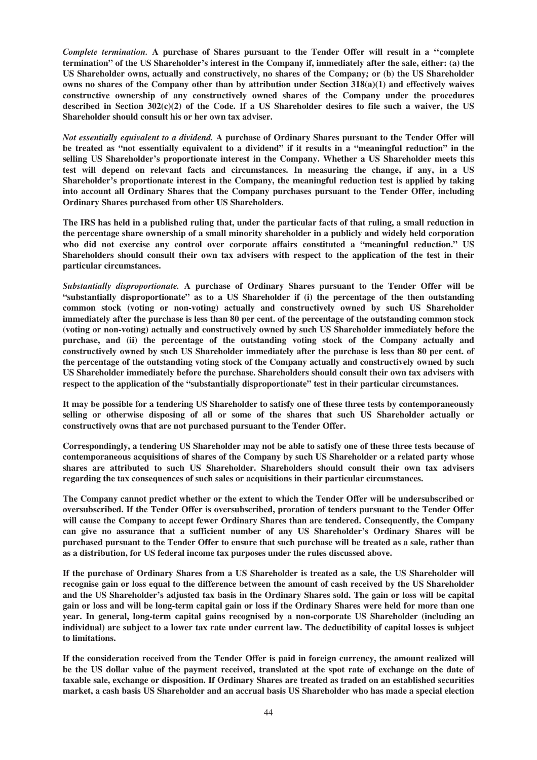*Complete termination.* **A purchase of Shares pursuant to the Tender Offer will result in a ''complete termination" of the US Shareholder's interest in the Company if, immediately after the sale, either: (a) the US Shareholder owns, actually and constructively, no shares of the Company; or (b) the US Shareholder owns no shares of the Company other than by attribution under Section 318(a)(1) and effectively waives constructive ownership of any constructively owned shares of the Company under the procedures described in Section 302(c)(2) of the Code. If a US Shareholder desires to file such a waiver, the US Shareholder should consult his or her own tax adviser.**

*Not essentially equivalent to a dividend.* **A purchase of Ordinary Shares pursuant to the Tender Offer will be treated as "not essentially equivalent to a dividend" if it results in a "meaningful reduction" in the selling US Shareholder's proportionate interest in the Company. Whether a US Shareholder meets this test will depend on relevant facts and circumstances. In measuring the change, if any, in a US Shareholder's proportionate interest in the Company, the meaningful reduction test is applied by taking into account all Ordinary Shares that the Company purchases pursuant to the Tender Offer, including Ordinary Shares purchased from other US Shareholders.**

**The IRS has held in a published ruling that, under the particular facts of that ruling, a small reduction in the percentage share ownership of a small minority shareholder in a publicly and widely held corporation who did not exercise any control over corporate affairs constituted a "meaningful reduction." US Shareholders should consult their own tax advisers with respect to the application of the test in their particular circumstances.**

*Substantially disproportionate.* **A purchase of Ordinary Shares pursuant to the Tender Offer will be "substantially disproportionate" as to a US Shareholder if (i) the percentage of the then outstanding common stock (voting or non-voting) actually and constructively owned by such US Shareholder immediately after the purchase is less than 80 per cent. of the percentage of the outstanding common stock (voting or non-voting) actually and constructively owned by such US Shareholder immediately before the purchase, and (ii) the percentage of the outstanding voting stock of the Company actually and constructively owned by such US Shareholder immediately after the purchase is less than 80 per cent. of the percentage of the outstanding voting stock of the Company actually and constructively owned by such US Shareholder immediately before the purchase. Shareholders should consult their own tax advisers with respect to the application of the "substantially disproportionate" test in their particular circumstances.**

**It may be possible for a tendering US Shareholder to satisfy one of these three tests by contemporaneously selling or otherwise disposing of all or some of the shares that such US Shareholder actually or constructively owns that are not purchased pursuant to the Tender Offer.**

**Correspondingly, a tendering US Shareholder may not be able to satisfy one of these three tests because of contemporaneous acquisitions of shares of the Company by such US Shareholder or a related party whose shares are attributed to such US Shareholder. Shareholders should consult their own tax advisers regarding the tax consequences of such sales or acquisitions in their particular circumstances.**

**The Company cannot predict whether or the extent to which the Tender Offer will be undersubscribed or oversubscribed. If the Tender Offer is oversubscribed, proration of tenders pursuant to the Tender Offer will cause the Company to accept fewer Ordinary Shares than are tendered. Consequently, the Company can give no assurance that a sufficient number of any US Shareholder's Ordinary Shares will be purchased pursuant to the Tender Offer to ensure that such purchase will be treated as a sale, rather than as a distribution, for US federal income tax purposes under the rules discussed above.**

**If the purchase of Ordinary Shares from a US Shareholder is treated as a sale, the US Shareholder will recognise gain or loss equal to the difference between the amount of cash received by the US Shareholder and the US Shareholder's adjusted tax basis in the Ordinary Shares sold. The gain or loss will be capital gain or loss and will be long-term capital gain or loss if the Ordinary Shares were held for more than one year. In general, long-term capital gains recognised by a non-corporate US Shareholder (including an individual) are subject to a lower tax rate under current law. The deductibility of capital losses is subject to limitations.**

**If the consideration received from the Tender Offer is paid in foreign currency, the amount realized will be the US dollar value of the payment received, translated at the spot rate of exchange on the date of taxable sale, exchange or disposition. If Ordinary Shares are treated as traded on an established securities market, a cash basis US Shareholder and an accrual basis US Shareholder who has made a special election**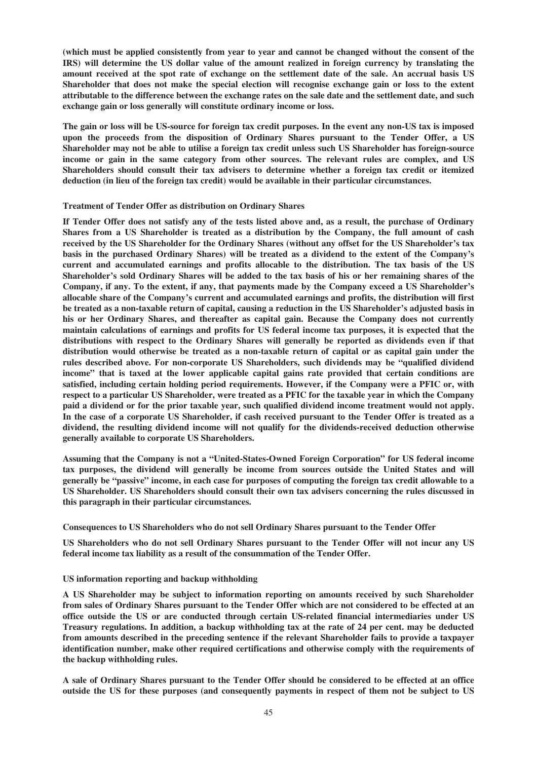**(which must be applied consistently from year to year and cannot be changed without the consent of the IRS) will determine the US dollar value of the amount realized in foreign currency by translating the amount received at the spot rate of exchange on the settlement date of the sale. An accrual basis US Shareholder that does not make the special election will recognise exchange gain or loss to the extent attributable to the difference between the exchange rates on the sale date and the settlement date, and such exchange gain or loss generally will constitute ordinary income or loss.**

**The gain or loss will be US-source for foreign tax credit purposes. In the event any non-US tax is imposed upon the proceeds from the disposition of Ordinary Shares pursuant to the Tender Offer, a US Shareholder may not be able to utilise a foreign tax credit unless such US Shareholder has foreign-source income or gain in the same category from other sources. The relevant rules are complex, and US Shareholders should consult their tax advisers to determine whether a foreign tax credit or itemized deduction (in lieu of the foreign tax credit) would be available in their particular circumstances.**

## **Treatment of Tender Offer as distribution on Ordinary Shares**

**If Tender Offer does not satisfy any of the tests listed above and, as a result, the purchase of Ordinary Shares from a US Shareholder is treated as a distribution by the Company, the full amount of cash received by the US Shareholder for the Ordinary Shares (without any offset for the US Shareholder's tax basis in the purchased Ordinary Shares) will be treated as a dividend to the extent of the Company's current and accumulated earnings and profits allocable to the distribution. The tax basis of the US Shareholder's sold Ordinary Shares will be added to the tax basis of his or her remaining shares of the Company, if any. To the extent, if any, that payments made by the Company exceed a US Shareholder's allocable share of the Company's current and accumulated earnings and profits, the distribution will first be treated as a non-taxable return of capital, causing a reduction in the US Shareholder's adjusted basis in his or her Ordinary Shares, and thereafter as capital gain. Because the Company does not currently maintain calculations of earnings and profits for US federal income tax purposes, it is expected that the distributions with respect to the Ordinary Shares will generally be reported as dividends even if that distribution would otherwise be treated as a non-taxable return of capital or as capital gain under the rules described above. For non-corporate US Shareholders, such dividends may be "qualified dividend income" that is taxed at the lower applicable capital gains rate provided that certain conditions are satisfied, including certain holding period requirements. However, if the Company were a PFIC or, with respect to a particular US Shareholder, were treated as a PFIC for the taxable year in which the Company paid a dividend or for the prior taxable year, such qualified dividend income treatment would not apply. In the case of a corporate US Shareholder, if cash received pursuant to the Tender Offer is treated as a dividend, the resulting dividend income will not qualify for the dividends-received deduction otherwise generally available to corporate US Shareholders.**

**Assuming that the Company is not a "United-States-Owned Foreign Corporation" for US federal income tax purposes, the dividend will generally be income from sources outside the United States and will generally be "passive" income, in each case for purposes of computing the foreign tax credit allowable to a US Shareholder. US Shareholders should consult their own tax advisers concerning the rules discussed in this paragraph in their particular circumstances.**

**Consequences to US Shareholders who do not sell Ordinary Shares pursuant to the Tender Offer**

**US Shareholders who do not sell Ordinary Shares pursuant to the Tender Offer will not incur any US federal income tax liability as a result of the consummation of the Tender Offer.**

### **US information reporting and backup withholding**

**A US Shareholder may be subject to information reporting on amounts received by such Shareholder from sales of Ordinary Shares pursuant to the Tender Offer which are not considered to be effected at an office outside the US or are conducted through certain US-related financial intermediaries under US Treasury regulations. In addition, a backup withholding tax at the rate of 24 per cent. may be deducted from amounts described in the preceding sentence if the relevant Shareholder fails to provide a taxpayer identification number, make other required certifications and otherwise comply with the requirements of the backup withholding rules.**

**A sale of Ordinary Shares pursuant to the Tender Offer should be considered to be effected at an office outside the US for these purposes (and consequently payments in respect of them not be subject to US**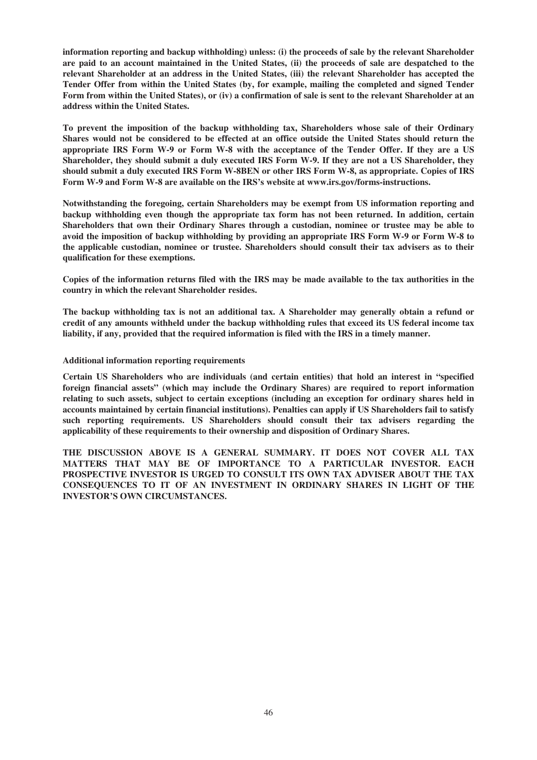**information reporting and backup withholding) unless: (i) the proceeds of sale by the relevant Shareholder are paid to an account maintained in the United States, (ii) the proceeds of sale are despatched to the relevant Shareholder at an address in the United States, (iii) the relevant Shareholder has accepted the Tender Offer from within the United States (by, for example, mailing the completed and signed Tender Form from within the United States), or (iv) a confirmation of sale is sent to the relevant Shareholder at an address within the United States.**

**To prevent the imposition of the backup withholding tax, Shareholders whose sale of their Ordinary Shares would not be considered to be effected at an office outside the United States should return the appropriate IRS Form W-9 or Form W-8 with the acceptance of the Tender Offer. If they are a US Shareholder, they should submit a duly executed IRS Form W-9. If they are not a US Shareholder, they should submit a duly executed IRS Form W-8BEN or other IRS Form W-8, as appropriate. Copies of IRS Form W-9 and Form W-8 are available on the IRS's website at www.irs.gov/forms-instructions.**

**Notwithstanding the foregoing, certain Shareholders may be exempt from US information reporting and backup withholding even though the appropriate tax form has not been returned. In addition, certain Shareholders that own their Ordinary Shares through a custodian, nominee or trustee may be able to avoid the imposition of backup withholding by providing an appropriate IRS Form W-9 or Form W-8 to the applicable custodian, nominee or trustee. Shareholders should consult their tax advisers as to their qualification for these exemptions.**

**Copies of the information returns filed with the IRS may be made available to the tax authorities in the country in which the relevant Shareholder resides.**

**The backup withholding tax is not an additional tax. A Shareholder may generally obtain a refund or credit of any amounts withheld under the backup withholding rules that exceed its US federal income tax liability, if any, provided that the required information is filed with the IRS in a timely manner.**

## **Additional information reporting requirements**

**Certain US Shareholders who are individuals (and certain entities) that hold an interest in "specified foreign financial assets" (which may include the Ordinary Shares) are required to report information relating to such assets, subject to certain exceptions (including an exception for ordinary shares held in accounts maintained by certain financial institutions). Penalties can apply if US Shareholders fail to satisfy such reporting requirements. US Shareholders should consult their tax advisers regarding the applicability of these requirements to their ownership and disposition of Ordinary Shares.**

**THE DISCUSSION ABOVE IS A GENERAL SUMMARY. IT DOES NOT COVER ALL TAX MATTERS THAT MAY BE OF IMPORTANCE TO A PARTICULAR INVESTOR. EACH PROSPECTIVE INVESTOR IS URGED TO CONSULT ITS OWN TAX ADVISER ABOUT THE TAX CONSEQUENCES TO IT OF AN INVESTMENT IN ORDINARY SHARES IN LIGHT OF THE INVESTOR'S OWN CIRCUMSTANCES.**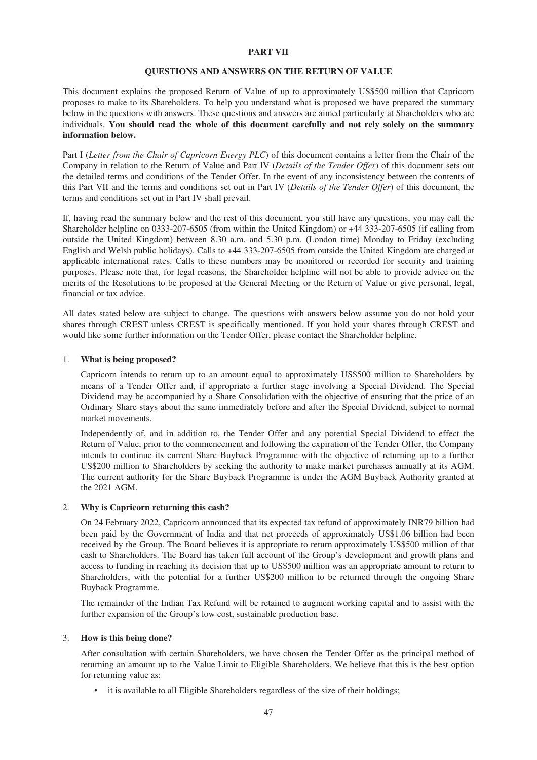## **PART VII**

### **QUESTIONS AND ANSWERS ON THE RETURN OF VALUE**

This document explains the proposed Return of Value of up to approximately US\$500 million that Capricorn proposes to make to its Shareholders. To help you understand what is proposed we have prepared the summary below in the questions with answers. These questions and answers are aimed particularly at Shareholders who are individuals. **You should read the whole of this document carefully and not rely solely on the summary information below.**

Part I (*Letter from the Chair of Capricorn Energy PLC*) of this document contains a letter from the Chair of the Company in relation to the Return of Value and Part lV (*Details of the Tender Offer*) of this document sets out the detailed terms and conditions of the Tender Offer. In the event of any inconsistency between the contents of this Part VII and the terms and conditions set out in Part IV (*Details of the Tender Offer*) of this document, the terms and conditions set out in Part IV shall prevail.

If, having read the summary below and the rest of this document, you still have any questions, you may call the Shareholder helpline on 0333-207-6505 (from within the United Kingdom) or +44 333-207-6505 (if calling from outside the United Kingdom) between 8.30 a.m. and 5.30 p.m. (London time) Monday to Friday (excluding English and Welsh public holidays). Calls to +44 333-207-6505 from outside the United Kingdom are charged at applicable international rates. Calls to these numbers may be monitored or recorded for security and training purposes. Please note that, for legal reasons, the Shareholder helpline will not be able to provide advice on the merits of the Resolutions to be proposed at the General Meeting or the Return of Value or give personal, legal, financial or tax advice.

All dates stated below are subject to change. The questions with answers below assume you do not hold your shares through CREST unless CREST is specifically mentioned. If you hold your shares through CREST and would like some further information on the Tender Offer, please contact the Shareholder helpline.

### 1. **What is being proposed?**

Capricorn intends to return up to an amount equal to approximately US\$500 million to Shareholders by means of a Tender Offer and, if appropriate a further stage involving a Special Dividend. The Special Dividend may be accompanied by a Share Consolidation with the objective of ensuring that the price of an Ordinary Share stays about the same immediately before and after the Special Dividend, subject to normal market movements.

Independently of, and in addition to, the Tender Offer and any potential Special Dividend to effect the Return of Value, prior to the commencement and following the expiration of the Tender Offer, the Company intends to continue its current Share Buyback Programme with the objective of returning up to a further US\$200 million to Shareholders by seeking the authority to make market purchases annually at its AGM. The current authority for the Share Buyback Programme is under the AGM Buyback Authority granted at the 2021 AGM.

### 2. **Why is Capricorn returning this cash?**

On 24 February 2022, Capricorn announced that its expected tax refund of approximately INR79 billion had been paid by the Government of India and that net proceeds of approximately US\$1.06 billion had been received by the Group. The Board believes it is appropriate to return approximately US\$500 million of that cash to Shareholders. The Board has taken full account of the Group's development and growth plans and access to funding in reaching its decision that up to US\$500 million was an appropriate amount to return to Shareholders, with the potential for a further US\$200 million to be returned through the ongoing Share Buyback Programme.

The remainder of the Indian Tax Refund will be retained to augment working capital and to assist with the further expansion of the Group's low cost, sustainable production base.

# 3. **How is this being done?**

After consultation with certain Shareholders, we have chosen the Tender Offer as the principal method of returning an amount up to the Value Limit to Eligible Shareholders. We believe that this is the best option for returning value as:

• it is available to all Eligible Shareholders regardless of the size of their holdings;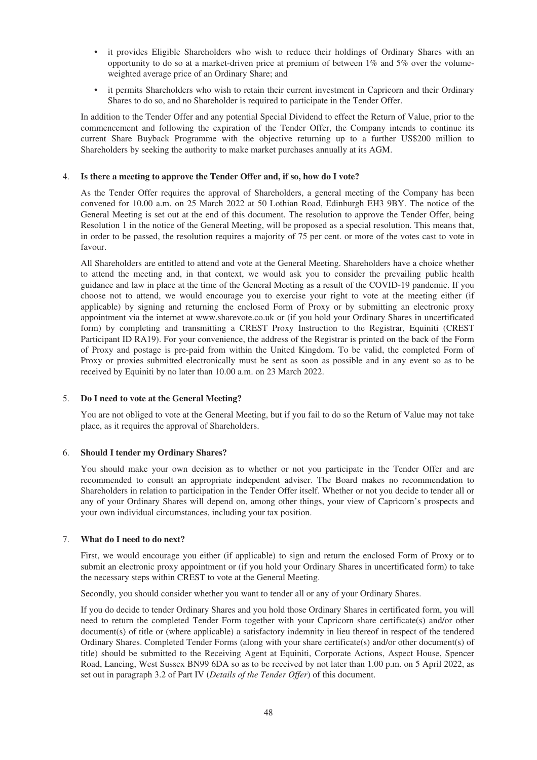- it provides Eligible Shareholders who wish to reduce their holdings of Ordinary Shares with an opportunity to do so at a market-driven price at premium of between  $1\%$  and  $5\%$  over the volumeweighted average price of an Ordinary Share; and
- it permits Shareholders who wish to retain their current investment in Capricorn and their Ordinary Shares to do so, and no Shareholder is required to participate in the Tender Offer.

In addition to the Tender Offer and any potential Special Dividend to effect the Return of Value, prior to the commencement and following the expiration of the Tender Offer, the Company intends to continue its current Share Buyback Programme with the objective returning up to a further US\$200 million to Shareholders by seeking the authority to make market purchases annually at its AGM.

# 4. **Is there a meeting to approve the Tender Offer and, if so, how do I vote?**

As the Tender Offer requires the approval of Shareholders, a general meeting of the Company has been convened for 10.00 a.m. on 25 March 2022 at 50 Lothian Road, Edinburgh EH3 9BY. The notice of the General Meeting is set out at the end of this document. The resolution to approve the Tender Offer, being Resolution 1 in the notice of the General Meeting, will be proposed as a special resolution. This means that, in order to be passed, the resolution requires a majority of 75 per cent. or more of the votes cast to vote in favour.

All Shareholders are entitled to attend and vote at the General Meeting. Shareholders have a choice whether to attend the meeting and, in that context, we would ask you to consider the prevailing public health guidance and law in place at the time of the General Meeting as a result of the COVID-19 pandemic. If you choose not to attend, we would encourage you to exercise your right to vote at the meeting either (if applicable) by signing and returning the enclosed Form of Proxy or by submitting an electronic proxy appointment via the internet at www.sharevote.co.uk or (if you hold your Ordinary Shares in uncertificated form) by completing and transmitting a CREST Proxy Instruction to the Registrar, Equiniti (CREST Participant ID RA19). For your convenience, the address of the Registrar is printed on the back of the Form of Proxy and postage is pre-paid from within the United Kingdom. To be valid, the completed Form of Proxy or proxies submitted electronically must be sent as soon as possible and in any event so as to be received by Equiniti by no later than 10.00 a.m. on 23 March 2022.

### 5. **Do I need to vote at the General Meeting?**

You are not obliged to vote at the General Meeting, but if you fail to do so the Return of Value may not take place, as it requires the approval of Shareholders.

### 6. **Should I tender my Ordinary Shares?**

You should make your own decision as to whether or not you participate in the Tender Offer and are recommended to consult an appropriate independent adviser. The Board makes no recommendation to Shareholders in relation to participation in the Tender Offer itself. Whether or not you decide to tender all or any of your Ordinary Shares will depend on, among other things, your view of Capricorn's prospects and your own individual circumstances, including your tax position.

### 7. **What do I need to do next?**

First, we would encourage you either (if applicable) to sign and return the enclosed Form of Proxy or to submit an electronic proxy appointment or (if you hold your Ordinary Shares in uncertificated form) to take the necessary steps within CREST to vote at the General Meeting.

Secondly, you should consider whether you want to tender all or any of your Ordinary Shares.

If you do decide to tender Ordinary Shares and you hold those Ordinary Shares in certificated form, you will need to return the completed Tender Form together with your Capricorn share certificate(s) and/or other document(s) of title or (where applicable) a satisfactory indemnity in lieu thereof in respect of the tendered Ordinary Shares. Completed Tender Forms (along with your share certificate(s) and/or other document(s) of title) should be submitted to the Receiving Agent at Equiniti, Corporate Actions, Aspect House, Spencer Road, Lancing, West Sussex BN99 6DA so as to be received by not later than 1.00 p.m. on 5 April 2022, as set out in paragraph 3.2 of Part IV (*Details of the Tender Offer*) of this document.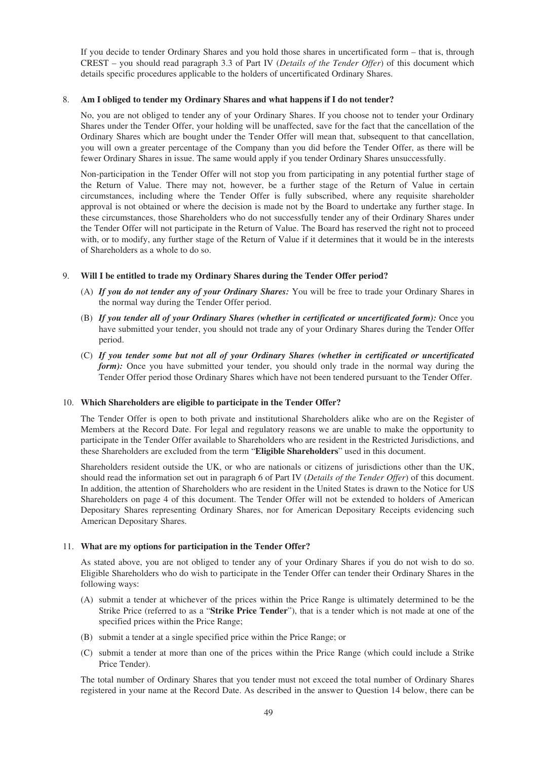If you decide to tender Ordinary Shares and you hold those shares in uncertificated form – that is, through CREST – you should read paragraph 3.3 of Part IV (*Details of the Tender Offer*) of this document which details specific procedures applicable to the holders of uncertificated Ordinary Shares.

# 8. **Am I obliged to tender my Ordinary Shares and what happens if I do not tender?**

No, you are not obliged to tender any of your Ordinary Shares. If you choose not to tender your Ordinary Shares under the Tender Offer, your holding will be unaffected, save for the fact that the cancellation of the Ordinary Shares which are bought under the Tender Offer will mean that, subsequent to that cancellation, you will own a greater percentage of the Company than you did before the Tender Offer, as there will be fewer Ordinary Shares in issue. The same would apply if you tender Ordinary Shares unsuccessfully.

Non-participation in the Tender Offer will not stop you from participating in any potential further stage of the Return of Value. There may not, however, be a further stage of the Return of Value in certain circumstances, including where the Tender Offer is fully subscribed, where any requisite shareholder approval is not obtained or where the decision is made not by the Board to undertake any further stage. In these circumstances, those Shareholders who do not successfully tender any of their Ordinary Shares under the Tender Offer will not participate in the Return of Value. The Board has reserved the right not to proceed with, or to modify, any further stage of the Return of Value if it determines that it would be in the interests of Shareholders as a whole to do so.

# 9. **Will I be entitled to trade my Ordinary Shares during the Tender Offer period?**

- (A) *If you do not tender any of your Ordinary Shares:* You will be free to trade your Ordinary Shares in the normal way during the Tender Offer period.
- (B) *If you tender all of your Ordinary Shares (whether in certificated or uncertificated form):* Once you have submitted your tender, you should not trade any of your Ordinary Shares during the Tender Offer period.
- (C) *If you tender some but not all of your Ordinary Shares (whether in certificated or uncertificated form*): Once you have submitted your tender, you should only trade in the normal way during the Tender Offer period those Ordinary Shares which have not been tendered pursuant to the Tender Offer.

### 10. **Which Shareholders are eligible to participate in the Tender Offer?**

The Tender Offer is open to both private and institutional Shareholders alike who are on the Register of Members at the Record Date. For legal and regulatory reasons we are unable to make the opportunity to participate in the Tender Offer available to Shareholders who are resident in the Restricted Jurisdictions, and these Shareholders are excluded from the term "**Eligible Shareholders**" used in this document.

Shareholders resident outside the UK, or who are nationals or citizens of jurisdictions other than the UK, should read the information set out in paragraph 6 of Part IV (*Details of the Tender Offer*) of this document. In addition, the attention of Shareholders who are resident in the United States is drawn to the Notice for US Shareholders on page 4 of this document. The Tender Offer will not be extended to holders of American Depositary Shares representing Ordinary Shares, nor for American Depositary Receipts evidencing such American Depositary Shares.

### 11. **What are my options for participation in the Tender Offer?**

As stated above, you are not obliged to tender any of your Ordinary Shares if you do not wish to do so. Eligible Shareholders who do wish to participate in the Tender Offer can tender their Ordinary Shares in the following ways:

- (A) submit a tender at whichever of the prices within the Price Range is ultimately determined to be the Strike Price (referred to as a "**Strike Price Tender**"), that is a tender which is not made at one of the specified prices within the Price Range;
- (B) submit a tender at a single specified price within the Price Range; or
- (C) submit a tender at more than one of the prices within the Price Range (which could include a Strike Price Tender).

The total number of Ordinary Shares that you tender must not exceed the total number of Ordinary Shares registered in your name at the Record Date. As described in the answer to Question 14 below, there can be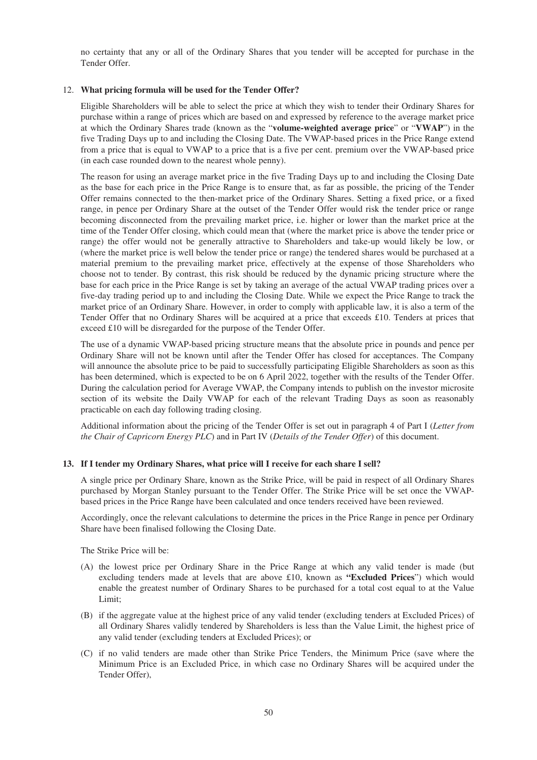no certainty that any or all of the Ordinary Shares that you tender will be accepted for purchase in the Tender Offer.

## 12. **What pricing formula will be used for the Tender Offer?**

Eligible Shareholders will be able to select the price at which they wish to tender their Ordinary Shares for purchase within a range of prices which are based on and expressed by reference to the average market price at which the Ordinary Shares trade (known as the "**volume-weighted average price**" or "**VWAP**") in the five Trading Days up to and including the Closing Date. The VWAP-based prices in the Price Range extend from a price that is equal to VWAP to a price that is a five per cent. premium over the VWAP-based price (in each case rounded down to the nearest whole penny).

The reason for using an average market price in the five Trading Days up to and including the Closing Date as the base for each price in the Price Range is to ensure that, as far as possible, the pricing of the Tender Offer remains connected to the then-market price of the Ordinary Shares. Setting a fixed price, or a fixed range, in pence per Ordinary Share at the outset of the Tender Offer would risk the tender price or range becoming disconnected from the prevailing market price, i.e. higher or lower than the market price at the time of the Tender Offer closing, which could mean that (where the market price is above the tender price or range) the offer would not be generally attractive to Shareholders and take-up would likely be low, or (where the market price is well below the tender price or range) the tendered shares would be purchased at a material premium to the prevailing market price, effectively at the expense of those Shareholders who choose not to tender. By contrast, this risk should be reduced by the dynamic pricing structure where the base for each price in the Price Range is set by taking an average of the actual VWAP trading prices over a five-day trading period up to and including the Closing Date. While we expect the Price Range to track the market price of an Ordinary Share. However, in order to comply with applicable law, it is also a term of the Tender Offer that no Ordinary Shares will be acquired at a price that exceeds £10. Tenders at prices that exceed £10 will be disregarded for the purpose of the Tender Offer.

The use of a dynamic VWAP-based pricing structure means that the absolute price in pounds and pence per Ordinary Share will not be known until after the Tender Offer has closed for acceptances. The Company will announce the absolute price to be paid to successfully participating Eligible Shareholders as soon as this has been determined, which is expected to be on 6 April 2022, together with the results of the Tender Offer. During the calculation period for Average VWAP, the Company intends to publish on the investor microsite section of its website the Daily VWAP for each of the relevant Trading Days as soon as reasonably practicable on each day following trading closing.

Additional information about the pricing of the Tender Offer is set out in paragraph 4 of Part I (*Letter from the Chair of Capricorn Energy PLC*) and in Part IV (*Details of the Tender Offer*) of this document.

### **13. If I tender my Ordinary Shares, what price will I receive for each share I sell?**

A single price per Ordinary Share, known as the Strike Price, will be paid in respect of all Ordinary Shares purchased by Morgan Stanley pursuant to the Tender Offer. The Strike Price will be set once the VWAPbased prices in the Price Range have been calculated and once tenders received have been reviewed.

Accordingly, once the relevant calculations to determine the prices in the Price Range in pence per Ordinary Share have been finalised following the Closing Date.

The Strike Price will be:

- (A) the lowest price per Ordinary Share in the Price Range at which any valid tender is made (but excluding tenders made at levels that are above £10, known as **"Excluded Prices**") which would enable the greatest number of Ordinary Shares to be purchased for a total cost equal to at the Value Limit;
- (B) if the aggregate value at the highest price of any valid tender (excluding tenders at Excluded Prices) of all Ordinary Shares validly tendered by Shareholders is less than the Value Limit, the highest price of any valid tender (excluding tenders at Excluded Prices); or
- (C) if no valid tenders are made other than Strike Price Tenders, the Minimum Price (save where the Minimum Price is an Excluded Price, in which case no Ordinary Shares will be acquired under the Tender Offer),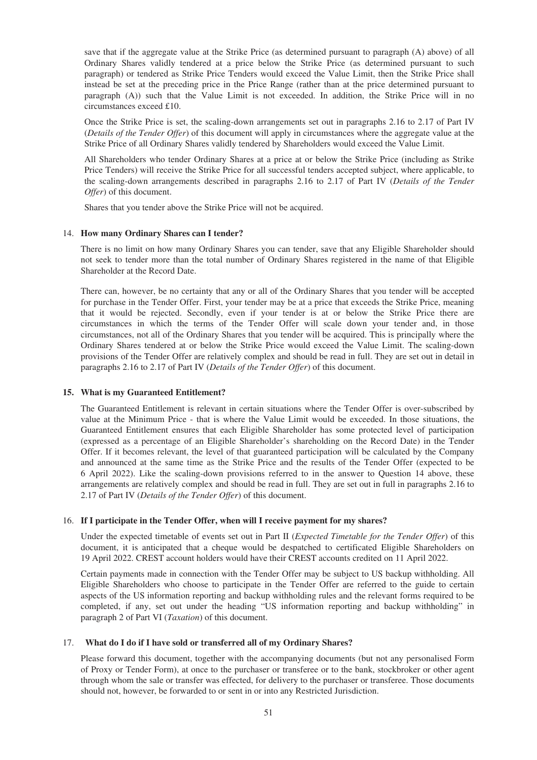save that if the aggregate value at the Strike Price (as determined pursuant to paragraph (A) above) of all Ordinary Shares validly tendered at a price below the Strike Price (as determined pursuant to such paragraph) or tendered as Strike Price Tenders would exceed the Value Limit, then the Strike Price shall instead be set at the preceding price in the Price Range (rather than at the price determined pursuant to paragraph (A)) such that the Value Limit is not exceeded. In addition, the Strike Price will in no circumstances exceed £10.

Once the Strike Price is set, the scaling-down arrangements set out in paragraphs 2.16 to 2.17 of Part IV (*Details of the Tender Offer*) of this document will apply in circumstances where the aggregate value at the Strike Price of all Ordinary Shares validly tendered by Shareholders would exceed the Value Limit.

All Shareholders who tender Ordinary Shares at a price at or below the Strike Price (including as Strike Price Tenders) will receive the Strike Price for all successful tenders accepted subject, where applicable, to the scaling-down arrangements described in paragraphs 2.16 to 2.17 of Part IV (*Details of the Tender Offer*) of this document.

Shares that you tender above the Strike Price will not be acquired.

# 14. **How many Ordinary Shares can I tender?**

There is no limit on how many Ordinary Shares you can tender, save that any Eligible Shareholder should not seek to tender more than the total number of Ordinary Shares registered in the name of that Eligible Shareholder at the Record Date.

There can, however, be no certainty that any or all of the Ordinary Shares that you tender will be accepted for purchase in the Tender Offer. First, your tender may be at a price that exceeds the Strike Price, meaning that it would be rejected. Secondly, even if your tender is at or below the Strike Price there are circumstances in which the terms of the Tender Offer will scale down your tender and, in those circumstances, not all of the Ordinary Shares that you tender will be acquired. This is principally where the Ordinary Shares tendered at or below the Strike Price would exceed the Value Limit. The scaling-down provisions of the Tender Offer are relatively complex and should be read in full. They are set out in detail in paragraphs 2.16 to 2.17 of Part IV (*Details of the Tender Offer*) of this document.

### **15. What is my Guaranteed Entitlement?**

The Guaranteed Entitlement is relevant in certain situations where the Tender Offer is over-subscribed by value at the Minimum Price - that is where the Value Limit would be exceeded. In those situations, the Guaranteed Entitlement ensures that each Eligible Shareholder has some protected level of participation (expressed as a percentage of an Eligible Shareholder's shareholding on the Record Date) in the Tender Offer. If it becomes relevant, the level of that guaranteed participation will be calculated by the Company and announced at the same time as the Strike Price and the results of the Tender Offer (expected to be 6 April 2022). Like the scaling-down provisions referred to in the answer to Question 14 above, these arrangements are relatively complex and should be read in full. They are set out in full in paragraphs 2.16 to 2.17 of Part IV (*Details of the Tender Offer*) of this document.

### 16. **If I participate in the Tender Offer, when will I receive payment for my shares?**

Under the expected timetable of events set out in Part II (*Expected Timetable for the Tender Offer*) of this document, it is anticipated that a cheque would be despatched to certificated Eligible Shareholders on 19 April 2022. CREST account holders would have their CREST accounts credited on 11 April 2022.

Certain payments made in connection with the Tender Offer may be subject to US backup withholding. All Eligible Shareholders who choose to participate in the Tender Offer are referred to the guide to certain aspects of the US information reporting and backup withholding rules and the relevant forms required to be completed, if any, set out under the heading "US information reporting and backup withholding" in paragraph 2 of Part VI (*Taxation*) of this document.

### 17. **What do I do if I have sold or transferred all of my Ordinary Shares?**

Please forward this document, together with the accompanying documents (but not any personalised Form of Proxy or Tender Form), at once to the purchaser or transferee or to the bank, stockbroker or other agent through whom the sale or transfer was effected, for delivery to the purchaser or transferee. Those documents should not, however, be forwarded to or sent in or into any Restricted Jurisdiction.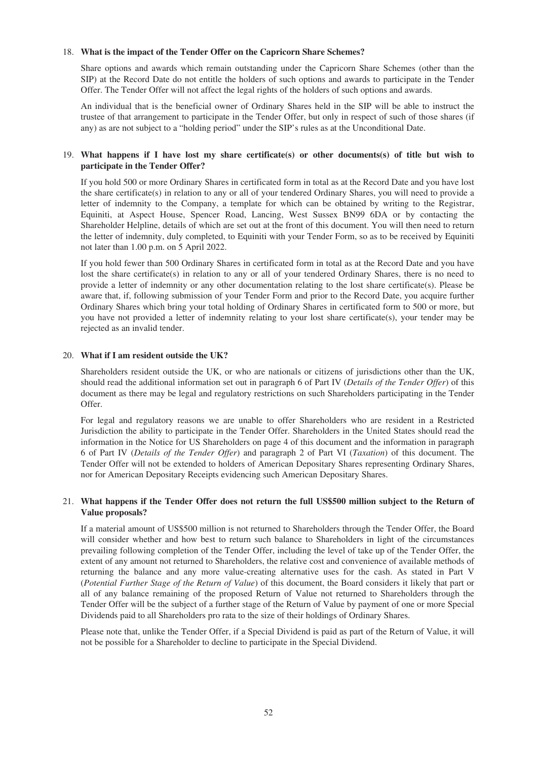## 18. **What is the impact of the Tender Offer on the Capricorn Share Schemes?**

Share options and awards which remain outstanding under the Capricorn Share Schemes (other than the SIP) at the Record Date do not entitle the holders of such options and awards to participate in the Tender Offer. The Tender Offer will not affect the legal rights of the holders of such options and awards.

An individual that is the beneficial owner of Ordinary Shares held in the SIP will be able to instruct the trustee of that arrangement to participate in the Tender Offer, but only in respect of such of those shares (if any) as are not subject to a "holding period" under the SIP's rules as at the Unconditional Date.

# 19. **What happens if I have lost my share certificate(s) or other documents(s) of title but wish to participate in the Tender Offer?**

If you hold 500 or more Ordinary Shares in certificated form in total as at the Record Date and you have lost the share certificate(s) in relation to any or all of your tendered Ordinary Shares, you will need to provide a letter of indemnity to the Company, a template for which can be obtained by writing to the Registrar, Equiniti, at Aspect House, Spencer Road, Lancing, West Sussex BN99 6DA or by contacting the Shareholder Helpline, details of which are set out at the front of this document. You will then need to return the letter of indemnity, duly completed, to Equiniti with your Tender Form, so as to be received by Equiniti not later than 1.00 p.m. on 5 April 2022.

If you hold fewer than 500 Ordinary Shares in certificated form in total as at the Record Date and you have lost the share certificate(s) in relation to any or all of your tendered Ordinary Shares, there is no need to provide a letter of indemnity or any other documentation relating to the lost share certificate(s). Please be aware that, if, following submission of your Tender Form and prior to the Record Date, you acquire further Ordinary Shares which bring your total holding of Ordinary Shares in certificated form to 500 or more, but you have not provided a letter of indemnity relating to your lost share certificate(s), your tender may be rejected as an invalid tender.

## 20. **What if I am resident outside the UK?**

Shareholders resident outside the UK, or who are nationals or citizens of jurisdictions other than the UK, should read the additional information set out in paragraph 6 of Part IV (*Details of the Tender Offer*) of this document as there may be legal and regulatory restrictions on such Shareholders participating in the Tender Offer.

For legal and regulatory reasons we are unable to offer Shareholders who are resident in a Restricted Jurisdiction the ability to participate in the Tender Offer. Shareholders in the United States should read the information in the Notice for US Shareholders on page 4 of this document and the information in paragraph 6 of Part IV (*Details of the Tender Offer*) and paragraph 2 of Part VI (*Taxation*) of this document. The Tender Offer will not be extended to holders of American Depositary Shares representing Ordinary Shares, nor for American Depositary Receipts evidencing such American Depositary Shares.

# 21. **What happens if the Tender Offer does not return the full US\$500 million subject to the Return of Value proposals?**

If a material amount of US\$500 million is not returned to Shareholders through the Tender Offer, the Board will consider whether and how best to return such balance to Shareholders in light of the circumstances prevailing following completion of the Tender Offer, including the level of take up of the Tender Offer, the extent of any amount not returned to Shareholders, the relative cost and convenience of available methods of returning the balance and any more value-creating alternative uses for the cash. As stated in Part V (*Potential Further Stage of the Return of Value*) of this document, the Board considers it likely that part or all of any balance remaining of the proposed Return of Value not returned to Shareholders through the Tender Offer will be the subject of a further stage of the Return of Value by payment of one or more Special Dividends paid to all Shareholders pro rata to the size of their holdings of Ordinary Shares.

Please note that, unlike the Tender Offer, if a Special Dividend is paid as part of the Return of Value, it will not be possible for a Shareholder to decline to participate in the Special Dividend.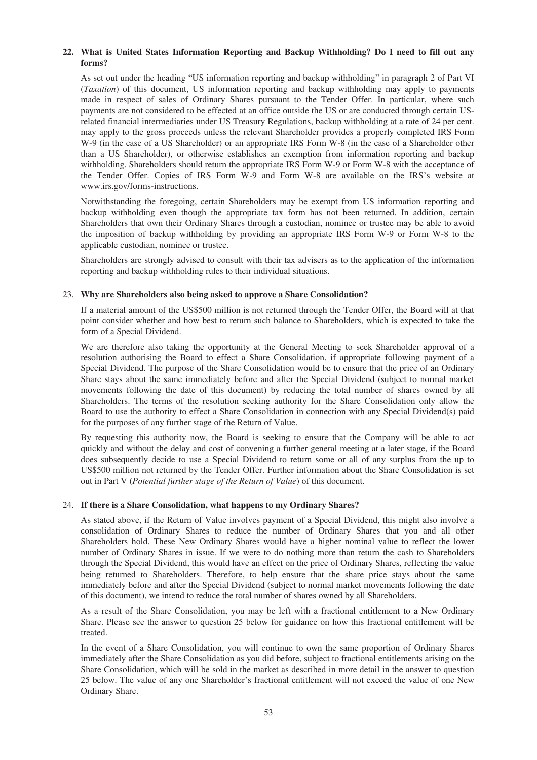# **22. What is United States Information Reporting and Backup Withholding? Do I need to fill out any forms?**

As set out under the heading "US information reporting and backup withholding" in paragraph 2 of Part VI (*Taxation*) of this document, US information reporting and backup withholding may apply to payments made in respect of sales of Ordinary Shares pursuant to the Tender Offer. In particular, where such payments are not considered to be effected at an office outside the US or are conducted through certain USrelated financial intermediaries under US Treasury Regulations, backup withholding at a rate of 24 per cent. may apply to the gross proceeds unless the relevant Shareholder provides a properly completed IRS Form W-9 (in the case of a US Shareholder) or an appropriate IRS Form W-8 (in the case of a Shareholder other than a US Shareholder), or otherwise establishes an exemption from information reporting and backup withholding. Shareholders should return the appropriate IRS Form W-9 or Form W-8 with the acceptance of the Tender Offer. Copies of IRS Form W-9 and Form W-8 are available on the IRS's website at www.irs.gov/forms-instructions.

Notwithstanding the foregoing, certain Shareholders may be exempt from US information reporting and backup withholding even though the appropriate tax form has not been returned. In addition, certain Shareholders that own their Ordinary Shares through a custodian, nominee or trustee may be able to avoid the imposition of backup withholding by providing an appropriate IRS Form W-9 or Form W-8 to the applicable custodian, nominee or trustee.

Shareholders are strongly advised to consult with their tax advisers as to the application of the information reporting and backup withholding rules to their individual situations.

## 23. **Why are Shareholders also being asked to approve a Share Consolidation?**

If a material amount of the US\$500 million is not returned through the Tender Offer, the Board will at that point consider whether and how best to return such balance to Shareholders, which is expected to take the form of a Special Dividend.

We are therefore also taking the opportunity at the General Meeting to seek Shareholder approval of a resolution authorising the Board to effect a Share Consolidation, if appropriate following payment of a Special Dividend. The purpose of the Share Consolidation would be to ensure that the price of an Ordinary Share stays about the same immediately before and after the Special Dividend (subject to normal market movements following the date of this document) by reducing the total number of shares owned by all Shareholders. The terms of the resolution seeking authority for the Share Consolidation only allow the Board to use the authority to effect a Share Consolidation in connection with any Special Dividend(s) paid for the purposes of any further stage of the Return of Value.

By requesting this authority now, the Board is seeking to ensure that the Company will be able to act quickly and without the delay and cost of convening a further general meeting at a later stage, if the Board does subsequently decide to use a Special Dividend to return some or all of any surplus from the up to US\$500 million not returned by the Tender Offer. Further information about the Share Consolidation is set out in Part V (*Potential further stage of the Return of Value*) of this document.

# 24. **If there is a Share Consolidation, what happens to my Ordinary Shares?**

As stated above, if the Return of Value involves payment of a Special Dividend, this might also involve a consolidation of Ordinary Shares to reduce the number of Ordinary Shares that you and all other Shareholders hold. These New Ordinary Shares would have a higher nominal value to reflect the lower number of Ordinary Shares in issue. If we were to do nothing more than return the cash to Shareholders through the Special Dividend, this would have an effect on the price of Ordinary Shares, reflecting the value being returned to Shareholders. Therefore, to help ensure that the share price stays about the same immediately before and after the Special Dividend (subject to normal market movements following the date of this document), we intend to reduce the total number of shares owned by all Shareholders.

As a result of the Share Consolidation, you may be left with a fractional entitlement to a New Ordinary Share. Please see the answer to question 25 below for guidance on how this fractional entitlement will be treated.

In the event of a Share Consolidation, you will continue to own the same proportion of Ordinary Shares immediately after the Share Consolidation as you did before, subject to fractional entitlements arising on the Share Consolidation, which will be sold in the market as described in more detail in the answer to question 25 below. The value of any one Shareholder's fractional entitlement will not exceed the value of one New Ordinary Share.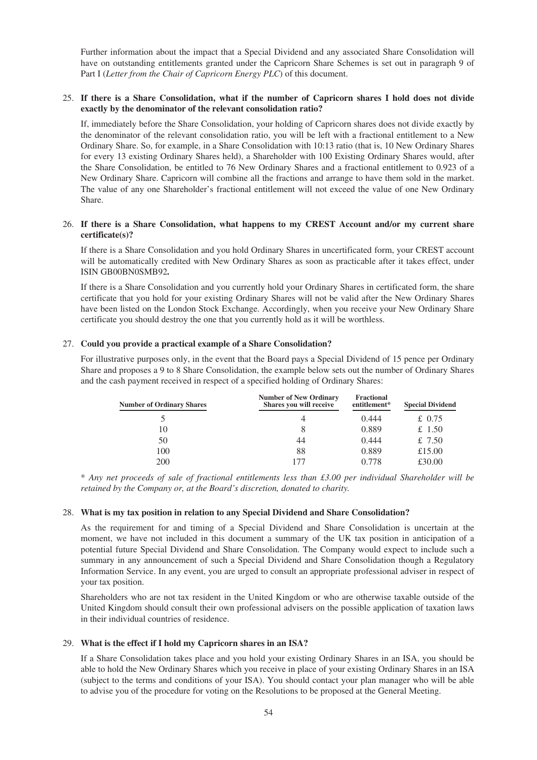Further information about the impact that a Special Dividend and any associated Share Consolidation will have on outstanding entitlements granted under the Capricorn Share Schemes is set out in paragraph 9 of Part I (*Letter from the Chair of Capricorn Energy PLC*) of this document.

# 25. **If there is a Share Consolidation, what if the number of Capricorn shares I hold does not divide exactly by the denominator of the relevant consolidation ratio?**

If, immediately before the Share Consolidation, your holding of Capricorn shares does not divide exactly by the denominator of the relevant consolidation ratio, you will be left with a fractional entitlement to a New Ordinary Share. So, for example, in a Share Consolidation with 10:13 ratio (that is, 10 New Ordinary Shares for every 13 existing Ordinary Shares held), a Shareholder with 100 Existing Ordinary Shares would, after the Share Consolidation, be entitled to 76 New Ordinary Shares and a fractional entitlement to 0.923 of a New Ordinary Share. Capricorn will combine all the fractions and arrange to have them sold in the market. The value of any one Shareholder's fractional entitlement will not exceed the value of one New Ordinary Share.

# 26. **If there is a Share Consolidation, what happens to my CREST Account and/or my current share certificate(s)?**

If there is a Share Consolidation and you hold Ordinary Shares in uncertificated form, your CREST account will be automatically credited with New Ordinary Shares as soon as practicable after it takes effect, under ISIN GB00BN0SMB92**.**

If there is a Share Consolidation and you currently hold your Ordinary Shares in certificated form, the share certificate that you hold for your existing Ordinary Shares will not be valid after the New Ordinary Shares have been listed on the London Stock Exchange. Accordingly, when you receive your New Ordinary Share certificate you should destroy the one that you currently hold as it will be worthless.

## 27. **Could you provide a practical example of a Share Consolidation?**

For illustrative purposes only, in the event that the Board pays a Special Dividend of 15 pence per Ordinary Share and proposes a 9 to 8 Share Consolidation, the example below sets out the number of Ordinary Shares and the cash payment received in respect of a specified holding of Ordinary Shares:

| <b>Number of Ordinary Shares</b> | <b>Number of New Ordinary</b><br>Shares you will receive | <b>Fractional</b><br>entitlement* | <b>Special Dividend</b> |
|----------------------------------|----------------------------------------------------------|-----------------------------------|-------------------------|
|                                  | 4                                                        | 0.444                             | £ 0.75                  |
| 10                               | 8                                                        | 0.889                             | £ 1.50                  |
| 50                               | 44                                                       | 0.444                             | £ 7.50                  |
| 100                              | 88                                                       | 0.889                             | £15.00                  |
| 200                              | 177                                                      | 0.778                             | £30.00                  |

\* *Any net proceeds of sale of fractional entitlements less than £3.00 per individual Shareholder will be retained by the Company or, at the Board's discretion, donated to charity.*

### 28. **What is my tax position in relation to any Special Dividend and Share Consolidation?**

As the requirement for and timing of a Special Dividend and Share Consolidation is uncertain at the moment, we have not included in this document a summary of the UK tax position in anticipation of a potential future Special Dividend and Share Consolidation. The Company would expect to include such a summary in any announcement of such a Special Dividend and Share Consolidation though a Regulatory Information Service. In any event, you are urged to consult an appropriate professional adviser in respect of your tax position.

Shareholders who are not tax resident in the United Kingdom or who are otherwise taxable outside of the United Kingdom should consult their own professional advisers on the possible application of taxation laws in their individual countries of residence.

### 29. **What is the effect if I hold my Capricorn shares in an ISA?**

If a Share Consolidation takes place and you hold your existing Ordinary Shares in an ISA, you should be able to hold the New Ordinary Shares which you receive in place of your existing Ordinary Shares in an ISA (subject to the terms and conditions of your ISA). You should contact your plan manager who will be able to advise you of the procedure for voting on the Resolutions to be proposed at the General Meeting.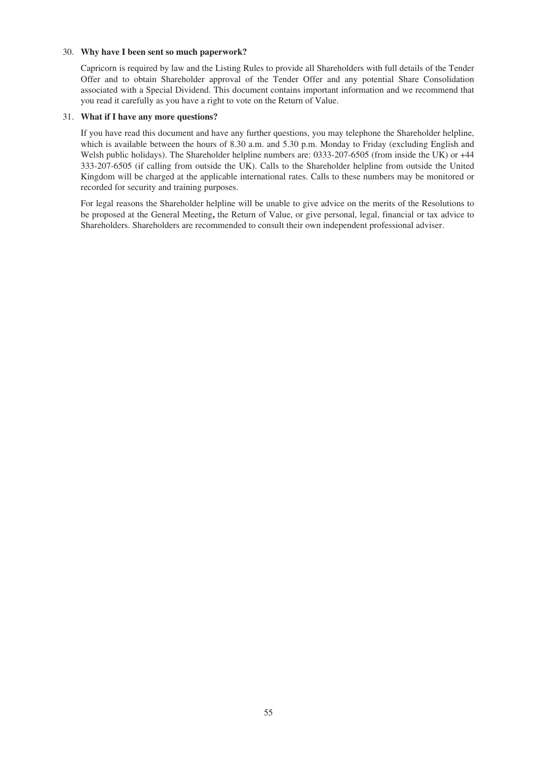# 30. **Why have I been sent so much paperwork?**

Capricorn is required by law and the Listing Rules to provide all Shareholders with full details of the Tender Offer and to obtain Shareholder approval of the Tender Offer and any potential Share Consolidation associated with a Special Dividend. This document contains important information and we recommend that you read it carefully as you have a right to vote on the Return of Value.

## 31. **What if I have any more questions?**

If you have read this document and have any further questions, you may telephone the Shareholder helpline, which is available between the hours of 8.30 a.m. and 5.30 p.m. Monday to Friday (excluding English and Welsh public holidays). The Shareholder helpline numbers are: 0333-207-6505 (from inside the UK) or  $+44$ 333-207-6505 (if calling from outside the UK). Calls to the Shareholder helpline from outside the United Kingdom will be charged at the applicable international rates. Calls to these numbers may be monitored or recorded for security and training purposes.

For legal reasons the Shareholder helpline will be unable to give advice on the merits of the Resolutions to be proposed at the General Meeting**,** the Return of Value, or give personal, legal, financial or tax advice to Shareholders. Shareholders are recommended to consult their own independent professional adviser.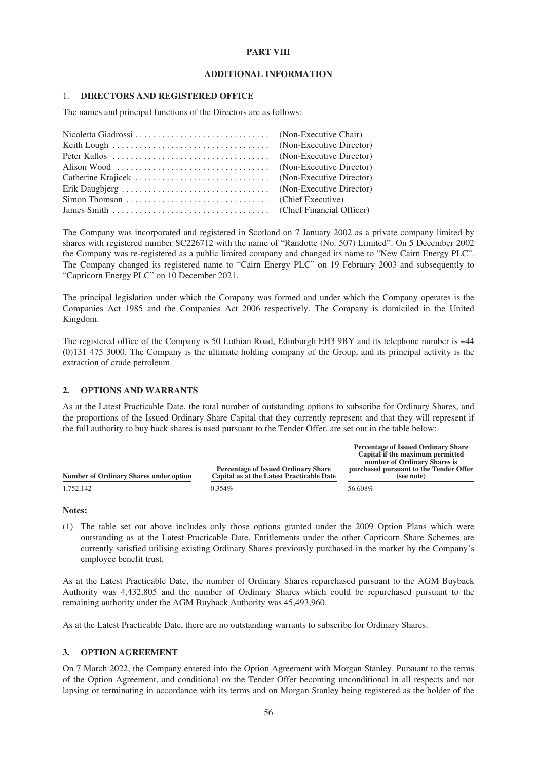## **PART VIII**

## **ADDITIONAL INFORMATION**

### 1. **DIRECTORS AND REGISTERED OFFICE**

The names and principal functions of the Directors are as follows:

The Company was incorporated and registered in Scotland on 7 January 2002 as a private company limited by shares with registered number SC226712 with the name of "Randotte (No. 507) Limited". On 5 December 2002 the Company was re-registered as a public limited company and changed its name to "New Cairn Energy PLC". The Company changed its registered name to "Cairn Energy PLC" on 19 February 2003 and subsequently to "Capricorn Energy PLC" on 10 December 2021.

The principal legislation under which the Company was formed and under which the Company operates is the Companies Act 1985 and the Companies Act 2006 respectively. The Company is domiciled in the United Kingdom.

The registered office of the Company is 50 Lothian Road, Edinburgh EH3 9BY and its telephone number is +44 (0)131 475 3000. The Company is the ultimate holding company of the Group, and its principal activity is the extraction of crude petroleum.

# **2. OPTIONS AND WARRANTS**

As at the Latest Practicable Date, the total number of outstanding options to subscribe for Ordinary Shares, and the proportions of the Issued Ordinary Share Capital that they currently represent and that they will represent if the full authority to buy back shares is used pursuant to the Tender Offer, are set out in the table below:

**Percentage of Issued Ordinary Share**

| Number of Ordinary Shares under option | <b>Percentage of Issued Ordinary Share</b><br><b>Capital as at the Latest Practicable Date</b> | Capital if the maximum permitted<br>number of Ordinary Shares is<br>purchased pursuant to the Tender Offer<br>(see note) |
|----------------------------------------|------------------------------------------------------------------------------------------------|--------------------------------------------------------------------------------------------------------------------------|
| 1.752.142                              | $0.354\%$                                                                                      | 56.608%                                                                                                                  |

### **Notes:**

(1) The table set out above includes only those options granted under the 2009 Option Plans which were outstanding as at the Latest Practicable Date. Entitlements under the other Capricorn Share Schemes are currently satisfied utilising existing Ordinary Shares previously purchased in the market by the Company's employee benefit trust.

As at the Latest Practicable Date, the number of Ordinary Shares repurchased pursuant to the AGM Buyback Authority was 4,432,805 and the number of Ordinary Shares which could be repurchased pursuant to the remaining authority under the AGM Buyback Authority was 45,493,960.

As at the Latest Practicable Date, there are no outstanding warrants to subscribe for Ordinary Shares.

# **3. OPTION AGREEMENT**

On 7 March 2022, the Company entered into the Option Agreement with Morgan Stanley. Pursuant to the terms of the Option Agreement, and conditional on the Tender Offer becoming unconditional in all respects and not lapsing or terminating in accordance with its terms and on Morgan Stanley being registered as the holder of the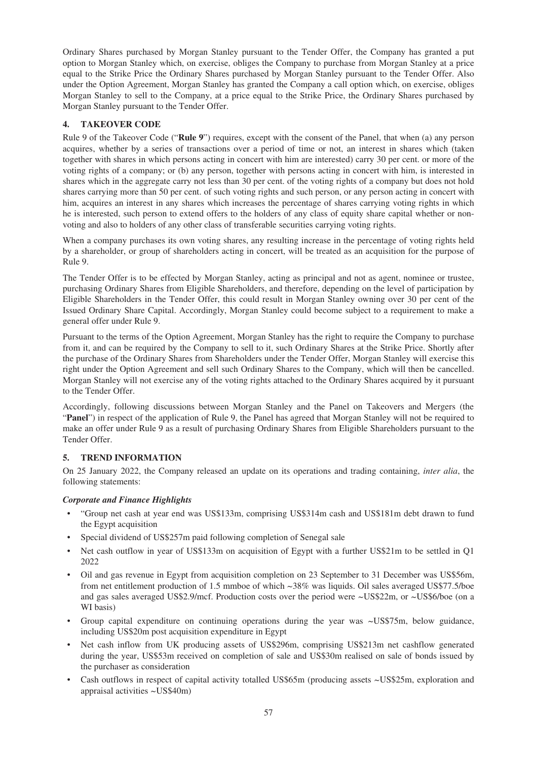Ordinary Shares purchased by Morgan Stanley pursuant to the Tender Offer, the Company has granted a put option to Morgan Stanley which, on exercise, obliges the Company to purchase from Morgan Stanley at a price equal to the Strike Price the Ordinary Shares purchased by Morgan Stanley pursuant to the Tender Offer. Also under the Option Agreement, Morgan Stanley has granted the Company a call option which, on exercise, obliges Morgan Stanley to sell to the Company, at a price equal to the Strike Price, the Ordinary Shares purchased by Morgan Stanley pursuant to the Tender Offer.

# **4. TAKEOVER CODE**

Rule 9 of the Takeover Code ("**Rule 9**") requires, except with the consent of the Panel, that when (a) any person acquires, whether by a series of transactions over a period of time or not, an interest in shares which (taken together with shares in which persons acting in concert with him are interested) carry 30 per cent. or more of the voting rights of a company; or (b) any person, together with persons acting in concert with him, is interested in shares which in the aggregate carry not less than 30 per cent. of the voting rights of a company but does not hold shares carrying more than 50 per cent. of such voting rights and such person, or any person acting in concert with him, acquires an interest in any shares which increases the percentage of shares carrying voting rights in which he is interested, such person to extend offers to the holders of any class of equity share capital whether or nonvoting and also to holders of any other class of transferable securities carrying voting rights.

When a company purchases its own voting shares, any resulting increase in the percentage of voting rights held by a shareholder, or group of shareholders acting in concert, will be treated as an acquisition for the purpose of Rule 9.

The Tender Offer is to be effected by Morgan Stanley, acting as principal and not as agent, nominee or trustee, purchasing Ordinary Shares from Eligible Shareholders, and therefore, depending on the level of participation by Eligible Shareholders in the Tender Offer, this could result in Morgan Stanley owning over 30 per cent of the Issued Ordinary Share Capital. Accordingly, Morgan Stanley could become subject to a requirement to make a general offer under Rule 9.

Pursuant to the terms of the Option Agreement, Morgan Stanley has the right to require the Company to purchase from it, and can be required by the Company to sell to it, such Ordinary Shares at the Strike Price. Shortly after the purchase of the Ordinary Shares from Shareholders under the Tender Offer, Morgan Stanley will exercise this right under the Option Agreement and sell such Ordinary Shares to the Company, which will then be cancelled. Morgan Stanley will not exercise any of the voting rights attached to the Ordinary Shares acquired by it pursuant to the Tender Offer.

Accordingly, following discussions between Morgan Stanley and the Panel on Takeovers and Mergers (the "**Panel**") in respect of the application of Rule 9, the Panel has agreed that Morgan Stanley will not be required to make an offer under Rule 9 as a result of purchasing Ordinary Shares from Eligible Shareholders pursuant to the Tender Offer.

# **5. TREND INFORMATION**

On 25 January 2022, the Company released an update on its operations and trading containing, *inter alia*, the following statements:

# *Corporate and Finance Highlights*

- "Group net cash at year end was US\$133m, comprising US\$314m cash and US\$181m debt drawn to fund the Egypt acquisition
- Special dividend of US\$257m paid following completion of Senegal sale
- Net cash outflow in year of US\$133m on acquisition of Egypt with a further US\$21m to be settled in Q1 2022
- Oil and gas revenue in Egypt from acquisition completion on 23 September to 31 December was US\$56m, from net entitlement production of 1.5 mmboe of which  $\sim$ 38% was liquids. Oil sales averaged US\$77.5/boe and gas sales averaged US\$2.9/mcf. Production costs over the period were ~US\$22m, or ~US\$6/boe (on a WI basis)
- Group capital expenditure on continuing operations during the year was ~US\$75m, below guidance, including US\$20m post acquisition expenditure in Egypt
- Net cash inflow from UK producing assets of US\$296m, comprising US\$213m net cashflow generated during the year, US\$53m received on completion of sale and US\$30m realised on sale of bonds issued by the purchaser as consideration
- Cash outflows in respect of capital activity totalled US\$65m (producing assets ~US\$25m, exploration and appraisal activities ~US\$40m)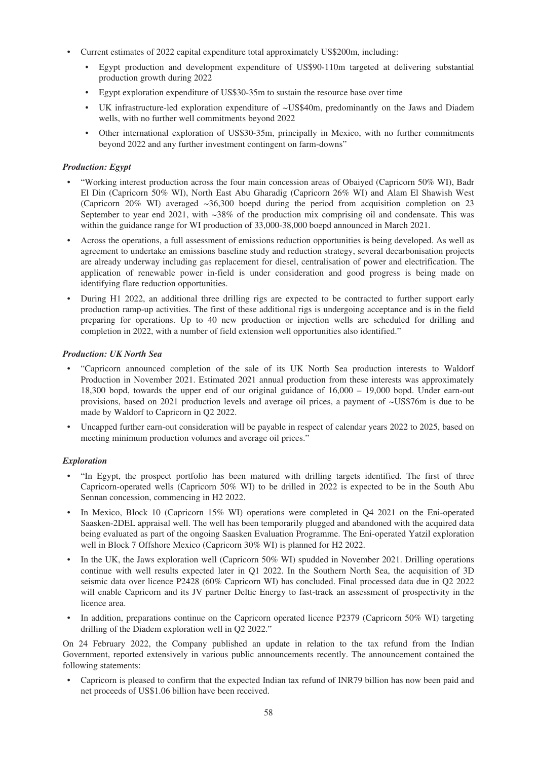- Current estimates of 2022 capital expenditure total approximately US\$200m, including:
	- Egypt production and development expenditure of US\$90-110m targeted at delivering substantial production growth during 2022
	- Egypt exploration expenditure of US\$30-35m to sustain the resource base over time
	- UK infrastructure-led exploration expenditure of  $\sim$ US\$40m, predominantly on the Jaws and Diadem wells, with no further well commitments beyond 2022
	- Other international exploration of US\$30-35m, principally in Mexico, with no further commitments beyond 2022 and any further investment contingent on farm-downs"

# *Production: Egypt*

- "Working interest production across the four main concession areas of Obaiyed (Capricorn 50% WI), Badr El Din (Capricorn 50% WI), North East Abu Gharadig (Capricorn 26% WI) and Alam El Shawish West (Capricorn 20% WI) averaged  $\sim 36,300$  boepd during the period from acquisition completion on 23 September to year end 2021, with  $\sim 38\%$  of the production mix comprising oil and condensate. This was within the guidance range for WI production of 33,000-38,000 boepd announced in March 2021.
- Across the operations, a full assessment of emissions reduction opportunities is being developed. As well as agreement to undertake an emissions baseline study and reduction strategy, several decarbonisation projects are already underway including gas replacement for diesel, centralisation of power and electrification. The application of renewable power in-field is under consideration and good progress is being made on identifying flare reduction opportunities.
- During H1 2022, an additional three drilling rigs are expected to be contracted to further support early production ramp-up activities. The first of these additional rigs is undergoing acceptance and is in the field preparing for operations. Up to 40 new production or injection wells are scheduled for drilling and completion in 2022, with a number of field extension well opportunities also identified."

# *Production: UK North Sea*

- "Capricorn announced completion of the sale of its UK North Sea production interests to Waldorf Production in November 2021. Estimated 2021 annual production from these interests was approximately 18,300 bopd, towards the upper end of our original guidance of 16,000 – 19,000 bopd. Under earn-out provisions, based on 2021 production levels and average oil prices, a payment of ~US\$76m is due to be made by Waldorf to Capricorn in Q2 2022.
- Uncapped further earn-out consideration will be payable in respect of calendar years 2022 to 2025, based on meeting minimum production volumes and average oil prices."

# *Exploration*

- "In Egypt, the prospect portfolio has been matured with drilling targets identified. The first of three Capricorn-operated wells (Capricorn 50% WI) to be drilled in 2022 is expected to be in the South Abu Sennan concession, commencing in H2 2022.
- In Mexico, Block 10 (Capricorn 15% WI) operations were completed in Q4 2021 on the Eni-operated Saasken-2DEL appraisal well. The well has been temporarily plugged and abandoned with the acquired data being evaluated as part of the ongoing Saasken Evaluation Programme. The Eni-operated Yatzil exploration well in Block 7 Offshore Mexico (Capricorn 30% WI) is planned for H2 2022.
- In the UK, the Jaws exploration well (Capricorn 50% WI) spudded in November 2021. Drilling operations continue with well results expected later in Q1 2022. In the Southern North Sea, the acquisition of 3D seismic data over licence P2428 (60% Capricorn WI) has concluded. Final processed data due in Q2 2022 will enable Capricorn and its JV partner Deltic Energy to fast-track an assessment of prospectivity in the licence area.
- In addition, preparations continue on the Capricorn operated licence P2379 (Capricorn 50% WI) targeting drilling of the Diadem exploration well in Q2 2022."

On 24 February 2022, the Company published an update in relation to the tax refund from the Indian Government, reported extensively in various public announcements recently. The announcement contained the following statements:

• Capricorn is pleased to confirm that the expected Indian tax refund of INR79 billion has now been paid and net proceeds of US\$1.06 billion have been received.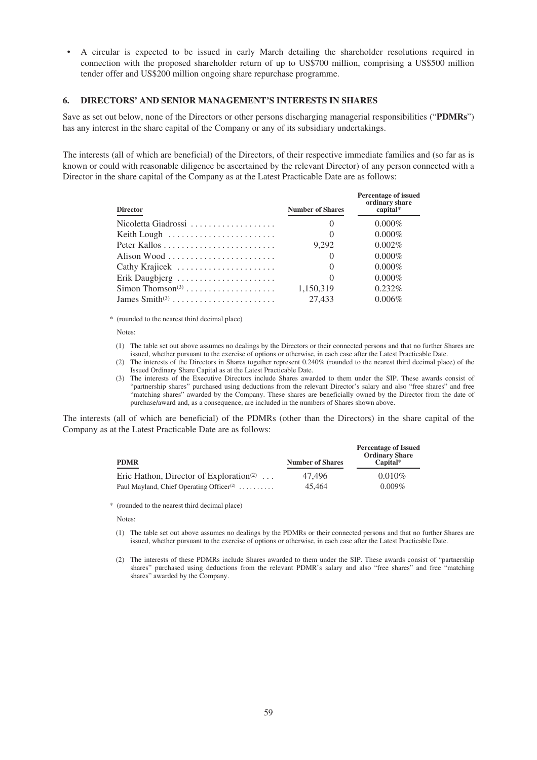• A circular is expected to be issued in early March detailing the shareholder resolutions required in connection with the proposed shareholder return of up to US\$700 million, comprising a US\$500 million tender offer and US\$200 million ongoing share repurchase programme.

## **6. DIRECTORS' AND SENIOR MANAGEMENT'S INTERESTS IN SHARES**

Save as set out below, none of the Directors or other persons discharging managerial responsibilities ("**PDMRs**") has any interest in the share capital of the Company or any of its subsidiary undertakings.

The interests (all of which are beneficial) of the Directors, of their respective immediate families and (so far as is known or could with reasonable diligence be ascertained by the relevant Director) of any person connected with a Director in the share capital of the Company as at the Latest Practicable Date are as follows:

| <b>Director</b>     | <b>Number of Shares</b> | <b>Percentage of issued</b><br>ordinary share<br>capital* |
|---------------------|-------------------------|-----------------------------------------------------------|
| Nicoletta Giadrossi | $\theta$                | $0.000\%$                                                 |
|                     | $\theta$                | $0.000\%$                                                 |
|                     | 9.292                   | $0.002\%$                                                 |
|                     | $\theta$                | $0.000\%$                                                 |
| Cathy Krajicek      | $\theta$                | $0.000\%$                                                 |
| Erik Daugbjerg      | $\theta$                | $0.000\%$                                                 |
|                     | 1,150,319               | $0.232\%$                                                 |
|                     | 27,433                  | $0.006\%$                                                 |

\* (rounded to the nearest third decimal place)

Notes:

- (1) The table set out above assumes no dealings by the Directors or their connected persons and that no further Shares are issued, whether pursuant to the exercise of options or otherwise, in each case after the Latest Practicable Date.
- (2) The interests of the Directors in Shares together represent 0.240% (rounded to the nearest third decimal place) of the Issued Ordinary Share Capital as at the Latest Practicable Date.
- (3) The interests of the Executive Directors include Shares awarded to them under the SIP. These awards consist of "partnership shares" purchased using deductions from the relevant Director's salary and also "free shares" and free "matching shares" awarded by the Company. These shares are beneficially owned by the Director from the date of purchase/award and, as a consequence, are included in the numbers of Shares shown above.

The interests (all of which are beneficial) of the PDMRs (other than the Directors) in the share capital of the Company as at the Latest Practicable Date are as follows:

| <b>PDMR</b>                                          | <b>Number of Shares</b> | <b>Percentage of Issued</b><br><b>Ordinary Share</b><br>$Canital*$ |
|------------------------------------------------------|-------------------------|--------------------------------------------------------------------|
| Eric Hathon, Director of Exploration <sup>(2)</sup>  | 47.496                  | $0.010\%$                                                          |
| Paul Mayland, Chief Operating Officer <sup>(2)</sup> | 45,464                  | $0.009\%$                                                          |

\* (rounded to the nearest third decimal place)

Notes:

- (1) The table set out above assumes no dealings by the PDMRs or their connected persons and that no further Shares are issued, whether pursuant to the exercise of options or otherwise, in each case after the Latest Practicable Date.
- (2) The interests of these PDMRs include Shares awarded to them under the SIP. These awards consist of "partnership shares" purchased using deductions from the relevant PDMR's salary and also "free shares" and free "matching shares" awarded by the Company.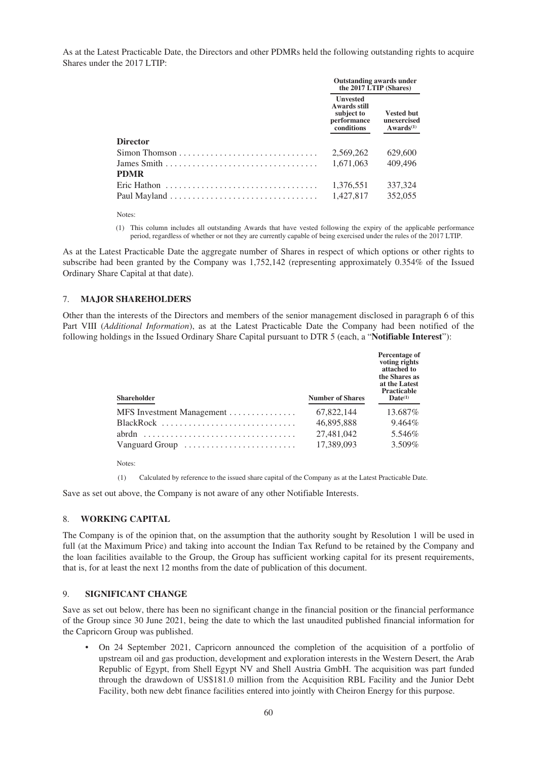As at the Latest Practicable Date, the Directors and other PDMRs held the following outstanding rights to acquire Shares under the 2017 LTIP:

|                                                                                      | <b>Outstanding awards under</b><br>the 2017 LTIP (Shares)                  |                                                    |
|--------------------------------------------------------------------------------------|----------------------------------------------------------------------------|----------------------------------------------------|
|                                                                                      | <b>Unvested</b><br>Awards still<br>subject to<br>performance<br>conditions | <b>Vested but</b><br>unexercised<br>$Awards^{(1)}$ |
| <b>Director</b>                                                                      |                                                                            |                                                    |
| $Simon Thomson$                                                                      | 2.569.262                                                                  | 629,600                                            |
|                                                                                      | 1.671.063                                                                  | 409,496                                            |
| <b>PDMR</b>                                                                          |                                                                            |                                                    |
| Eric Hathon $\ldots, \ldots, \ldots, \ldots, \ldots, \ldots, \ldots, \ldots, \ldots$ | 1,376,551                                                                  | 337,324                                            |
|                                                                                      | 1.427.817                                                                  | 352,055                                            |

Notes:

(1) This column includes all outstanding Awards that have vested following the expiry of the applicable performance period, regardless of whether or not they are currently capable of being exercised under the rules of the 2017 LTIP.

As at the Latest Practicable Date the aggregate number of Shares in respect of which options or other rights to subscribe had been granted by the Company was 1,752,142 (representing approximately 0.354% of the Issued Ordinary Share Capital at that date).

# 7. **MAJOR SHAREHOLDERS**

Other than the interests of the Directors and members of the senior management disclosed in paragraph 6 of this Part VIII (*Additional Information*), as at the Latest Practicable Date the Company had been notified of the following holdings in the Issued Ordinary Share Capital pursuant to DTR 5 (each, a "**Notifiable Interest**"):

| <b>Shareholder</b>        | <b>Number of Shares</b> | Percentage of<br>voting rights<br>attached to<br>the Shares as<br>at the Latest<br><b>Practicable</b><br>$\mathbf{Date}^{(1)}$ |
|---------------------------|-------------------------|--------------------------------------------------------------------------------------------------------------------------------|
| MFS Investment Management | 67.822.144              | 13.687%                                                                                                                        |
|                           | 46,895,888              | $9.464\%$                                                                                                                      |
| abrdn                     | 27.481.042              | 5.546\%                                                                                                                        |
| Vanguard Group            | 17.389.093              | 3.509%                                                                                                                         |

Notes:

(1) Calculated by reference to the issued share capital of the Company as at the Latest Practicable Date.

Save as set out above, the Company is not aware of any other Notifiable Interests.

### 8. **WORKING CAPITAL**

The Company is of the opinion that, on the assumption that the authority sought by Resolution 1 will be used in full (at the Maximum Price) and taking into account the Indian Tax Refund to be retained by the Company and the loan facilities available to the Group, the Group has sufficient working capital for its present requirements, that is, for at least the next 12 months from the date of publication of this document.

# 9. **SIGNIFICANT CHANGE**

Save as set out below, there has been no significant change in the financial position or the financial performance of the Group since 30 June 2021, being the date to which the last unaudited published financial information for the Capricorn Group was published.

• On 24 September 2021, Capricorn announced the completion of the acquisition of a portfolio of upstream oil and gas production, development and exploration interests in the Western Desert, the Arab Republic of Egypt, from Shell Egypt NV and Shell Austria GmbH. The acquisition was part funded through the drawdown of US\$181.0 million from the Acquisition RBL Facility and the Junior Debt Facility, both new debt finance facilities entered into jointly with Cheiron Energy for this purpose.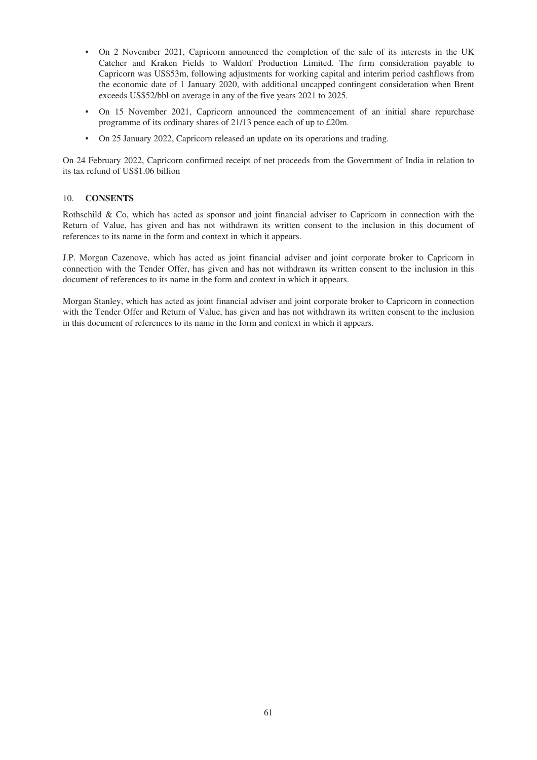- On 2 November 2021, Capricorn announced the completion of the sale of its interests in the UK Catcher and Kraken Fields to Waldorf Production Limited. The firm consideration payable to Capricorn was US\$53m, following adjustments for working capital and interim period cashflows from the economic date of 1 January 2020, with additional uncapped contingent consideration when Brent exceeds US\$52/bbl on average in any of the five years 2021 to 2025.
- On 15 November 2021, Capricorn announced the commencement of an initial share repurchase programme of its ordinary shares of 21/13 pence each of up to £20m.
- On 25 January 2022, Capricorn released an update on its operations and trading.

On 24 February 2022, Capricorn confirmed receipt of net proceeds from the Government of India in relation to its tax refund of US\$1.06 billion

# 10. **CONSENTS**

Rothschild & Co, which has acted as sponsor and joint financial adviser to Capricorn in connection with the Return of Value, has given and has not withdrawn its written consent to the inclusion in this document of references to its name in the form and context in which it appears.

J.P. Morgan Cazenove, which has acted as joint financial adviser and joint corporate broker to Capricorn in connection with the Tender Offer, has given and has not withdrawn its written consent to the inclusion in this document of references to its name in the form and context in which it appears.

Morgan Stanley, which has acted as joint financial adviser and joint corporate broker to Capricorn in connection with the Tender Offer and Return of Value, has given and has not withdrawn its written consent to the inclusion in this document of references to its name in the form and context in which it appears.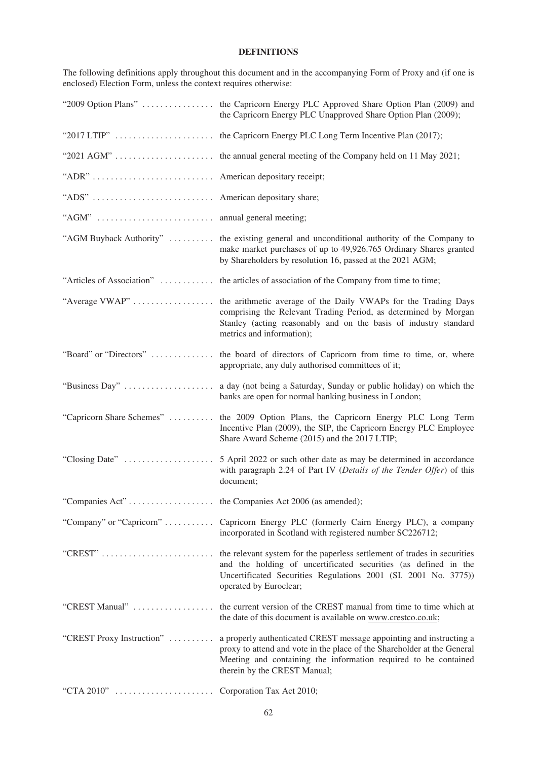# **DEFINITIONS**

The following definitions apply throughout this document and in the accompanying Form of Proxy and (if one is enclosed) Election Form, unless the context requires otherwise:

|                                       | "2009 Option Plans"  the Capricorn Energy PLC Approved Share Option Plan (2009) and<br>the Capricorn Energy PLC Unapproved Share Option Plan (2009);                                                                                              |
|---------------------------------------|---------------------------------------------------------------------------------------------------------------------------------------------------------------------------------------------------------------------------------------------------|
|                                       |                                                                                                                                                                                                                                                   |
|                                       |                                                                                                                                                                                                                                                   |
| "ADR"  American depositary receipt;   |                                                                                                                                                                                                                                                   |
|                                       |                                                                                                                                                                                                                                                   |
| " $AGM$ "                             | annual general meeting;                                                                                                                                                                                                                           |
| "AGM Buyback Authority"               | the existing general and unconditional authority of the Company to<br>make market purchases of up to 49,926.765 Ordinary Shares granted<br>by Shareholders by resolution 16, passed at the 2021 AGM;                                              |
| "Articles of Association"             | the articles of association of the Company from time to time;                                                                                                                                                                                     |
| "Average VWAP"                        | the arithmetic average of the Daily VWAPs for the Trading Days<br>comprising the Relevant Trading Period, as determined by Morgan<br>Stanley (acting reasonably and on the basis of industry standard<br>metrics and information);                |
| "Board" or "Directors"                | the board of directors of Capricorn from time to time, or, where<br>appropriate, any duly authorised committees of it;                                                                                                                            |
| "Business Day"                        | a day (not being a Saturday, Sunday or public holiday) on which the<br>banks are open for normal banking business in London;                                                                                                                      |
| "Capricorn Share Schemes"             | the 2009 Option Plans, the Capricorn Energy PLC Long Term<br>Incentive Plan (2009), the SIP, the Capricorn Energy PLC Employee<br>Share Award Scheme (2015) and the 2017 LTIP;                                                                    |
|                                       | with paragraph 2.24 of Part IV (Details of the Tender Offer) of this<br>document;                                                                                                                                                                 |
|                                       |                                                                                                                                                                                                                                                   |
|                                       | "Company" or "Capricorn"  Capricorn Energy PLC (formerly Cairn Energy PLC), a company<br>incorporated in Scotland with registered number SC226712;                                                                                                |
| "CREST" $\ldots$                      | the relevant system for the paperless settlement of trades in securities<br>and the holding of uncertificated securities (as defined in the<br>Uncertificated Securities Regulations 2001 (SI. 2001 No. 3775))<br>operated by Euroclear;          |
| "CREST Manual"                        | the current version of the CREST manual from time to time which at<br>the date of this document is available on www.crestco.co.uk;                                                                                                                |
| "CREST Proxy Instruction"             | a properly authenticated CREST message appointing and instructing a<br>proxy to attend and vote in the place of the Shareholder at the General<br>Meeting and containing the information required to be contained<br>therein by the CREST Manual; |
| "CTA 2010"  Corporation Tax Act 2010; |                                                                                                                                                                                                                                                   |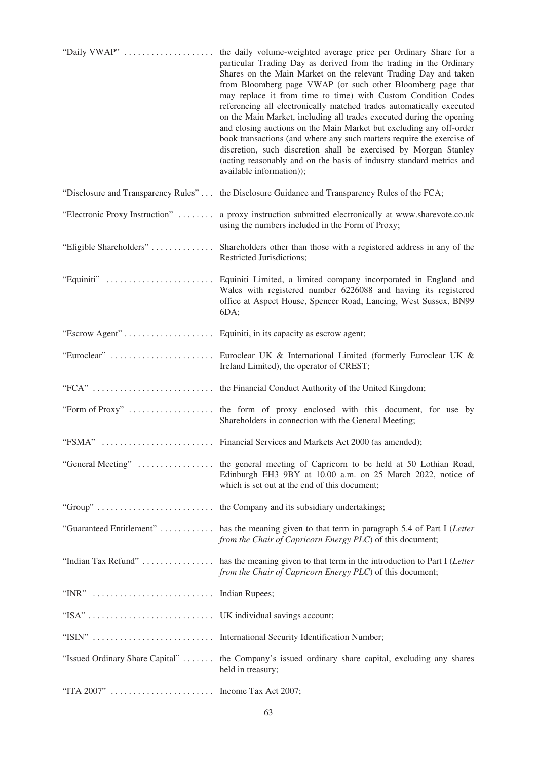| "Daily VWAP"                        | the daily volume-weighted average price per Ordinary Share for a<br>particular Trading Day as derived from the trading in the Ordinary<br>Shares on the Main Market on the relevant Trading Day and taken<br>from Bloomberg page VWAP (or such other Bloomberg page that<br>may replace it from time to time) with Custom Condition Codes<br>referencing all electronically matched trades automatically executed<br>on the Main Market, including all trades executed during the opening<br>and closing auctions on the Main Market but excluding any off-order<br>book transactions (and where any such matters require the exercise of<br>discretion, such discretion shall be exercised by Morgan Stanley<br>(acting reasonably and on the basis of industry standard metrics and<br>available information)); |
|-------------------------------------|-------------------------------------------------------------------------------------------------------------------------------------------------------------------------------------------------------------------------------------------------------------------------------------------------------------------------------------------------------------------------------------------------------------------------------------------------------------------------------------------------------------------------------------------------------------------------------------------------------------------------------------------------------------------------------------------------------------------------------------------------------------------------------------------------------------------|
| "Disclosure and Transparency Rules" | the Disclosure Guidance and Transparency Rules of the FCA;                                                                                                                                                                                                                                                                                                                                                                                                                                                                                                                                                                                                                                                                                                                                                        |
| "Electronic Proxy Instruction"      | a proxy instruction submitted electronically at www.sharevote.co.uk<br>using the numbers included in the Form of Proxy;                                                                                                                                                                                                                                                                                                                                                                                                                                                                                                                                                                                                                                                                                           |
| "Eligible Shareholders"             | Shareholders other than those with a registered address in any of the<br>Restricted Jurisdictions;                                                                                                                                                                                                                                                                                                                                                                                                                                                                                                                                                                                                                                                                                                                |
| "Equiniti"                          | Equiniti Limited, a limited company incorporated in England and<br>Wales with registered number 6226088 and having its registered<br>office at Aspect House, Spencer Road, Lancing, West Sussex, BN99<br>6DA;                                                                                                                                                                                                                                                                                                                                                                                                                                                                                                                                                                                                     |
|                                     |                                                                                                                                                                                                                                                                                                                                                                                                                                                                                                                                                                                                                                                                                                                                                                                                                   |
|                                     | "Euroclear"  Euroclear UK & International Limited (formerly Euroclear UK &<br>Ireland Limited), the operator of CREST;                                                                                                                                                                                                                                                                                                                                                                                                                                                                                                                                                                                                                                                                                            |
|                                     |                                                                                                                                                                                                                                                                                                                                                                                                                                                                                                                                                                                                                                                                                                                                                                                                                   |
|                                     | Shareholders in connection with the General Meeting;                                                                                                                                                                                                                                                                                                                                                                                                                                                                                                                                                                                                                                                                                                                                                              |
|                                     |                                                                                                                                                                                                                                                                                                                                                                                                                                                                                                                                                                                                                                                                                                                                                                                                                   |
|                                     | "General Meeting"  the general meeting of Capricorn to be held at 50 Lothian Road,<br>Edinburgh EH3 9BY at 10.00 a.m. on 25 March 2022, notice of<br>which is set out at the end of this document;                                                                                                                                                                                                                                                                                                                                                                                                                                                                                                                                                                                                                |
|                                     |                                                                                                                                                                                                                                                                                                                                                                                                                                                                                                                                                                                                                                                                                                                                                                                                                   |
|                                     | "Guaranteed Entitlement"  has the meaning given to that term in paragraph 5.4 of Part I (Letter<br>from the Chair of Capricorn Energy PLC) of this document;                                                                                                                                                                                                                                                                                                                                                                                                                                                                                                                                                                                                                                                      |
|                                     | "Indian Tax Refund"  has the meaning given to that term in the introduction to Part I (Letter<br>from the Chair of Capricorn Energy PLC) of this document;                                                                                                                                                                                                                                                                                                                                                                                                                                                                                                                                                                                                                                                        |
| "INR"  Indian Rupees;               |                                                                                                                                                                                                                                                                                                                                                                                                                                                                                                                                                                                                                                                                                                                                                                                                                   |
|                                     |                                                                                                                                                                                                                                                                                                                                                                                                                                                                                                                                                                                                                                                                                                                                                                                                                   |
|                                     | "ISIN"  International Security Identification Number;                                                                                                                                                                                                                                                                                                                                                                                                                                                                                                                                                                                                                                                                                                                                                             |
|                                     | "Issued Ordinary Share Capital"  the Company's issued ordinary share capital, excluding any shares<br>held in treasury;                                                                                                                                                                                                                                                                                                                                                                                                                                                                                                                                                                                                                                                                                           |
| "ITA 2007"  Income Tax Act 2007;    |                                                                                                                                                                                                                                                                                                                                                                                                                                                                                                                                                                                                                                                                                                                                                                                                                   |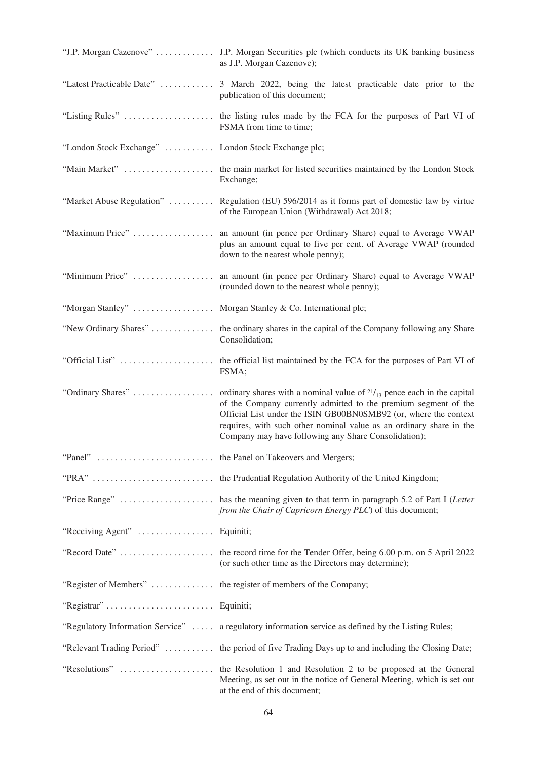|                                                                | "J.P. Morgan Cazenove"  J.P. Morgan Securities plc (which conducts its UK banking business<br>as J.P. Morgan Cazenove);                                                                                                                                            |
|----------------------------------------------------------------|--------------------------------------------------------------------------------------------------------------------------------------------------------------------------------------------------------------------------------------------------------------------|
|                                                                | "Latest Practicable Date"  3 March 2022, being the latest practicable date prior to the<br>publication of this document;                                                                                                                                           |
|                                                                | FSMA from time to time;                                                                                                                                                                                                                                            |
| "London Stock Exchange"  London Stock Exchange plc;            |                                                                                                                                                                                                                                                                    |
|                                                                | Exchange;                                                                                                                                                                                                                                                          |
|                                                                | "Market Abuse Regulation"  Regulation (EU) 596/2014 as it forms part of domestic law by virtue<br>of the European Union (Withdrawal) Act 2018;                                                                                                                     |
|                                                                | plus an amount equal to five per cent. of Average VWAP (rounded<br>down to the nearest whole penny);                                                                                                                                                               |
|                                                                | "Minimum Price"  an amount (in pence per Ordinary Share) equal to Average VWAP<br>(rounded down to the nearest whole penny);                                                                                                                                       |
| "Morgan Stanley"  Morgan Stanley & Co. International plc;      |                                                                                                                                                                                                                                                                    |
|                                                                | "New Ordinary Shares"  the ordinary shares in the capital of the Company following any Share<br>Consolidation;                                                                                                                                                     |
| "Official List"                                                | the official list maintained by the FCA for the purposes of Part VI of<br>FSMA;                                                                                                                                                                                    |
|                                                                | of the Company currently admitted to the premium segment of the<br>Official List under the ISIN GB00BN0SMB92 (or, where the context<br>requires, with such other nominal value as an ordinary share in the<br>Company may have following any Share Consolidation); |
|                                                                |                                                                                                                                                                                                                                                                    |
|                                                                |                                                                                                                                                                                                                                                                    |
|                                                                | from the Chair of Capricorn Energy PLC) of this document;                                                                                                                                                                                                          |
| "Receiving Agent"  Equiniti;                                   |                                                                                                                                                                                                                                                                    |
|                                                                | (or such other time as the Directors may determine);                                                                                                                                                                                                               |
| "Register of Members"  the register of members of the Company; |                                                                                                                                                                                                                                                                    |
| "Registrar"  Equiniti;                                         |                                                                                                                                                                                                                                                                    |
|                                                                | "Regulatory Information Service"  a regulatory information service as defined by the Listing Rules;                                                                                                                                                                |
|                                                                | "Relevant Trading Period"  the period of five Trading Days up to and including the Closing Date;                                                                                                                                                                   |
|                                                                | Meeting, as set out in the notice of General Meeting, which is set out<br>at the end of this document;                                                                                                                                                             |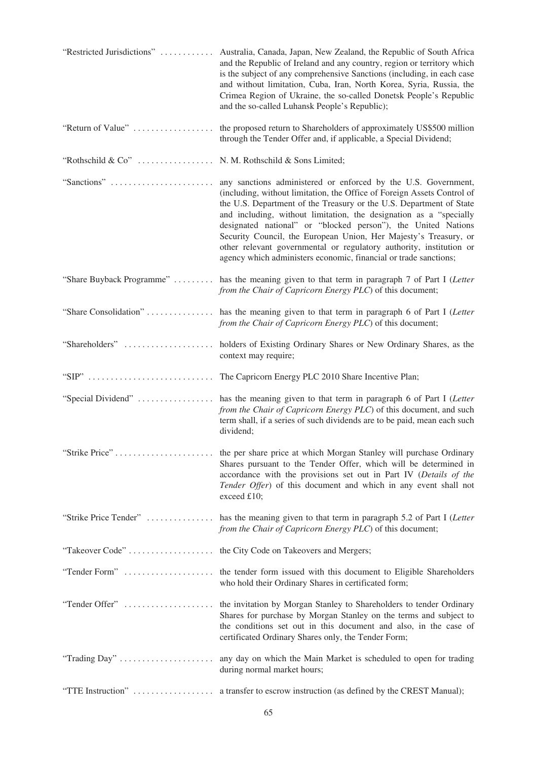| "Restricted Jurisdictions"                                             | Australia, Canada, Japan, New Zealand, the Republic of South Africa<br>and the Republic of Ireland and any country, region or territory which<br>is the subject of any comprehensive Sanctions (including, in each case<br>and without limitation, Cuba, Iran, North Korea, Syria, Russia, the<br>Crimea Region of Ukraine, the so-called Donetsk People's Republic<br>and the so-called Luhansk People's Republic);                                                                                                                                                   |
|------------------------------------------------------------------------|------------------------------------------------------------------------------------------------------------------------------------------------------------------------------------------------------------------------------------------------------------------------------------------------------------------------------------------------------------------------------------------------------------------------------------------------------------------------------------------------------------------------------------------------------------------------|
| "Return of Value"                                                      | the proposed return to Shareholders of approximately US\$500 million<br>through the Tender Offer and, if applicable, a Special Dividend;                                                                                                                                                                                                                                                                                                                                                                                                                               |
| "Rothschild & Co"                                                      | N. M. Rothschild & Sons Limited;                                                                                                                                                                                                                                                                                                                                                                                                                                                                                                                                       |
| "Sanctions"                                                            | any sanctions administered or enforced by the U.S. Government,<br>(including, without limitation, the Office of Foreign Assets Control of<br>the U.S. Department of the Treasury or the U.S. Department of State<br>and including, without limitation, the designation as a "specially<br>designated national" or "blocked person"), the United Nations<br>Security Council, the European Union, Her Majesty's Treasury, or<br>other relevant governmental or regulatory authority, institution or<br>agency which administers economic, financial or trade sanctions; |
| "Share Buyback Programme"                                              | has the meaning given to that term in paragraph 7 of Part I (Letter<br>from the Chair of Capricorn Energy PLC) of this document;                                                                                                                                                                                                                                                                                                                                                                                                                                       |
|                                                                        | "Share Consolidation"  has the meaning given to that term in paragraph 6 of Part I (Letter<br>from the Chair of Capricorn Energy PLC) of this document;                                                                                                                                                                                                                                                                                                                                                                                                                |
|                                                                        | context may require;                                                                                                                                                                                                                                                                                                                                                                                                                                                                                                                                                   |
| "SIP" $\ldots \ldots \ldots \ldots \ldots \ldots \ldots \ldots \ldots$ | The Capricorn Energy PLC 2010 Share Incentive Plan;                                                                                                                                                                                                                                                                                                                                                                                                                                                                                                                    |
| "Special Dividend"                                                     | has the meaning given to that term in paragraph 6 of Part I (Letter<br>from the Chair of Capricorn Energy PLC) of this document, and such<br>term shall, if a series of such dividends are to be paid, mean each such<br>dividend;                                                                                                                                                                                                                                                                                                                                     |
|                                                                        | Shares pursuant to the Tender Offer, which will be determined in<br>accordance with the provisions set out in Part IV (Details of the<br>Tender Offer) of this document and which in any event shall not<br>exceed £10;                                                                                                                                                                                                                                                                                                                                                |
|                                                                        | "Strike Price Tender"  has the meaning given to that term in paragraph 5.2 of Part I (Letter<br>from the Chair of Capricorn Energy PLC) of this document;                                                                                                                                                                                                                                                                                                                                                                                                              |
|                                                                        |                                                                                                                                                                                                                                                                                                                                                                                                                                                                                                                                                                        |
|                                                                        | who hold their Ordinary Shares in certificated form;                                                                                                                                                                                                                                                                                                                                                                                                                                                                                                                   |
|                                                                        | Shares for purchase by Morgan Stanley on the terms and subject to<br>the conditions set out in this document and also, in the case of<br>certificated Ordinary Shares only, the Tender Form;                                                                                                                                                                                                                                                                                                                                                                           |
|                                                                        | during normal market hours;                                                                                                                                                                                                                                                                                                                                                                                                                                                                                                                                            |
| "TTE Instruction"                                                      | a transfer to escrow instruction (as defined by the CREST Manual);                                                                                                                                                                                                                                                                                                                                                                                                                                                                                                     |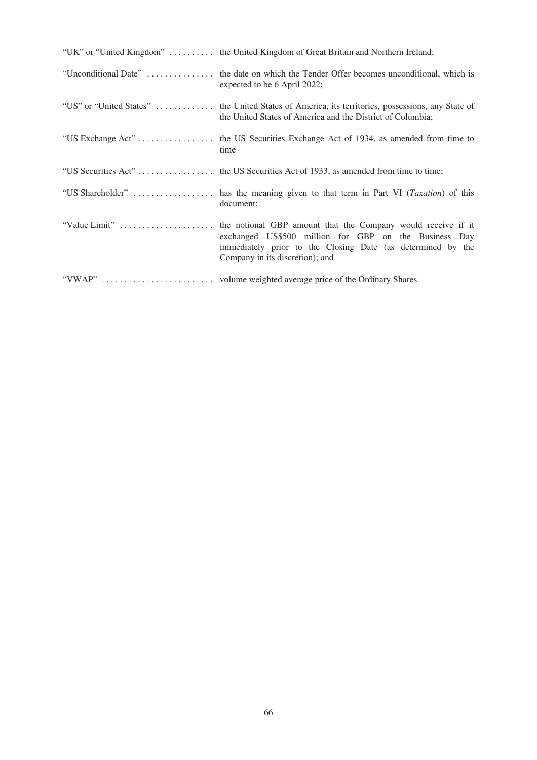| "UK" or "United Kingdom"  the United Kingdom of Great Britain and Northern Ireland;                                                                             |
|-----------------------------------------------------------------------------------------------------------------------------------------------------------------|
| "Unconditional Date"  the date on which the Tender Offer becomes unconditional, which is<br>expected to be 6 April 2022;                                        |
| "US" or "United States"  the United States of America, its territories, possessions, any State of<br>the United States of America and the District of Columbia; |
| time                                                                                                                                                            |
|                                                                                                                                                                 |
| document;                                                                                                                                                       |
| exchanged US\$500 million for GBP on the Business Day<br>immediately prior to the Closing Date (as determined by the<br>Company in its discretion); and         |
|                                                                                                                                                                 |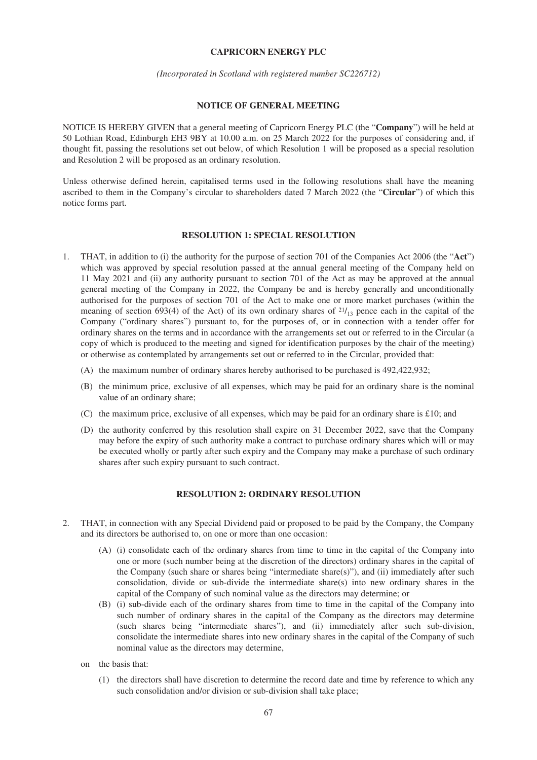### **CAPRICORN ENERGY PLC**

#### *(Incorporated in Scotland with registered number SC226712)*

### **NOTICE OF GENERAL MEETING**

NOTICE IS HEREBY GIVEN that a general meeting of Capricorn Energy PLC (the "**Company**") will be held at 50 Lothian Road, Edinburgh EH3 9BY at 10.00 a.m. on 25 March 2022 for the purposes of considering and, if thought fit, passing the resolutions set out below, of which Resolution 1 will be proposed as a special resolution and Resolution 2 will be proposed as an ordinary resolution.

Unless otherwise defined herein, capitalised terms used in the following resolutions shall have the meaning ascribed to them in the Company's circular to shareholders dated 7 March 2022 (the "**Circular**") of which this notice forms part.

### **RESOLUTION 1: SPECIAL RESOLUTION**

- 1. THAT, in addition to (i) the authority for the purpose of section 701 of the Companies Act 2006 (the "**Act**") which was approved by special resolution passed at the annual general meeting of the Company held on 11 May 2021 and (ii) any authority pursuant to section 701 of the Act as may be approved at the annual general meeting of the Company in 2022, the Company be and is hereby generally and unconditionally authorised for the purposes of section 701 of the Act to make one or more market purchases (within the meaning of section 693(4) of the Act) of its own ordinary shares of  $21/13$  pence each in the capital of the Company ("ordinary shares") pursuant to, for the purposes of, or in connection with a tender offer for ordinary shares on the terms and in accordance with the arrangements set out or referred to in the Circular (a copy of which is produced to the meeting and signed for identification purposes by the chair of the meeting) or otherwise as contemplated by arrangements set out or referred to in the Circular, provided that:
	- (A) the maximum number of ordinary shares hereby authorised to be purchased is 492,422,932;
	- (B) the minimum price, exclusive of all expenses, which may be paid for an ordinary share is the nominal value of an ordinary share;
	- (C) the maximum price, exclusive of all expenses, which may be paid for an ordinary share is £10; and
	- (D) the authority conferred by this resolution shall expire on 31 December 2022, save that the Company may before the expiry of such authority make a contract to purchase ordinary shares which will or may be executed wholly or partly after such expiry and the Company may make a purchase of such ordinary shares after such expiry pursuant to such contract.

# **RESOLUTION 2: ORDINARY RESOLUTION**

- 2. THAT, in connection with any Special Dividend paid or proposed to be paid by the Company, the Company and its directors be authorised to, on one or more than one occasion:
	- (A) (i) consolidate each of the ordinary shares from time to time in the capital of the Company into one or more (such number being at the discretion of the directors) ordinary shares in the capital of the Company (such share or shares being "intermediate share(s)"), and (ii) immediately after such consolidation, divide or sub-divide the intermediate share(s) into new ordinary shares in the capital of the Company of such nominal value as the directors may determine; or
	- (B) (i) sub-divide each of the ordinary shares from time to time in the capital of the Company into such number of ordinary shares in the capital of the Company as the directors may determine (such shares being "intermediate shares"), and (ii) immediately after such sub-division, consolidate the intermediate shares into new ordinary shares in the capital of the Company of such nominal value as the directors may determine,
	- on the basis that:
		- (1) the directors shall have discretion to determine the record date and time by reference to which any such consolidation and/or division or sub-division shall take place;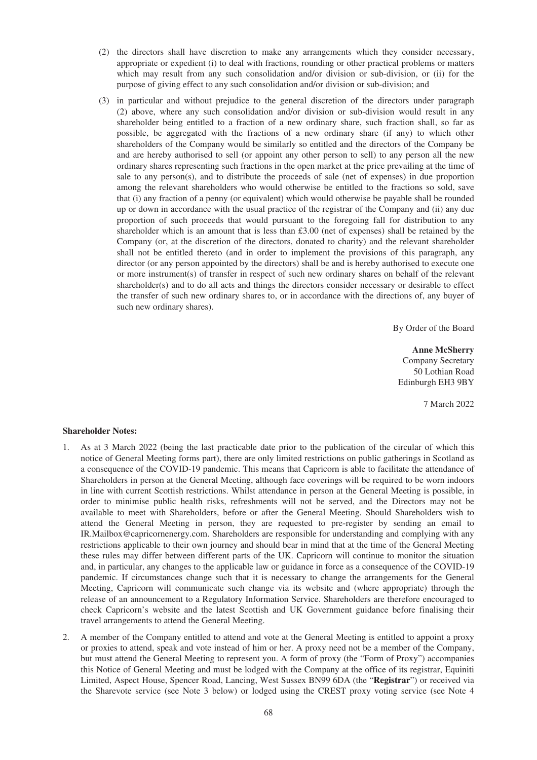- (2) the directors shall have discretion to make any arrangements which they consider necessary, appropriate or expedient (i) to deal with fractions, rounding or other practical problems or matters which may result from any such consolidation and/or division or sub-division, or (ii) for the purpose of giving effect to any such consolidation and/or division or sub-division; and
- (3) in particular and without prejudice to the general discretion of the directors under paragraph (2) above, where any such consolidation and/or division or sub-division would result in any shareholder being entitled to a fraction of a new ordinary share, such fraction shall, so far as possible, be aggregated with the fractions of a new ordinary share (if any) to which other shareholders of the Company would be similarly so entitled and the directors of the Company be and are hereby authorised to sell (or appoint any other person to sell) to any person all the new ordinary shares representing such fractions in the open market at the price prevailing at the time of sale to any person(s), and to distribute the proceeds of sale (net of expenses) in due proportion among the relevant shareholders who would otherwise be entitled to the fractions so sold, save that (i) any fraction of a penny (or equivalent) which would otherwise be payable shall be rounded up or down in accordance with the usual practice of the registrar of the Company and (ii) any due proportion of such proceeds that would pursuant to the foregoing fall for distribution to any shareholder which is an amount that is less than  $\text{\pounds}3.00$  (net of expenses) shall be retained by the Company (or, at the discretion of the directors, donated to charity) and the relevant shareholder shall not be entitled thereto (and in order to implement the provisions of this paragraph, any director (or any person appointed by the directors) shall be and is hereby authorised to execute one or more instrument(s) of transfer in respect of such new ordinary shares on behalf of the relevant shareholder(s) and to do all acts and things the directors consider necessary or desirable to effect the transfer of such new ordinary shares to, or in accordance with the directions of, any buyer of such new ordinary shares).

By Order of the Board

**Anne McSherry** Company Secretary 50 Lothian Road Edinburgh EH3 9BY

7 March 2022

## **Shareholder Notes:**

- 1. As at 3 March 2022 (being the last practicable date prior to the publication of the circular of which this notice of General Meeting forms part), there are only limited restrictions on public gatherings in Scotland as a consequence of the COVID-19 pandemic. This means that Capricorn is able to facilitate the attendance of Shareholders in person at the General Meeting, although face coverings will be required to be worn indoors in line with current Scottish restrictions. Whilst attendance in person at the General Meeting is possible, in order to minimise public health risks, refreshments will not be served, and the Directors may not be available to meet with Shareholders, before or after the General Meeting. Should Shareholders wish to attend the General Meeting in person, they are requested to pre-register by sending an email to IR.Mailbox@capricornenergy.com. Shareholders are responsible for understanding and complying with any restrictions applicable to their own journey and should bear in mind that at the time of the General Meeting these rules may differ between different parts of the UK. Capricorn will continue to monitor the situation and, in particular, any changes to the applicable law or guidance in force as a consequence of the COVID-19 pandemic. If circumstances change such that it is necessary to change the arrangements for the General Meeting, Capricorn will communicate such change via its website and (where appropriate) through the release of an announcement to a Regulatory Information Service. Shareholders are therefore encouraged to check Capricorn's website and the latest Scottish and UK Government guidance before finalising their travel arrangements to attend the General Meeting.
- 2. A member of the Company entitled to attend and vote at the General Meeting is entitled to appoint a proxy or proxies to attend, speak and vote instead of him or her. A proxy need not be a member of the Company, but must attend the General Meeting to represent you. A form of proxy (the "Form of Proxy") accompanies this Notice of General Meeting and must be lodged with the Company at the office of its registrar, Equiniti Limited, Aspect House, Spencer Road, Lancing, West Sussex BN99 6DA (the "**Registrar**") or received via the Sharevote service (see Note 3 below) or lodged using the CREST proxy voting service (see Note 4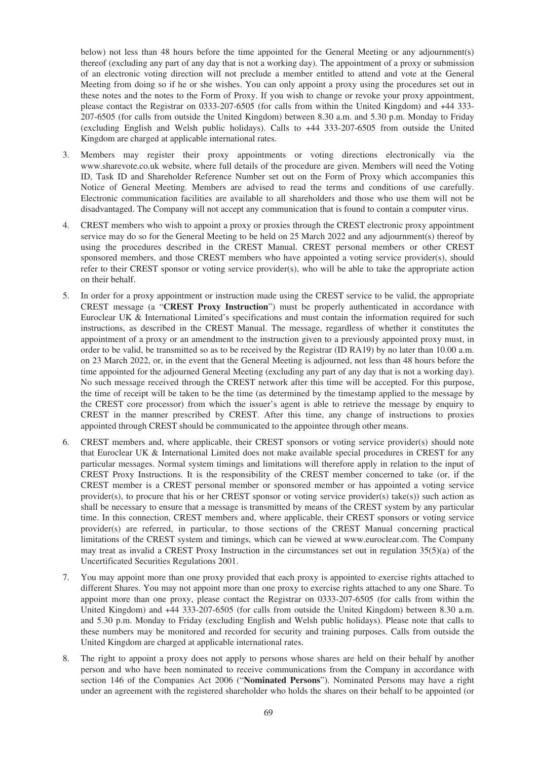below) not less than 48 hours before the time appointed for the General Meeting or any adjournment(s) thereof (excluding any part of any day that is not a working day). The appointment of a proxy or submission of an electronic voting direction will not preclude a member entitled to attend and vote at the General Meeting from doing so if he or she wishes. You can only appoint a proxy using the procedures set out in these notes and the notes to the Form of Proxy. If you wish to change or revoke your proxy appointment, please contact the Registrar on 0333-207-6505 (for calls from within the United Kingdom) and +44 333- 207-6505 (for calls from outside the United Kingdom) between 8.30 a.m. and 5.30 p.m. Monday to Friday (excluding English and Welsh public holidays). Calls to +44 333-207-6505 from outside the United Kingdom are charged at applicable international rates.

- 3. Members may register their proxy appointments or voting directions electronically via the www.sharevote.co.uk website, where full details of the procedure are given. Members will need the Voting ID, Task ID and Shareholder Reference Number set out on the Form of Proxy which accompanies this Notice of General Meeting. Members are advised to read the terms and conditions of use carefully. Electronic communication facilities are available to all shareholders and those who use them will not be disadvantaged. The Company will not accept any communication that is found to contain a computer virus.
- 4. CREST members who wish to appoint a proxy or proxies through the CREST electronic proxy appointment service may do so for the General Meeting to be held on 25 March 2022 and any adjournment(s) thereof by using the procedures described in the CREST Manual. CREST personal members or other CREST sponsored members, and those CREST members who have appointed a voting service provider(s), should refer to their CREST sponsor or voting service provider(s), who will be able to take the appropriate action on their behalf.
- 5. In order for a proxy appointment or instruction made using the CREST service to be valid, the appropriate CREST message (a "**CREST Proxy Instruction**") must be properly authenticated in accordance with Euroclear UK & International Limited's specifications and must contain the information required for such instructions, as described in the CREST Manual. The message, regardless of whether it constitutes the appointment of a proxy or an amendment to the instruction given to a previously appointed proxy must, in order to be valid, be transmitted so as to be received by the Registrar (ID RA19) by no later than 10.00 a.m. on 23 March 2022, or, in the event that the General Meeting is adjourned, not less than 48 hours before the time appointed for the adjourned General Meeting (excluding any part of any day that is not a working day). No such message received through the CREST network after this time will be accepted. For this purpose, the time of receipt will be taken to be the time (as determined by the timestamp applied to the message by the CREST core processor) from which the issuer's agent is able to retrieve the message by enquiry to CREST in the manner prescribed by CREST. After this time, any change of instructions to proxies appointed through CREST should be communicated to the appointee through other means.
- 6. CREST members and, where applicable, their CREST sponsors or voting service provider(s) should note that Euroclear UK & International Limited does not make available special procedures in CREST for any particular messages. Normal system timings and limitations will therefore apply in relation to the input of CREST Proxy Instructions. It is the responsibility of the CREST member concerned to take (or, if the CREST member is a CREST personal member or sponsored member or has appointed a voting service provider(s), to procure that his or her CREST sponsor or voting service provider(s) take(s)) such action as shall be necessary to ensure that a message is transmitted by means of the CREST system by any particular time. In this connection, CREST members and, where applicable, their CREST sponsors or voting service provider(s) are referred, in particular, to those sections of the CREST Manual concerning practical limitations of the CREST system and timings, which can be viewed at www.euroclear.com. The Company may treat as invalid a CREST Proxy Instruction in the circumstances set out in regulation 35(5)(a) of the Uncertificated Securities Regulations 2001.
- 7. You may appoint more than one proxy provided that each proxy is appointed to exercise rights attached to different Shares. You may not appoint more than one proxy to exercise rights attached to any one Share. To appoint more than one proxy, please contact the Registrar on 0333-207-6505 (for calls from within the United Kingdom) and +44 333-207-6505 (for calls from outside the United Kingdom) between 8.30 a.m. and 5.30 p.m. Monday to Friday (excluding English and Welsh public holidays). Please note that calls to these numbers may be monitored and recorded for security and training purposes. Calls from outside the United Kingdom are charged at applicable international rates.
- 8. The right to appoint a proxy does not apply to persons whose shares are held on their behalf by another person and who have been nominated to receive communications from the Company in accordance with section 146 of the Companies Act 2006 ("**Nominated Persons**"). Nominated Persons may have a right under an agreement with the registered shareholder who holds the shares on their behalf to be appointed (or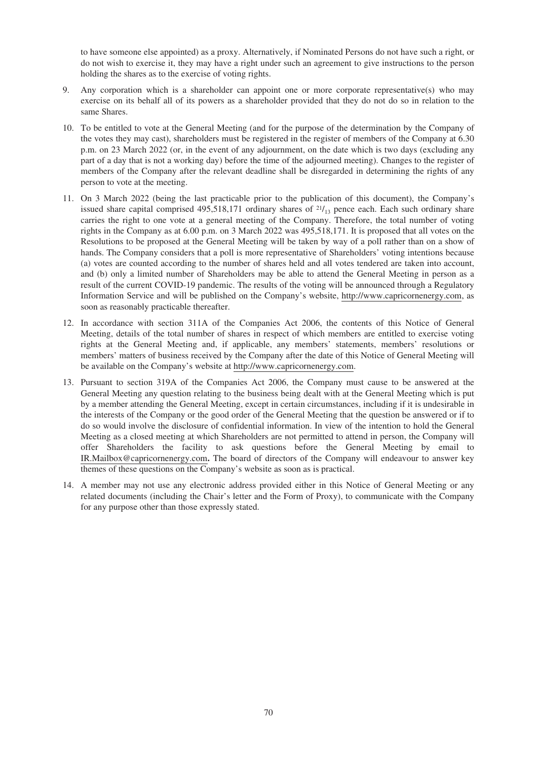to have someone else appointed) as a proxy. Alternatively, if Nominated Persons do not have such a right, or do not wish to exercise it, they may have a right under such an agreement to give instructions to the person holding the shares as to the exercise of voting rights.

- 9. Any corporation which is a shareholder can appoint one or more corporate representative(s) who may exercise on its behalf all of its powers as a shareholder provided that they do not do so in relation to the same Shares.
- 10. To be entitled to vote at the General Meeting (and for the purpose of the determination by the Company of the votes they may cast), shareholders must be registered in the register of members of the Company at 6.30 p.m. on 23 March 2022 (or, in the event of any adjournment, on the date which is two days (excluding any part of a day that is not a working day) before the time of the adjourned meeting). Changes to the register of members of the Company after the relevant deadline shall be disregarded in determining the rights of any person to vote at the meeting.
- 11. On 3 March 2022 (being the last practicable prior to the publication of this document), the Company's issued share capital comprised 495,518,171 ordinary shares of  $21/13$  pence each. Each such ordinary share carries the right to one vote at a general meeting of the Company. Therefore, the total number of voting rights in the Company as at 6.00 p.m. on 3 March 2022 was 495,518,171. It is proposed that all votes on the Resolutions to be proposed at the General Meeting will be taken by way of a poll rather than on a show of hands. The Company considers that a poll is more representative of Shareholders' voting intentions because (a) votes are counted according to the number of shares held and all votes tendered are taken into account, and (b) only a limited number of Shareholders may be able to attend the General Meeting in person as a result of the current COVID-19 pandemic. The results of the voting will be announced through a Regulatory Information Service and will be published on the Company's website, http://www.capricornenergy.com, as soon as reasonably practicable thereafter.
- 12. In accordance with section 311A of the Companies Act 2006, the contents of this Notice of General Meeting, details of the total number of shares in respect of which members are entitled to exercise voting rights at the General Meeting and, if applicable, any members' statements, members' resolutions or members' matters of business received by the Company after the date of this Notice of General Meeting will be available on the Company's website at http://www.capricornenergy.com.
- 13. Pursuant to section 319A of the Companies Act 2006, the Company must cause to be answered at the General Meeting any question relating to the business being dealt with at the General Meeting which is put by a member attending the General Meeting, except in certain circumstances, including if it is undesirable in the interests of the Company or the good order of the General Meeting that the question be answered or if to do so would involve the disclosure of confidential information. In view of the intention to hold the General Meeting as a closed meeting at which Shareholders are not permitted to attend in person, the Company will offer Shareholders the facility to ask questions before the General Meeting by email to IR.Mailbox@capricornenergy.com**.** The board of directors of the Company will endeavour to answer key themes of these questions on the Company's website as soon as is practical.
- 14. A member may not use any electronic address provided either in this Notice of General Meeting or any related documents (including the Chair's letter and the Form of Proxy), to communicate with the Company for any purpose other than those expressly stated.